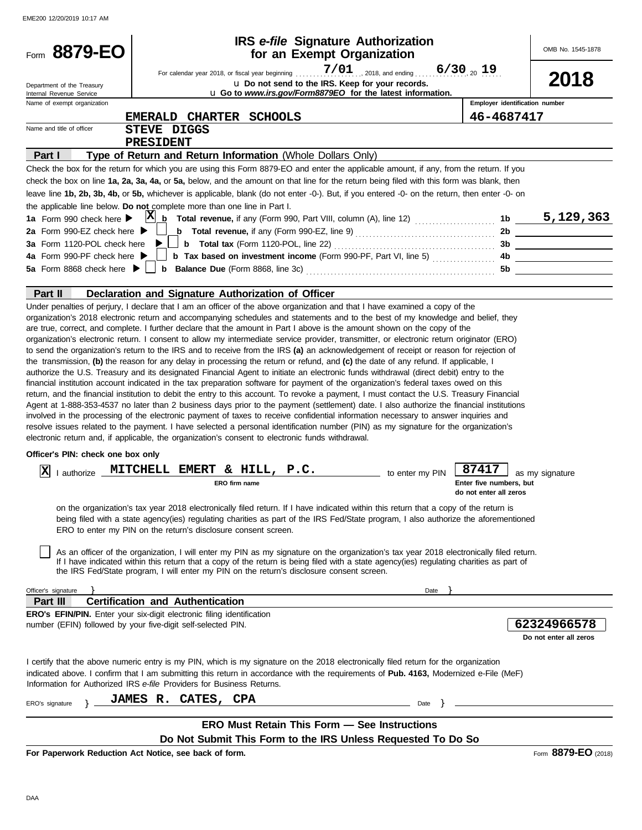| Form 8879-EO                                                                                                                                                                                                                                                                                                                                                                                                                                                                                                                                                                                                                                                                                                                                                                                                                                                                                                                                                                                                                                                                                                                                                                                                                                                                                                                                                                                                                                                                                                                                                                                                                                                                                                                              |                                                                                                                                                                                                                                    |                               | for an Exempt Organization | <b>IRS</b> e-file Signature Authorization                                                                                                                                                                                                                                                                                                                                                                                                                                                                                                                                                     |                                                            | OMB No. 1545-1878      |
|-------------------------------------------------------------------------------------------------------------------------------------------------------------------------------------------------------------------------------------------------------------------------------------------------------------------------------------------------------------------------------------------------------------------------------------------------------------------------------------------------------------------------------------------------------------------------------------------------------------------------------------------------------------------------------------------------------------------------------------------------------------------------------------------------------------------------------------------------------------------------------------------------------------------------------------------------------------------------------------------------------------------------------------------------------------------------------------------------------------------------------------------------------------------------------------------------------------------------------------------------------------------------------------------------------------------------------------------------------------------------------------------------------------------------------------------------------------------------------------------------------------------------------------------------------------------------------------------------------------------------------------------------------------------------------------------------------------------------------------------|------------------------------------------------------------------------------------------------------------------------------------------------------------------------------------------------------------------------------------|-------------------------------|----------------------------|-----------------------------------------------------------------------------------------------------------------------------------------------------------------------------------------------------------------------------------------------------------------------------------------------------------------------------------------------------------------------------------------------------------------------------------------------------------------------------------------------------------------------------------------------------------------------------------------------|------------------------------------------------------------|------------------------|
|                                                                                                                                                                                                                                                                                                                                                                                                                                                                                                                                                                                                                                                                                                                                                                                                                                                                                                                                                                                                                                                                                                                                                                                                                                                                                                                                                                                                                                                                                                                                                                                                                                                                                                                                           | For calendar year 2018, or fiscal year beginning                                                                                                                                                                                   |                               |                            | $7/01$ 2018, and ending 6/30 20 19                                                                                                                                                                                                                                                                                                                                                                                                                                                                                                                                                            |                                                            |                        |
| Department of the Treasury                                                                                                                                                                                                                                                                                                                                                                                                                                                                                                                                                                                                                                                                                                                                                                                                                                                                                                                                                                                                                                                                                                                                                                                                                                                                                                                                                                                                                                                                                                                                                                                                                                                                                                                |                                                                                                                                                                                                                                    |                               |                            | U Do not send to the IRS. Keep for your records.                                                                                                                                                                                                                                                                                                                                                                                                                                                                                                                                              |                                                            | 2018                   |
| Internal Revenue Service<br>Name of exempt organization                                                                                                                                                                                                                                                                                                                                                                                                                                                                                                                                                                                                                                                                                                                                                                                                                                                                                                                                                                                                                                                                                                                                                                                                                                                                                                                                                                                                                                                                                                                                                                                                                                                                                   |                                                                                                                                                                                                                                    |                               |                            | LI Go to www.irs.gov/Form8879EO for the latest information.                                                                                                                                                                                                                                                                                                                                                                                                                                                                                                                                   | Employer identification number                             |                        |
|                                                                                                                                                                                                                                                                                                                                                                                                                                                                                                                                                                                                                                                                                                                                                                                                                                                                                                                                                                                                                                                                                                                                                                                                                                                                                                                                                                                                                                                                                                                                                                                                                                                                                                                                           | EMERALD CHARTER SCHOOLS                                                                                                                                                                                                            |                               |                            |                                                                                                                                                                                                                                                                                                                                                                                                                                                                                                                                                                                               | 46-4687417                                                 |                        |
| Name and title of officer                                                                                                                                                                                                                                                                                                                                                                                                                                                                                                                                                                                                                                                                                                                                                                                                                                                                                                                                                                                                                                                                                                                                                                                                                                                                                                                                                                                                                                                                                                                                                                                                                                                                                                                 | <b>STEVE DIGGS</b>                                                                                                                                                                                                                 |                               |                            |                                                                                                                                                                                                                                                                                                                                                                                                                                                                                                                                                                                               |                                                            |                        |
|                                                                                                                                                                                                                                                                                                                                                                                                                                                                                                                                                                                                                                                                                                                                                                                                                                                                                                                                                                                                                                                                                                                                                                                                                                                                                                                                                                                                                                                                                                                                                                                                                                                                                                                                           | <b>PRESIDENT</b>                                                                                                                                                                                                                   |                               |                            |                                                                                                                                                                                                                                                                                                                                                                                                                                                                                                                                                                                               |                                                            |                        |
| Part I                                                                                                                                                                                                                                                                                                                                                                                                                                                                                                                                                                                                                                                                                                                                                                                                                                                                                                                                                                                                                                                                                                                                                                                                                                                                                                                                                                                                                                                                                                                                                                                                                                                                                                                                    | Type of Return and Return Information (Whole Dollars Only)                                                                                                                                                                         |                               |                            |                                                                                                                                                                                                                                                                                                                                                                                                                                                                                                                                                                                               |                                                            |                        |
| Check the box for the return for which you are using this Form 8879-EO and enter the applicable amount, if any, from the return. If you                                                                                                                                                                                                                                                                                                                                                                                                                                                                                                                                                                                                                                                                                                                                                                                                                                                                                                                                                                                                                                                                                                                                                                                                                                                                                                                                                                                                                                                                                                                                                                                                   |                                                                                                                                                                                                                                    |                               |                            |                                                                                                                                                                                                                                                                                                                                                                                                                                                                                                                                                                                               |                                                            |                        |
| check the box on line 1a, 2a, 3a, 4a, or 5a, below, and the amount on that line for the return being filed with this form was blank, then                                                                                                                                                                                                                                                                                                                                                                                                                                                                                                                                                                                                                                                                                                                                                                                                                                                                                                                                                                                                                                                                                                                                                                                                                                                                                                                                                                                                                                                                                                                                                                                                 |                                                                                                                                                                                                                                    |                               |                            |                                                                                                                                                                                                                                                                                                                                                                                                                                                                                                                                                                                               |                                                            |                        |
| leave line 1b, 2b, 3b, 4b, or 5b, whichever is applicable, blank (do not enter -0-). But, if you entered -0- on the return, then enter -0- on<br>the applicable line below. Do not complete more than one line in Part I.                                                                                                                                                                                                                                                                                                                                                                                                                                                                                                                                                                                                                                                                                                                                                                                                                                                                                                                                                                                                                                                                                                                                                                                                                                                                                                                                                                                                                                                                                                                 |                                                                                                                                                                                                                                    |                               |                            |                                                                                                                                                                                                                                                                                                                                                                                                                                                                                                                                                                                               |                                                            |                        |
| 1a Form 990 check here ▶                                                                                                                                                                                                                                                                                                                                                                                                                                                                                                                                                                                                                                                                                                                                                                                                                                                                                                                                                                                                                                                                                                                                                                                                                                                                                                                                                                                                                                                                                                                                                                                                                                                                                                                  |                                                                                                                                                                                                                                    |                               |                            |                                                                                                                                                                                                                                                                                                                                                                                                                                                                                                                                                                                               |                                                            |                        |
| 2a Form 990-EZ check here $\blacktriangleright$                                                                                                                                                                                                                                                                                                                                                                                                                                                                                                                                                                                                                                                                                                                                                                                                                                                                                                                                                                                                                                                                                                                                                                                                                                                                                                                                                                                                                                                                                                                                                                                                                                                                                           |                                                                                                                                                                                                                                    |                               |                            | <b>b</b> Total revenue, if any (Form 990-EZ, line 9) <b>Conserver 2b</b> 2b                                                                                                                                                                                                                                                                                                                                                                                                                                                                                                                   |                                                            |                        |
| 3a Form 1120-POL check here                                                                                                                                                                                                                                                                                                                                                                                                                                                                                                                                                                                                                                                                                                                                                                                                                                                                                                                                                                                                                                                                                                                                                                                                                                                                                                                                                                                                                                                                                                                                                                                                                                                                                                               |                                                                                                                                                                                                                                    |                               |                            |                                                                                                                                                                                                                                                                                                                                                                                                                                                                                                                                                                                               |                                                            |                        |
| 4a Form 990-PF check here ▶                                                                                                                                                                                                                                                                                                                                                                                                                                                                                                                                                                                                                                                                                                                                                                                                                                                                                                                                                                                                                                                                                                                                                                                                                                                                                                                                                                                                                                                                                                                                                                                                                                                                                                               |                                                                                                                                                                                                                                    |                               |                            |                                                                                                                                                                                                                                                                                                                                                                                                                                                                                                                                                                                               |                                                            |                        |
| 5a Form 8868 check here $\blacktriangleright$                                                                                                                                                                                                                                                                                                                                                                                                                                                                                                                                                                                                                                                                                                                                                                                                                                                                                                                                                                                                                                                                                                                                                                                                                                                                                                                                                                                                                                                                                                                                                                                                                                                                                             |                                                                                                                                                                                                                                    |                               |                            |                                                                                                                                                                                                                                                                                                                                                                                                                                                                                                                                                                                               |                                                            |                        |
| Part II                                                                                                                                                                                                                                                                                                                                                                                                                                                                                                                                                                                                                                                                                                                                                                                                                                                                                                                                                                                                                                                                                                                                                                                                                                                                                                                                                                                                                                                                                                                                                                                                                                                                                                                                   | Declaration and Signature Authorization of Officer                                                                                                                                                                                 |                               |                            |                                                                                                                                                                                                                                                                                                                                                                                                                                                                                                                                                                                               |                                                            |                        |
| organization's 2018 electronic return and accompanying schedules and statements and to the best of my knowledge and belief, they<br>are true, correct, and complete. I further declare that the amount in Part I above is the amount shown on the copy of the<br>organization's electronic return. I consent to allow my intermediate service provider, transmitter, or electronic return originator (ERO)<br>to send the organization's return to the IRS and to receive from the IRS (a) an acknowledgement of receipt or reason for rejection of<br>the transmission, (b) the reason for any delay in processing the return or refund, and (c) the date of any refund. If applicable, I<br>authorize the U.S. Treasury and its designated Financial Agent to initiate an electronic funds withdrawal (direct debit) entry to the<br>financial institution account indicated in the tax preparation software for payment of the organization's federal taxes owed on this<br>return, and the financial institution to debit the entry to this account. To revoke a payment, I must contact the U.S. Treasury Financial<br>Agent at 1-888-353-4537 no later than 2 business days prior to the payment (settlement) date. I also authorize the financial institutions<br>involved in the processing of the electronic payment of taxes to receive confidential information necessary to answer inquiries and<br>resolve issues related to the payment. I have selected a personal identification number (PIN) as my signature for the organization's<br>electronic return and, if applicable, the organization's consent to electronic funds withdrawal.<br>Officer's PIN: check one box only<br>ΙX<br>I authorize<br>Officer's signature | <b>MITCHELL</b><br>EMERT<br>ERO to enter my PIN on the return's disclosure consent screen.<br>the IRS Fed/State program, I will enter my PIN on the return's disclosure consent screen.<br><b>Certification and Authentication</b> | & HILL, P.C.<br>ERO firm name |                            | to enter my PIN<br>on the organization's tax year 2018 electronically filed return. If I have indicated within this return that a copy of the return is<br>being filed with a state agency(ies) regulating charities as part of the IRS Fed/State program, I also authorize the aforementioned<br>As an officer of the organization, I will enter my PIN as my signature on the organization's tax year 2018 electronically filed return.<br>If I have indicated within this return that a copy of the return is being filed with a state agency(ies) regulating charities as part of<br>Date | 87417<br>Enter five numbers, but<br>do not enter all zeros | as my signature        |
| Part III                                                                                                                                                                                                                                                                                                                                                                                                                                                                                                                                                                                                                                                                                                                                                                                                                                                                                                                                                                                                                                                                                                                                                                                                                                                                                                                                                                                                                                                                                                                                                                                                                                                                                                                                  |                                                                                                                                                                                                                                    |                               |                            |                                                                                                                                                                                                                                                                                                                                                                                                                                                                                                                                                                                               |                                                            |                        |
| <b>ERO's EFIN/PIN.</b> Enter your six-digit electronic filing identification<br>number (EFIN) followed by your five-digit self-selected PIN.                                                                                                                                                                                                                                                                                                                                                                                                                                                                                                                                                                                                                                                                                                                                                                                                                                                                                                                                                                                                                                                                                                                                                                                                                                                                                                                                                                                                                                                                                                                                                                                              |                                                                                                                                                                                                                                    |                               |                            |                                                                                                                                                                                                                                                                                                                                                                                                                                                                                                                                                                                               |                                                            | 62324966578            |
|                                                                                                                                                                                                                                                                                                                                                                                                                                                                                                                                                                                                                                                                                                                                                                                                                                                                                                                                                                                                                                                                                                                                                                                                                                                                                                                                                                                                                                                                                                                                                                                                                                                                                                                                           |                                                                                                                                                                                                                                    |                               |                            |                                                                                                                                                                                                                                                                                                                                                                                                                                                                                                                                                                                               |                                                            | Do not enter all zeros |
| I certify that the above numeric entry is my PIN, which is my signature on the 2018 electronically filed return for the organization<br>indicated above. I confirm that I am submitting this return in accordance with the requirements of Pub. 4163, Modernized e-File (MeF)<br>Information for Authorized IRS e-file Providers for Business Returns.                                                                                                                                                                                                                                                                                                                                                                                                                                                                                                                                                                                                                                                                                                                                                                                                                                                                                                                                                                                                                                                                                                                                                                                                                                                                                                                                                                                    | JAMES R. CATES, CPA                                                                                                                                                                                                                |                               |                            |                                                                                                                                                                                                                                                                                                                                                                                                                                                                                                                                                                                               |                                                            |                        |
| ERO's signature                                                                                                                                                                                                                                                                                                                                                                                                                                                                                                                                                                                                                                                                                                                                                                                                                                                                                                                                                                                                                                                                                                                                                                                                                                                                                                                                                                                                                                                                                                                                                                                                                                                                                                                           |                                                                                                                                                                                                                                    |                               |                            | $\qquad \qquad$ Date $\qquad \}$                                                                                                                                                                                                                                                                                                                                                                                                                                                                                                                                                              |                                                            |                        |
|                                                                                                                                                                                                                                                                                                                                                                                                                                                                                                                                                                                                                                                                                                                                                                                                                                                                                                                                                                                                                                                                                                                                                                                                                                                                                                                                                                                                                                                                                                                                                                                                                                                                                                                                           |                                                                                                                                                                                                                                    |                               |                            | ERO Must Retain This Form - See Instructions                                                                                                                                                                                                                                                                                                                                                                                                                                                                                                                                                  |                                                            |                        |
|                                                                                                                                                                                                                                                                                                                                                                                                                                                                                                                                                                                                                                                                                                                                                                                                                                                                                                                                                                                                                                                                                                                                                                                                                                                                                                                                                                                                                                                                                                                                                                                                                                                                                                                                           |                                                                                                                                                                                                                                    |                               |                            | Do Not Submit This Form to the IRS Unless Requested To Do So                                                                                                                                                                                                                                                                                                                                                                                                                                                                                                                                  |                                                            |                        |
| For Paperwork Reduction Act Notice, see back of form.                                                                                                                                                                                                                                                                                                                                                                                                                                                                                                                                                                                                                                                                                                                                                                                                                                                                                                                                                                                                                                                                                                                                                                                                                                                                                                                                                                                                                                                                                                                                                                                                                                                                                     |                                                                                                                                                                                                                                    |                               |                            |                                                                                                                                                                                                                                                                                                                                                                                                                                                                                                                                                                                               |                                                            | Form 8879-EO (2018)    |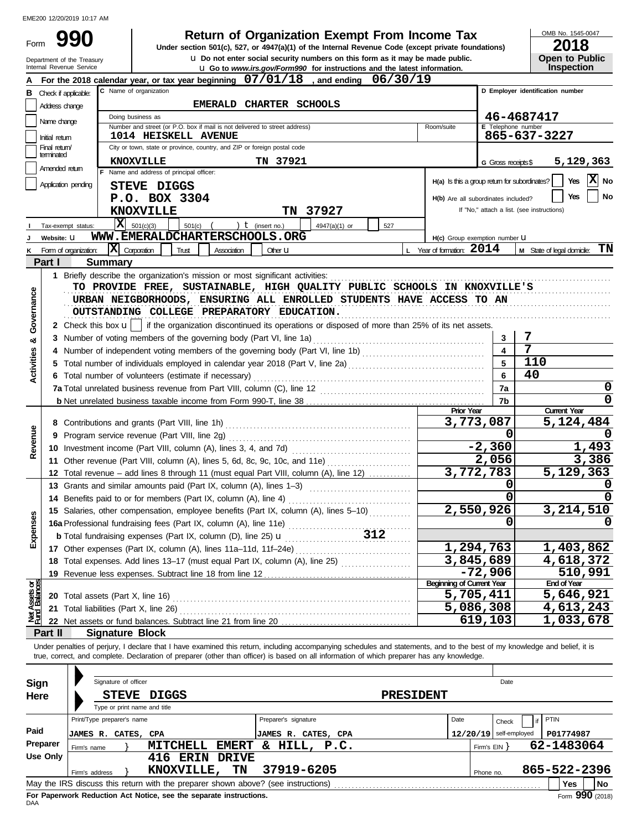Department of the Treasury

Form

**u** Do not enter social security numbers on this form as it may be made public. **990 1990 2018 Depending Solution Solution Solution Script Script Script Script Script Prom Income Tax 1947(a)(1)** of the Internal Revenue Code (except private foundations)

OMB No. 1545-0047

| 20 I O                |
|-----------------------|
| <b>Open to Public</b> |
| <b>Inspection</b>     |

|                                |                               | Internal Revenue Service                       |                                                                             |                                                                                   |              |                      | <b>LI Go to</b> www.irs.gov/Form990 for instructions and the latest information.                                                                                           |          |                  |                                                         |                          |                                            | <b>Inspection</b>                                        |                   |
|--------------------------------|-------------------------------|------------------------------------------------|-----------------------------------------------------------------------------|-----------------------------------------------------------------------------------|--------------|----------------------|----------------------------------------------------------------------------------------------------------------------------------------------------------------------------|----------|------------------|---------------------------------------------------------|--------------------------|--------------------------------------------|----------------------------------------------------------|-------------------|
|                                |                               |                                                |                                                                             | For the 2018 calendar year, or tax year beginning 07/01/18                        |              |                      | , and ending                                                                                                                                                               | 06/30/19 |                  |                                                         |                          |                                            |                                                          |                   |
|                                | <b>B</b> Check if applicable: |                                                | C Name of organization                                                      |                                                                                   |              |                      |                                                                                                                                                                            |          |                  |                                                         |                          | D Employer identification number           |                                                          |                   |
|                                | Address change                |                                                |                                                                             | <b>EMERALD</b>                                                                    |              | CHARTER SCHOOLS      |                                                                                                                                                                            |          |                  |                                                         |                          |                                            |                                                          |                   |
|                                |                               |                                                | Doing business as                                                           |                                                                                   |              |                      |                                                                                                                                                                            |          |                  |                                                         |                          | 46-4687417                                 |                                                          |                   |
|                                | Name change                   |                                                |                                                                             | Number and street (or P.O. box if mail is not delivered to street address)        |              |                      |                                                                                                                                                                            |          |                  | Room/suite                                              | E Telephone number       |                                            |                                                          |                   |
|                                | Initial return                |                                                |                                                                             | 1014 HEISKELL AVENUE                                                              |              |                      |                                                                                                                                                                            |          |                  |                                                         |                          | 865-637-3227                               |                                                          |                   |
|                                | Final return                  |                                                |                                                                             | City or town, state or province, country, and ZIP or foreign postal code          |              |                      |                                                                                                                                                                            |          |                  |                                                         |                          |                                            |                                                          |                   |
|                                | terminated                    |                                                | <b>KNOXVILLE</b>                                                            |                                                                                   |              | TN 37921             |                                                                                                                                                                            |          |                  |                                                         | G Gross receipts \$      |                                            | 5,129,363                                                |                   |
|                                | Amended return                |                                                | F Name and address of principal officer:                                    |                                                                                   |              |                      |                                                                                                                                                                            |          |                  |                                                         |                          |                                            |                                                          |                   |
|                                |                               | Application pending                            | STEVE DIGGS                                                                 |                                                                                   |              |                      |                                                                                                                                                                            |          |                  | $H(a)$ is this a group return for subordinates? $\vert$ |                          |                                            | Yes                                                      | $ \mathbf{X} $ No |
|                                |                               |                                                | P.O. BOX 3304                                                               |                                                                                   |              |                      |                                                                                                                                                                            |          |                  | H(b) Are all subordinates included?                     |                          |                                            | Yes                                                      | No                |
|                                |                               |                                                | <b>KNOXVILLE</b>                                                            |                                                                                   |              |                      | TN 37927                                                                                                                                                                   |          |                  |                                                         |                          | If "No," attach a list. (see instructions) |                                                          |                   |
|                                |                               |                                                | $ \mathbf{X} $ 501(c)(3)                                                    |                                                                                   |              |                      |                                                                                                                                                                            |          |                  |                                                         |                          |                                            |                                                          |                   |
|                                |                               | Tax-exempt status:                             |                                                                             | 501(c) $($ $)$ <b>t</b> (insert no.)<br>WWW.EMERALDCHARTERSCHOOLS.ORG             |              |                      | 4947(a)(1) or                                                                                                                                                              | 527      |                  |                                                         |                          |                                            |                                                          |                   |
|                                | Website: U                    |                                                |                                                                             |                                                                                   |              |                      |                                                                                                                                                                            |          |                  | H(c) Group exemption number U                           |                          |                                            |                                                          |                   |
| κ                              |                               | Form of organization:                          | $ \mathbf{X} $ Corporation                                                  | Trust<br>Association                                                              |              | Other <b>LI</b>      |                                                                                                                                                                            |          |                  | L Year of formation: $2014$                             |                          |                                            | <b>M</b> State of legal domicile: $\mathbf{T}\mathbf{N}$ |                   |
|                                | Part I                        | <b>Summary</b>                                 |                                                                             |                                                                                   |              |                      |                                                                                                                                                                            |          |                  |                                                         |                          |                                            |                                                          |                   |
|                                |                               |                                                |                                                                             |                                                                                   |              |                      |                                                                                                                                                                            |          |                  |                                                         |                          |                                            |                                                          |                   |
|                                |                               |                                                |                                                                             |                                                                                   |              |                      | TO PROVIDE FREE, SUSTAINABLE, HIGH QUALITY PUBLIC SCHOOLS IN KNOXVILLE'S                                                                                                   |          |                  |                                                         |                          |                                            |                                                          |                   |
| Governance                     |                               |                                                |                                                                             |                                                                                   |              |                      | URBAN NEIGBORHOODS, ENSURING ALL ENROLLED STUDENTS HAVE ACCESS TO AN                                                                                                       |          |                  |                                                         |                          |                                            |                                                          |                   |
|                                |                               |                                                |                                                                             | OUTSTANDING COLLEGE PREPARATORY EDUCATION.                                        |              |                      |                                                                                                                                                                            |          |                  |                                                         |                          |                                            |                                                          |                   |
|                                |                               |                                                |                                                                             |                                                                                   |              |                      | 2 Check this box $\mathbf{u}$ if the organization discontinued its operations or disposed of more than 25% of its net assets.                                              |          |                  |                                                         |                          |                                            |                                                          |                   |
| ಯ                              |                               |                                                |                                                                             | 3 Number of voting members of the governing body (Part VI, line 1a)               |              |                      |                                                                                                                                                                            |          |                  |                                                         | 3                        | 7                                          |                                                          |                   |
|                                |                               |                                                |                                                                             |                                                                                   |              |                      |                                                                                                                                                                            |          |                  |                                                         |                          | $\overline{7}$                             |                                                          |                   |
| Activities                     |                               |                                                |                                                                             |                                                                                   |              |                      |                                                                                                                                                                            |          |                  |                                                         |                          | 110                                        |                                                          |                   |
|                                |                               |                                                |                                                                             | 6 Total number of volunteers (estimate if necessary)                              |              |                      |                                                                                                                                                                            |          |                  |                                                         | 6                        | 40                                         |                                                          |                   |
|                                |                               |                                                |                                                                             |                                                                                   |              |                      |                                                                                                                                                                            |          |                  |                                                         | 7a                       |                                            |                                                          | 0                 |
|                                |                               |                                                |                                                                             |                                                                                   |              |                      |                                                                                                                                                                            |          |                  |                                                         |                          |                                            |                                                          | 0                 |
|                                |                               |                                                |                                                                             |                                                                                   |              |                      |                                                                                                                                                                            |          |                  | Prior Year                                              | 7b                       |                                            | <b>Current Year</b>                                      |                   |
|                                |                               |                                                |                                                                             |                                                                                   |              |                      |                                                                                                                                                                            |          |                  | 3,773,087                                               |                          |                                            | 5,124,484                                                |                   |
|                                |                               |                                                |                                                                             |                                                                                   |              |                      |                                                                                                                                                                            |          |                  |                                                         | 0                        |                                            |                                                          |                   |
| Revenue                        |                               | 9 Program service revenue (Part VIII, line 2g) |                                                                             |                                                                                   |              |                      |                                                                                                                                                                            |          |                  |                                                         | $-2,360$                 |                                            |                                                          | 1,493             |
|                                |                               |                                                | 11 Other revenue (Part VIII, column (A), lines 5, 6d, 8c, 9c, 10c, and 11e) |                                                                                   |              |                      |                                                                                                                                                                            |          |                  |                                                         |                          |                                            |                                                          |                   |
|                                |                               |                                                |                                                                             |                                                                                   |              |                      |                                                                                                                                                                            |          |                  |                                                         | 2,056                    |                                            |                                                          | 3,386             |
|                                |                               |                                                |                                                                             |                                                                                   |              |                      | 12 Total revenue – add lines 8 through 11 (must equal Part VIII, column (A), line 12)                                                                                      |          |                  | 3,772,783                                               |                          |                                            | 5,129,363                                                |                   |
|                                |                               |                                                |                                                                             | 13 Grants and similar amounts paid (Part IX, column (A), lines 1-3)               |              |                      |                                                                                                                                                                            |          |                  |                                                         | 0                        |                                            |                                                          |                   |
|                                |                               |                                                |                                                                             | 14 Benefits paid to or for members (Part IX, column (A), line 4)                  |              |                      |                                                                                                                                                                            |          |                  |                                                         | 0                        |                                            |                                                          | O                 |
|                                |                               |                                                |                                                                             |                                                                                   |              |                      | 15 Salaries, other compensation, employee benefits (Part IX, column (A), lines 5-10)                                                                                       |          |                  | 2,550,926                                               |                          |                                            | 3,214,510                                                |                   |
| enses                          |                               |                                                |                                                                             |                                                                                   |              |                      | 15 Salaties, outer componentially, each DK, column (A), line 11e)<br>16a Professional fundraising fees (Part IX, column (A), line 25) LJ (2)                               |          |                  |                                                         | 0                        |                                            |                                                          |                   |
| Еxр                            |                               |                                                |                                                                             |                                                                                   |              |                      |                                                                                                                                                                            |          |                  |                                                         |                          |                                            |                                                          |                   |
|                                |                               |                                                |                                                                             | 17 Other expenses (Part IX, column (A), lines 11a-11d, 11f-24e)                   |              |                      |                                                                                                                                                                            |          |                  | 1,294,763                                               |                          |                                            | 1,403,862                                                |                   |
|                                |                               |                                                |                                                                             |                                                                                   |              |                      | 18 Total expenses. Add lines 13-17 (must equal Part IX, column (A), line 25)                                                                                               |          |                  | 3,845,689                                               |                          |                                            | 4,618,372                                                |                   |
|                                |                               |                                                |                                                                             | 19 Revenue less expenses. Subtract line 18 from line 12                           |              |                      |                                                                                                                                                                            |          |                  |                                                         | $-72,906$                |                                            | 510,991                                                  |                   |
| Net Assets or<br>Fund Balances |                               |                                                |                                                                             |                                                                                   |              |                      |                                                                                                                                                                            |          |                  | <b>Beginning of Current Year</b>                        |                          |                                            | <b>End of Year</b>                                       |                   |
|                                |                               |                                                |                                                                             |                                                                                   |              |                      | 20 Total assets (Part X, line 16) Mathematical and Contact the Contact of Total assets (Part X, line 16)                                                                   |          |                  | 5,705,411                                               |                          |                                            | 5,646,921                                                |                   |
|                                |                               |                                                | 21 Total liabilities (Part X, line 26)                                      |                                                                                   |              |                      |                                                                                                                                                                            |          |                  | 5,086,308                                               |                          |                                            | 4,613,243                                                |                   |
|                                |                               |                                                |                                                                             |                                                                                   |              |                      |                                                                                                                                                                            |          |                  |                                                         | 619,103                  |                                            | 1,033,678                                                |                   |
|                                | Part II                       |                                                | <b>Signature Block</b>                                                      |                                                                                   |              |                      |                                                                                                                                                                            |          |                  |                                                         |                          |                                            |                                                          |                   |
|                                |                               |                                                |                                                                             |                                                                                   |              |                      | Under penalties of perjury, I declare that I have examined this return, including accompanying schedules and statements, and to the best of my knowledge and belief, it is |          |                  |                                                         |                          |                                            |                                                          |                   |
|                                |                               |                                                |                                                                             |                                                                                   |              |                      | true, correct, and complete. Declaration of preparer (other than officer) is based on all information of which preparer has any knowledge.                                 |          |                  |                                                         |                          |                                            |                                                          |                   |
|                                |                               |                                                |                                                                             |                                                                                   |              |                      |                                                                                                                                                                            |          |                  |                                                         |                          |                                            |                                                          |                   |
| Sign                           |                               |                                                | Signature of officer                                                        |                                                                                   |              |                      |                                                                                                                                                                            |          |                  |                                                         | Date                     |                                            |                                                          |                   |
| Here                           |                               |                                                | STEVE DIGGS                                                                 |                                                                                   |              |                      |                                                                                                                                                                            |          | <b>PRESIDENT</b> |                                                         |                          |                                            |                                                          |                   |
|                                |                               |                                                | Type or print name and title                                                |                                                                                   |              |                      |                                                                                                                                                                            |          |                  |                                                         |                          |                                            |                                                          |                   |
|                                |                               | Print/Type preparer's name                     |                                                                             |                                                                                   |              | Preparer's signature |                                                                                                                                                                            |          |                  | Date                                                    |                          |                                            | <b>PTIN</b>                                              |                   |
| Paid                           |                               |                                                |                                                                             |                                                                                   |              |                      |                                                                                                                                                                            |          |                  |                                                         | Check                    |                                            |                                                          |                   |
|                                |                               |                                                | <b>JAMES R. CATES, CPA</b><br>JAMES R. CATES, CPA                           |                                                                                   |              |                      |                                                                                                                                                                            |          |                  |                                                         | $12/20/19$ self-employed |                                            | P01774987                                                |                   |
|                                | <b>Preparer</b>               | Firm's name                                    |                                                                             | <b>MITCHELL</b>                                                                   | <b>EMERT</b> |                      | & HILL, P.C.                                                                                                                                                               |          |                  |                                                         | Firm's EIN }             |                                            | 62-1483064                                               |                   |
|                                | <b>Use Only</b>               |                                                |                                                                             | <b>416 ERIN DRIVE</b>                                                             |              |                      |                                                                                                                                                                            |          |                  |                                                         |                          |                                            |                                                          |                   |
|                                |                               | Firm's address                                 |                                                                             | KNOXVILLE,                                                                        | TN           | 37919-6205           |                                                                                                                                                                            |          |                  |                                                         | Phone no.                |                                            | 865-522-2396                                             |                   |
|                                |                               |                                                |                                                                             | May the IRS discuss this return with the preparer shown above? (see instructions) |              |                      |                                                                                                                                                                            |          |                  |                                                         |                          |                                            | <b>Yes</b>                                               | No                |

| Sign<br>Here |                            | Signature of officer<br><b>STEVE</b> | <b>DIGGS</b>                                                                      | Date<br><b>PRESIDENT</b> |  |                              |  |  |                          |  |  |              |                             |  |
|--------------|----------------------------|--------------------------------------|-----------------------------------------------------------------------------------|--------------------------|--|------------------------------|--|--|--------------------------|--|--|--------------|-----------------------------|--|
|              |                            | Type or print name and title         |                                                                                   |                          |  |                              |  |  |                          |  |  |              |                             |  |
|              | Print/Type preparer's name |                                      |                                                                                   |                          |  | Preparer's signature<br>Date |  |  |                          |  |  | PTIN         |                             |  |
| Paid         | <b>JAMES R. CATES, CPA</b> |                                      |                                                                                   |                          |  | JAMES R. CATES, CPA          |  |  | $12/20/19$ self-employed |  |  | P01774987    |                             |  |
| Preparer     | Firm's name                |                                      | <b>MITCHELL</b>                                                                   | <b>EMERT</b>             |  | & HILL, P.C.                 |  |  | Firm's $EIN$             |  |  | 62-1483064   |                             |  |
| Use Only     |                            |                                      | ERIN<br>416                                                                       | <b>DRIVE</b>             |  |                              |  |  |                          |  |  |              |                             |  |
|              | Firm's address             |                                      | KNOXVILLE,                                                                        | TN                       |  | 37919-6205                   |  |  | Phone no.                |  |  | 865-522-2396 |                             |  |
|              |                            |                                      | May the IRS discuss this return with the preparer shown above? (see instructions) |                          |  |                              |  |  |                          |  |  | <b>Yes</b>   | <b>No</b>                   |  |
|              |                            |                                      | For Panerwork Reduction Act Notice, see the senarate instructions                 |                          |  |                              |  |  |                          |  |  |              | $F_{\text{c}}$ 000 $(2010)$ |  |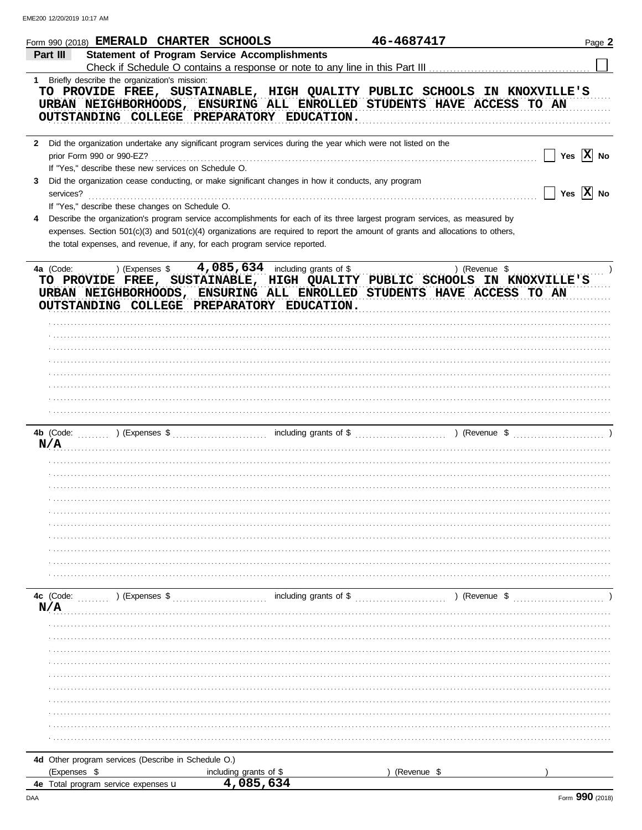|                  | Form 990 (2018) EMERALD CHARTER SCHOOLS                                                                                                                                                                                                                                                                                                     |                        |                                                                                                                                                                                                                                                         | 46-4687417  |               | Page 2                      |
|------------------|---------------------------------------------------------------------------------------------------------------------------------------------------------------------------------------------------------------------------------------------------------------------------------------------------------------------------------------------|------------------------|---------------------------------------------------------------------------------------------------------------------------------------------------------------------------------------------------------------------------------------------------------|-------------|---------------|-----------------------------|
| Part III         | <b>Statement of Program Service Accomplishments</b>                                                                                                                                                                                                                                                                                         |                        |                                                                                                                                                                                                                                                         |             |               |                             |
|                  | 1 Briefly describe the organization's mission:<br>TO PROVIDE FREE, SUSTAINABLE, HIGH QUALITY PUBLIC SCHOOLS IN KNOXVILLE'S<br>URBAN NEIGHBORHOODS, ENSURING ALL ENROLLED STUDENTS HAVE ACCESS TO AN<br>OUTSTANDING COLLEGE PREPARATORY EDUCATION.                                                                                           |                        |                                                                                                                                                                                                                                                         |             |               |                             |
|                  | 2 Did the organization undertake any significant program services during the year which were not listed on the<br>prior Form 990 or 990-EZ?<br>If "Yes," describe these new services on Schedule O.                                                                                                                                         |                        |                                                                                                                                                                                                                                                         |             |               | Yes $ \mathbf{X} $ No       |
| 3<br>services?   | Did the organization cease conducting, or make significant changes in how it conducts, any program<br>If "Yes," describe these changes on Schedule O.                                                                                                                                                                                       |                        |                                                                                                                                                                                                                                                         |             |               | Yes $\boxed{\mathbf{X}}$ No |
| 4                | Describe the organization's program service accomplishments for each of its three largest program services, as measured by<br>expenses. Section 501(c)(3) and 501(c)(4) organizations are required to report the amount of grants and allocations to others,<br>the total expenses, and revenue, if any, for each program service reported. |                        |                                                                                                                                                                                                                                                         |             |               |                             |
| 4a (Code:        | TO PROVIDE FREE, SUSTAINABLE, HIGH QUALITY PUBLIC SCHOOLS IN KNOXVILLE'S<br>URBAN NEIGHBORHOODS, ENSURING ALL ENROLLED STUDENTS HAVE ACCESS TO AN<br>OUTSTANDING COLLEGE PREPARATORY EDUCATION.                                                                                                                                             |                        | $\overline{\phantom{0}}$ (Expenses \$ $\overline{\phantom{0}}$ , 085, 634 including grants of \$                                                                                                                                                        |             | ) (Revenue \$ |                             |
|                  |                                                                                                                                                                                                                                                                                                                                             |                        |                                                                                                                                                                                                                                                         |             |               |                             |
|                  |                                                                                                                                                                                                                                                                                                                                             |                        |                                                                                                                                                                                                                                                         |             |               |                             |
|                  |                                                                                                                                                                                                                                                                                                                                             |                        |                                                                                                                                                                                                                                                         |             |               |                             |
| 4b (Code:        |                                                                                                                                                                                                                                                                                                                                             |                        | ) (Expenses $\frac{1}{2}$ [2010] [2010] (Expenses $\frac{1}{2}$ [2010] [2010] including grants of $\frac{1}{2}$ [2010] (Revenue $\frac{1}{2}$ [2010] (Revenue $\frac{1}{2}$ [2010] (Revenue $\frac{1}{2}$ [2010] (Revenue $\frac{1}{2}$ [2010] (Revenue |             |               |                             |
| N/A              |                                                                                                                                                                                                                                                                                                                                             |                        |                                                                                                                                                                                                                                                         |             |               |                             |
|                  |                                                                                                                                                                                                                                                                                                                                             |                        |                                                                                                                                                                                                                                                         |             |               |                             |
|                  |                                                                                                                                                                                                                                                                                                                                             |                        |                                                                                                                                                                                                                                                         |             |               |                             |
|                  |                                                                                                                                                                                                                                                                                                                                             |                        |                                                                                                                                                                                                                                                         |             |               |                             |
|                  |                                                                                                                                                                                                                                                                                                                                             |                        |                                                                                                                                                                                                                                                         |             |               |                             |
|                  |                                                                                                                                                                                                                                                                                                                                             |                        |                                                                                                                                                                                                                                                         |             |               |                             |
|                  |                                                                                                                                                                                                                                                                                                                                             |                        |                                                                                                                                                                                                                                                         |             |               |                             |
| 4c (Code:<br>N/A | ) (Expenses \$                                                                                                                                                                                                                                                                                                                              |                        | including grants of \$                                                                                                                                                                                                                                  |             | ) (Revenue \$ |                             |
|                  |                                                                                                                                                                                                                                                                                                                                             |                        |                                                                                                                                                                                                                                                         |             |               |                             |
|                  |                                                                                                                                                                                                                                                                                                                                             |                        |                                                                                                                                                                                                                                                         |             |               |                             |
|                  |                                                                                                                                                                                                                                                                                                                                             |                        |                                                                                                                                                                                                                                                         |             |               |                             |
|                  |                                                                                                                                                                                                                                                                                                                                             |                        |                                                                                                                                                                                                                                                         |             |               |                             |
|                  |                                                                                                                                                                                                                                                                                                                                             |                        |                                                                                                                                                                                                                                                         |             |               |                             |
|                  |                                                                                                                                                                                                                                                                                                                                             |                        |                                                                                                                                                                                                                                                         |             |               |                             |
|                  |                                                                                                                                                                                                                                                                                                                                             |                        |                                                                                                                                                                                                                                                         |             |               |                             |
| (Expenses \$     | 4d Other program services (Describe in Schedule O.)                                                                                                                                                                                                                                                                                         | including grants of \$ |                                                                                                                                                                                                                                                         | (Revenue \$ |               |                             |
|                  | 4e Total program service expenses L                                                                                                                                                                                                                                                                                                         | 4,085.634              |                                                                                                                                                                                                                                                         |             |               |                             |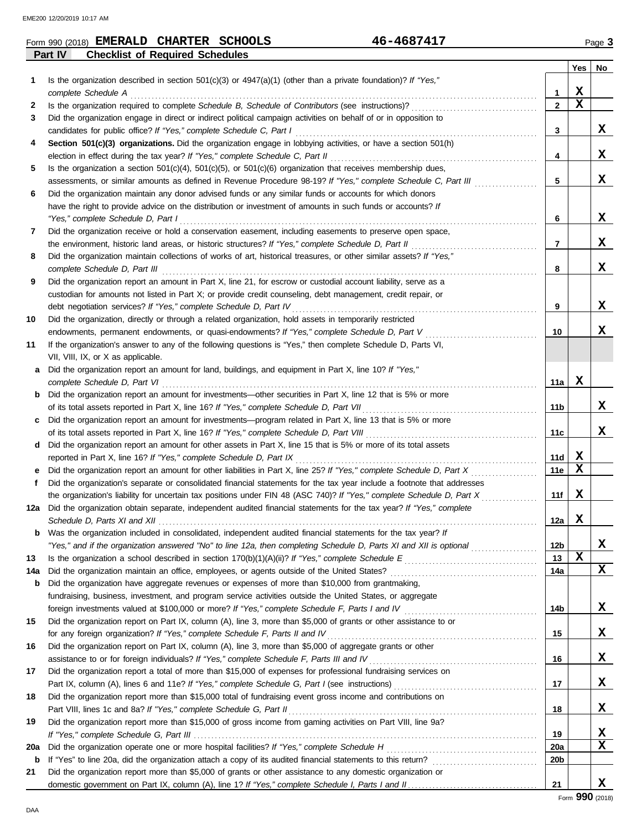| Form 990 (2018) | <b>EMERALD</b>                         | <b>CHARTER</b> | <b>SCHOOLS</b> | 46-4687417 | $P$ aqe $\sim$ |
|-----------------|----------------------------------------|----------------|----------------|------------|----------------|
| Part IV         | <b>Checklist of Required Schedules</b> |                |                |            |                |

|         |                                                                                                                                                                                                                                               |                        | <b>Yes</b>  | No     |
|---------|-----------------------------------------------------------------------------------------------------------------------------------------------------------------------------------------------------------------------------------------------|------------------------|-------------|--------|
| 1       | Is the organization described in section $501(c)(3)$ or $4947(a)(1)$ (other than a private foundation)? If "Yes,"                                                                                                                             |                        |             |        |
|         | complete Schedule A                                                                                                                                                                                                                           | 1                      | X           |        |
| 2       |                                                                                                                                                                                                                                               | $\overline{2}$         | $\mathbf x$ |        |
| 3       | Did the organization engage in direct or indirect political campaign activities on behalf of or in opposition to                                                                                                                              |                        |             |        |
|         | candidates for public office? If "Yes," complete Schedule C, Part I                                                                                                                                                                           | 3                      |             | x      |
| 4       | Section 501(c)(3) organizations. Did the organization engage in lobbying activities, or have a section 501(h)                                                                                                                                 |                        |             |        |
|         | election in effect during the tax year? If "Yes," complete Schedule C, Part II                                                                                                                                                                | 4                      |             | x      |
| 5       | Is the organization a section $501(c)(4)$ , $501(c)(5)$ , or $501(c)(6)$ organization that receives membership dues,                                                                                                                          |                        |             |        |
|         | assessments, or similar amounts as defined in Revenue Procedure 98-19? If "Yes," complete Schedule C, Part III                                                                                                                                | 5                      |             | x      |
| 6       | Did the organization maintain any donor advised funds or any similar funds or accounts for which donors                                                                                                                                       |                        |             |        |
|         | have the right to provide advice on the distribution or investment of amounts in such funds or accounts? If<br>"Yes," complete Schedule D, Part I                                                                                             |                        |             | x      |
| 7       | Did the organization receive or hold a conservation easement, including easements to preserve open space,                                                                                                                                     | 6                      |             |        |
|         | the environment, historic land areas, or historic structures? If "Yes," complete Schedule D, Part II                                                                                                                                          | $\overline{7}$         |             | x      |
| 8       | Did the organization maintain collections of works of art, historical treasures, or other similar assets? If "Yes,"                                                                                                                           |                        |             |        |
|         | complete Schedule D, Part III                                                                                                                                                                                                                 | 8                      |             | x      |
| 9       | Did the organization report an amount in Part X, line 21, for escrow or custodial account liability, serve as a                                                                                                                               |                        |             |        |
|         | custodian for amounts not listed in Part X; or provide credit counseling, debt management, credit repair, or                                                                                                                                  |                        |             |        |
|         | debt negotiation services? If "Yes," complete Schedule D, Part IV                                                                                                                                                                             | 9                      |             | x      |
| 10      | Did the organization, directly or through a related organization, hold assets in temporarily restricted                                                                                                                                       |                        |             |        |
|         | endowments, permanent endowments, or quasi-endowments? If "Yes," complete Schedule D, Part V                                                                                                                                                  | 10                     |             | x      |
| 11      | If the organization's answer to any of the following questions is "Yes," then complete Schedule D, Parts VI,                                                                                                                                  |                        |             |        |
|         | VII, VIII, IX, or X as applicable.                                                                                                                                                                                                            |                        |             |        |
| a       | Did the organization report an amount for land, buildings, and equipment in Part X, line 10? If "Yes,"                                                                                                                                        |                        |             |        |
|         | complete Schedule D, Part VI                                                                                                                                                                                                                  | 11a                    | х           |        |
| b       | Did the organization report an amount for investments—other securities in Part X, line 12 that is 5% or more                                                                                                                                  |                        |             |        |
|         | of its total assets reported in Part X, line 16? If "Yes," complete Schedule D, Part VII                                                                                                                                                      | 11b                    |             | x      |
| c       | Did the organization report an amount for investments—program related in Part X, line 13 that is 5% or more                                                                                                                                   |                        |             |        |
|         |                                                                                                                                                                                                                                               | 11c                    |             | x      |
| d       | Did the organization report an amount for other assets in Part X, line 15 that is 5% or more of its total assets                                                                                                                              |                        |             |        |
|         | reported in Part X, line 16? If "Yes," complete Schedule D, Part IX                                                                                                                                                                           | 11d                    | X<br>X      |        |
|         | Did the organization report an amount for other liabilities in Part X, line 25? If "Yes," complete Schedule D, Part X                                                                                                                         | 11e                    |             |        |
| f       | Did the organization's separate or consolidated financial statements for the tax year include a footnote that addresses                                                                                                                       | 11f                    | х           |        |
| 12a     | the organization's liability for uncertain tax positions under FIN 48 (ASC 740)? If "Yes," complete Schedule D, Part X<br>Did the organization obtain separate, independent audited financial statements for the tax year? If "Yes," complete |                        |             |        |
|         |                                                                                                                                                                                                                                               | 12a                    | х           |        |
|         | Was the organization included in consolidated, independent audited financial statements for the tax year? If                                                                                                                                  |                        |             |        |
|         | "Yes," and if the organization answered "No" to line 12a, then completing Schedule D, Parts XI and XII is optional <i>commination</i>                                                                                                         | 12 <sub>b</sub>        |             | X      |
| 13      |                                                                                                                                                                                                                                               | 13                     | X           |        |
| 14a     |                                                                                                                                                                                                                                               | 14a                    |             | x      |
| b       | Did the organization have aggregate revenues or expenses of more than \$10,000 from grantmaking,                                                                                                                                              |                        |             |        |
|         | fundraising, business, investment, and program service activities outside the United States, or aggregate                                                                                                                                     |                        |             |        |
|         |                                                                                                                                                                                                                                               | 14b                    |             | X      |
| 15      | Did the organization report on Part IX, column (A), line 3, more than \$5,000 of grants or other assistance to or                                                                                                                             |                        |             |        |
|         | for any foreign organization? If "Yes," complete Schedule F, Parts II and IV                                                                                                                                                                  | 15                     |             | X      |
| 16      | Did the organization report on Part IX, column (A), line 3, more than \$5,000 of aggregate grants or other                                                                                                                                    |                        |             |        |
|         | assistance to or for foreign individuals? If "Yes," complete Schedule F, Parts III and IV [[[[[[[[[[[[[[[[[[[                                                                                                                                 | 16                     |             | X      |
| 17      | Did the organization report a total of more than \$15,000 of expenses for professional fundraising services on                                                                                                                                |                        |             |        |
|         |                                                                                                                                                                                                                                               | 17                     |             | X      |
| 18      | Did the organization report more than \$15,000 total of fundraising event gross income and contributions on                                                                                                                                   |                        |             |        |
|         | Part VIII, lines 1c and 8a? If "Yes," complete Schedule G, Part II                                                                                                                                                                            | 18                     |             | X      |
| 19      | Did the organization report more than \$15,000 of gross income from gaming activities on Part VIII, line 9a?                                                                                                                                  |                        |             |        |
|         |                                                                                                                                                                                                                                               | 19                     |             | X<br>X |
| 20a     |                                                                                                                                                                                                                                               | 20a<br>20 <sub>b</sub> |             |        |
| b<br>21 | Did the organization report more than \$5,000 of grants or other assistance to any domestic organization or                                                                                                                                   |                        |             |        |
|         |                                                                                                                                                                                                                                               | 21                     |             | X      |
|         |                                                                                                                                                                                                                                               |                        |             |        |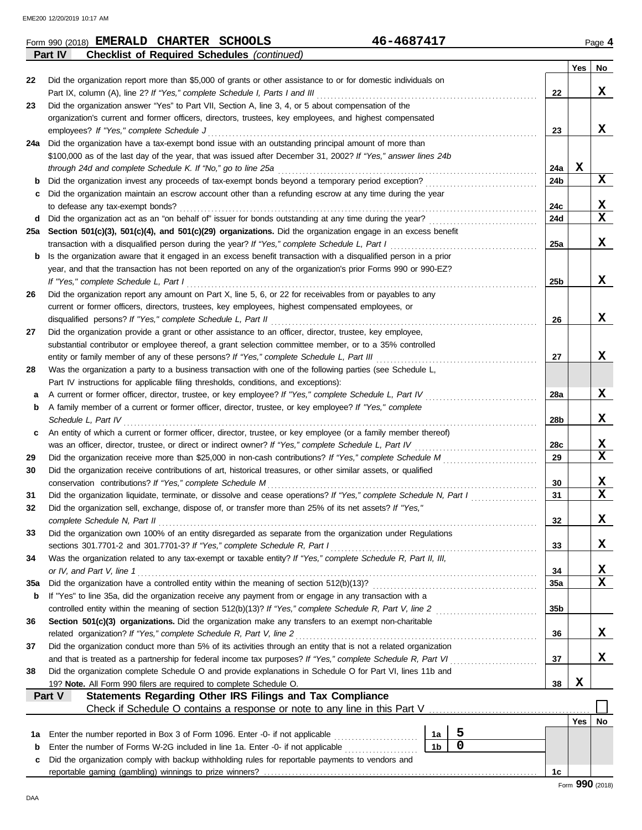|        | 46-4687417<br>Form 990 (2018) EMERALD CHARTER SCHOOLS                                                                                                                                                             |                 |             | Page 4            |
|--------|-------------------------------------------------------------------------------------------------------------------------------------------------------------------------------------------------------------------|-----------------|-------------|-------------------|
|        | Part IV<br><b>Checklist of Required Schedules (continued)</b>                                                                                                                                                     |                 |             |                   |
|        |                                                                                                                                                                                                                   |                 |             | Yes   No          |
| 22     | Did the organization report more than \$5,000 of grants or other assistance to or for domestic individuals on                                                                                                     |                 |             |                   |
|        | Part IX, column (A), line 2? If "Yes," complete Schedule I, Parts I and III                                                                                                                                       | 22              |             | X                 |
| 23     | Did the organization answer "Yes" to Part VII, Section A, line 3, 4, or 5 about compensation of the                                                                                                               |                 |             |                   |
|        | organization's current and former officers, directors, trustees, key employees, and highest compensated                                                                                                           |                 |             | x                 |
|        | employees? If "Yes," complete Schedule J<br>24a Did the organization have a tax-exempt bond issue with an outstanding principal amount of more than                                                               | 23              |             |                   |
|        | \$100,000 as of the last day of the year, that was issued after December 31, 2002? If "Yes," answer lines 24b                                                                                                     |                 |             |                   |
|        | through 24d and complete Schedule K. If "No," go to line 25a                                                                                                                                                      | 24a             | $\mathbf x$ |                   |
| b      | Did the organization invest any proceeds of tax-exempt bonds beyond a temporary period exception?                                                                                                                 | 24b             |             | X                 |
| c      | Did the organization maintain an escrow account other than a refunding escrow at any time during the year                                                                                                         |                 |             |                   |
|        | to defease any tax-exempt bonds?                                                                                                                                                                                  | 24c             |             | X                 |
| d      | Did the organization act as an "on behalf of" issuer for bonds outstanding at any time during the year?                                                                                                           | 24d             |             | $\mathbf x$       |
|        | 25a Section 501(c)(3), 501(c)(4), and 501(c)(29) organizations. Did the organization engage in an excess benefit                                                                                                  |                 |             |                   |
|        | transaction with a disqualified person during the year? If "Yes," complete Schedule L, Part I                                                                                                                     | 25a             |             | X                 |
| b      | Is the organization aware that it engaged in an excess benefit transaction with a disqualified person in a prior                                                                                                  |                 |             |                   |
|        | year, and that the transaction has not been reported on any of the organization's prior Forms 990 or 990-EZ?                                                                                                      |                 |             |                   |
|        | If "Yes," complete Schedule L, Part I                                                                                                                                                                             | 25b             |             | X                 |
| 26     | Did the organization report any amount on Part X, line 5, 6, or 22 for receivables from or payables to any                                                                                                        |                 |             |                   |
|        | current or former officers, directors, trustees, key employees, highest compensated employees, or                                                                                                                 |                 |             |                   |
|        | disqualified persons? If "Yes," complete Schedule L, Part II                                                                                                                                                      | 26              |             | X                 |
| 27     | Did the organization provide a grant or other assistance to an officer, director, trustee, key employee,                                                                                                          |                 |             |                   |
|        | substantial contributor or employee thereof, a grant selection committee member, or to a 35% controlled                                                                                                           |                 |             |                   |
|        | entity or family member of any of these persons? If "Yes," complete Schedule L, Part III                                                                                                                          | 27              |             | X                 |
| 28     | Was the organization a party to a business transaction with one of the following parties (see Schedule L,                                                                                                         |                 |             |                   |
|        | Part IV instructions for applicable filing thresholds, conditions, and exceptions):                                                                                                                               | 28a             |             | X                 |
| а<br>b | A current or former officer, director, trustee, or key employee? If "Yes," complete Schedule L, Part IV<br>A family member of a current or former officer, director, trustee, or key employee? If "Yes," complete |                 |             |                   |
|        | Schedule L, Part IV                                                                                                                                                                                               | 28b             |             | x                 |
| c      | An entity of which a current or former officer, director, trustee, or key employee (or a family member thereof)                                                                                                   |                 |             |                   |
|        | was an officer, director, trustee, or direct or indirect owner? If "Yes," complete Schedule L, Part IV                                                                                                            | 28c             |             | X                 |
| 29     | Did the organization receive more than \$25,000 in non-cash contributions? If "Yes," complete Schedule M                                                                                                          | 29              |             | $\mathbf x$       |
| 30     | Did the organization receive contributions of art, historical treasures, or other similar assets, or qualified                                                                                                    |                 |             |                   |
|        | conservation contributions? If "Yes," complete Schedule M                                                                                                                                                         | 30              |             | X                 |
| 31     | Did the organization liquidate, terminate, or dissolve and cease operations? If "Yes," complete Schedule N, Part I                                                                                                | 31              |             | $\mathbf x$       |
|        | Did the organization sell, exchange, dispose of, or transfer more than 25% of its net assets? If "Yes,"                                                                                                           |                 |             |                   |
|        | complete Schedule N, Part II                                                                                                                                                                                      | 32              |             | X                 |
| 33     | Did the organization own 100% of an entity disregarded as separate from the organization under Regulations                                                                                                        |                 |             |                   |
|        | sections 301.7701-2 and 301.7701-3? If "Yes," complete Schedule R, Part I                                                                                                                                         | 33              |             | X                 |
| 34     | Was the organization related to any tax-exempt or taxable entity? If "Yes," complete Schedule R, Part II, III,                                                                                                    |                 |             |                   |
|        | or IV, and Part V, line 1                                                                                                                                                                                         | 34              |             | X                 |
| 35a    | Did the organization have a controlled entity within the meaning of section 512(b)(13)?                                                                                                                           | <b>35a</b>      |             | X                 |
| b      | If "Yes" to line 35a, did the organization receive any payment from or engage in any transaction with a                                                                                                           |                 |             |                   |
|        | controlled entity within the meaning of section 512(b)(13)? If "Yes," complete Schedule R, Part V, line 2                                                                                                         | 35 <sub>b</sub> |             |                   |
| 36     | Section 501(c)(3) organizations. Did the organization make any transfers to an exempt non-charitable                                                                                                              |                 |             |                   |
|        | related organization? If "Yes," complete Schedule R, Part V, line 2                                                                                                                                               | 36              |             | X                 |
| 37     | Did the organization conduct more than 5% of its activities through an entity that is not a related organization                                                                                                  |                 |             |                   |
|        | and that is treated as a partnership for federal income tax purposes? If "Yes," complete Schedule R, Part VI                                                                                                      | 37              |             | X                 |
| 38     | Did the organization complete Schedule O and provide explanations in Schedule O for Part VI, lines 11b and                                                                                                        |                 | X           |                   |
|        | 19? Note. All Form 990 filers are required to complete Schedule O.<br><b>Statements Regarding Other IRS Filings and Tax Compliance</b><br>Part V                                                                  | 38              |             |                   |
|        | Check if Schedule O contains a response or note to any line in this Part V [11] Check if Schedule O contains a response or note to any line in this Part V                                                        |                 |             |                   |
|        |                                                                                                                                                                                                                   |                 | Yes         | No                |
| 1а     | 5<br>Enter the number reported in Box 3 of Form 1096. Enter -0- if not applicable<br>1a                                                                                                                           |                 |             |                   |
| b      | $\mathbf 0$<br>1 <sub>b</sub><br>Enter the number of Forms W-2G included in line 1a. Enter -0- if not applicable                                                                                                  |                 |             |                   |
| c      | Did the organization comply with backup withholding rules for reportable payments to vendors and                                                                                                                  |                 |             |                   |
|        |                                                                                                                                                                                                                   | 1c              |             |                   |
|        |                                                                                                                                                                                                                   |                 |             | $Form$ 990 (2018) |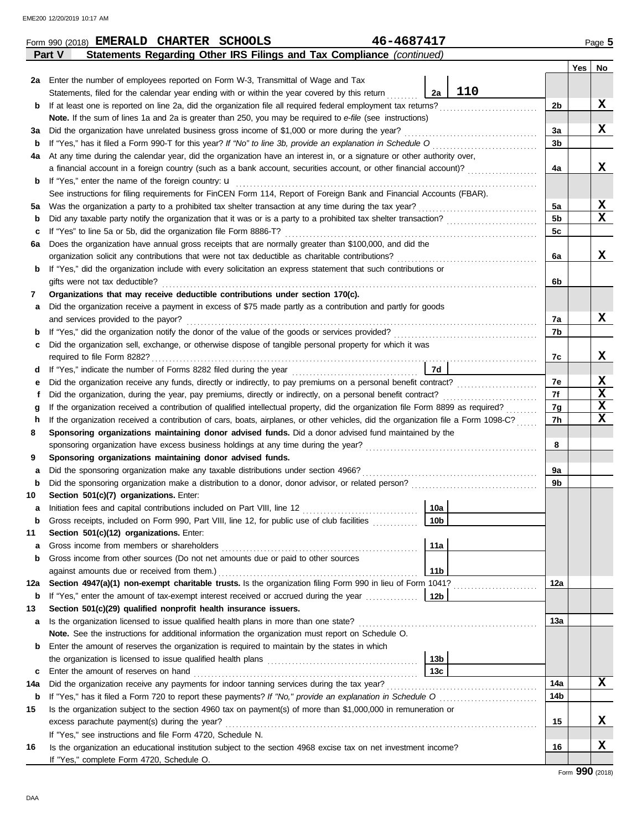|     | Form 990 (2018) EMERALD CHARTER SCHOOLS                                                                                                                                                            | 46-4687417      |                |     | Page 5      |
|-----|----------------------------------------------------------------------------------------------------------------------------------------------------------------------------------------------------|-----------------|----------------|-----|-------------|
|     | Statements Regarding Other IRS Filings and Tax Compliance (continued)<br>Part V                                                                                                                    |                 |                |     |             |
|     |                                                                                                                                                                                                    |                 |                | Yes | No          |
|     | 2a Enter the number of employees reported on Form W-3, Transmittal of Wage and Tax                                                                                                                 |                 |                |     |             |
|     | Statements, filed for the calendar year ending with or within the year covered by this return                                                                                                      | 110<br>2a       |                |     |             |
| b   | If at least one is reported on line 2a, did the organization file all required federal employment tax returns?                                                                                     |                 | 2b             |     | X           |
|     | Note. If the sum of lines 1a and 2a is greater than 250, you may be required to e-file (see instructions)                                                                                          |                 |                |     |             |
| За  | Did the organization have unrelated business gross income of \$1,000 or more during the year?                                                                                                      |                 | 3a             |     | X           |
| b   | If "Yes," has it filed a Form 990-T for this year? If "No" to line 3b, provide an explanation in Schedule O                                                                                        |                 | 3b             |     |             |
| 4a  | At any time during the calendar year, did the organization have an interest in, or a signature or other authority over,                                                                            |                 |                |     |             |
|     | a financial account in a foreign country (such as a bank account, securities account, or other financial account)?                                                                                 |                 | 4a             |     | X           |
| b   | If "Yes," enter the name of the foreign country: u                                                                                                                                                 |                 |                |     |             |
|     | See instructions for filing requirements for FinCEN Form 114, Report of Foreign Bank and Financial Accounts (FBAR).                                                                                |                 |                |     |             |
| 5a  | Was the organization a party to a prohibited tax shelter transaction at any time during the tax year?                                                                                              |                 | 5a             |     | X           |
| b   | Did any taxable party notify the organization that it was or is a party to a prohibited tax shelter transaction?                                                                                   |                 | 5 <sub>b</sub> |     | $\mathbf x$ |
| c   | If "Yes" to line 5a or 5b, did the organization file Form 8886-T?                                                                                                                                  |                 | 5c             |     |             |
| 6а  | Does the organization have annual gross receipts that are normally greater than \$100,000, and did the                                                                                             |                 |                |     |             |
|     | organization solicit any contributions that were not tax deductible as charitable contributions?                                                                                                   |                 | 6a             |     | X           |
| b   | If "Yes," did the organization include with every solicitation an express statement that such contributions or                                                                                     |                 |                |     |             |
|     | gifts were not tax deductible?                                                                                                                                                                     |                 | 6b             |     |             |
| 7   | Organizations that may receive deductible contributions under section 170(c).                                                                                                                      |                 |                |     |             |
| а   | Did the organization receive a payment in excess of \$75 made partly as a contribution and partly for goods                                                                                        |                 |                |     |             |
|     | and services provided to the payor?                                                                                                                                                                |                 | 7a             |     | X           |
| b   | If "Yes," did the organization notify the donor of the value of the goods or services provided?<br>If "Yes," did the organization notify the donor of the value of the goods or services provided? |                 | 7b             |     |             |
| c   | Did the organization sell, exchange, or otherwise dispose of tangible personal property for which it was                                                                                           |                 |                |     |             |
|     |                                                                                                                                                                                                    |                 | 7c             |     | x           |
| d   |                                                                                                                                                                                                    | 7d              |                |     |             |
| е   | Did the organization receive any funds, directly or indirectly, to pay premiums on a personal benefit contract?                                                                                    |                 | 7e             |     | X           |
| f   | Did the organization, during the year, pay premiums, directly or indirectly, on a personal benefit contract?                                                                                       |                 | 7f             |     | X           |
| g   | If the organization received a contribution of qualified intellectual property, did the organization file Form 8899 as required?                                                                   |                 | 7g             |     | X           |
| h   | If the organization received a contribution of cars, boats, airplanes, or other vehicles, did the organization file a Form 1098-C?                                                                 |                 | 7h             |     | X           |
| 8   | Sponsoring organizations maintaining donor advised funds. Did a donor advised fund maintained by the                                                                                               |                 |                |     |             |
|     | sponsoring organization have excess business holdings at any time during the year?                                                                                                                 |                 | 8              |     |             |
| 9   | Sponsoring organizations maintaining donor advised funds.                                                                                                                                          |                 |                |     |             |
| а   | Did the sponsoring organization make any taxable distributions under section 4966?                                                                                                                 |                 | 9a             |     |             |
| b   |                                                                                                                                                                                                    |                 | 9b             |     |             |
| 10  | Section 501(c)(7) organizations. Enter:                                                                                                                                                            |                 |                |     |             |
|     |                                                                                                                                                                                                    | 10a             |                |     |             |
| b   | Gross receipts, included on Form 990, Part VIII, line 12, for public use of club facilities                                                                                                        | 10 <sub>b</sub> |                |     |             |
| 11  | Section 501(c)(12) organizations. Enter:                                                                                                                                                           |                 |                |     |             |
| а   | Gross income from members or shareholders                                                                                                                                                          | 11a             |                |     |             |
| b   | Gross income from other sources (Do not net amounts due or paid to other sources                                                                                                                   |                 |                |     |             |
|     | against amounts due or received from them.)                                                                                                                                                        | 11 <sub>b</sub> |                |     |             |
| 12a | Section 4947(a)(1) non-exempt charitable trusts. Is the organization filing Form 990 in lieu of Form 1041?                                                                                         |                 | 12a            |     |             |
| b   | If "Yes," enter the amount of tax-exempt interest received or accrued during the year                                                                                                              | 12b             |                |     |             |
| 13  | Section 501(c)(29) qualified nonprofit health insurance issuers.                                                                                                                                   |                 |                |     |             |
| a   | Is the organization licensed to issue qualified health plans in more than one state?                                                                                                               |                 | 13a            |     |             |
|     | Note. See the instructions for additional information the organization must report on Schedule O.                                                                                                  |                 |                |     |             |
| b   | Enter the amount of reserves the organization is required to maintain by the states in which                                                                                                       |                 |                |     |             |
|     |                                                                                                                                                                                                    | 13 <sub>b</sub> |                |     |             |
| c   | Enter the amount of reserves on hand                                                                                                                                                               | 13c             |                |     |             |
| 14a | Did the organization receive any payments for indoor tanning services during the tax year?                                                                                                         |                 | 14a            |     | x           |
| b   | If "Yes," has it filed a Form 720 to report these payments? If "No," provide an explanation in Schedule O                                                                                          |                 | 14b            |     |             |
| 15  | Is the organization subject to the section 4960 tax on payment(s) of more than \$1,000,000 in remuneration or                                                                                      |                 |                |     |             |
|     | excess parachute payment(s) during the year?                                                                                                                                                       |                 | 15             |     | X           |
|     | If "Yes," see instructions and file Form 4720, Schedule N.                                                                                                                                         |                 |                |     |             |
| 16  | Is the organization an educational institution subject to the section 4968 excise tax on net investment income?                                                                                    |                 | 16             |     | X           |
|     | If "Yes," complete Form 4720, Schedule O.                                                                                                                                                          |                 |                |     |             |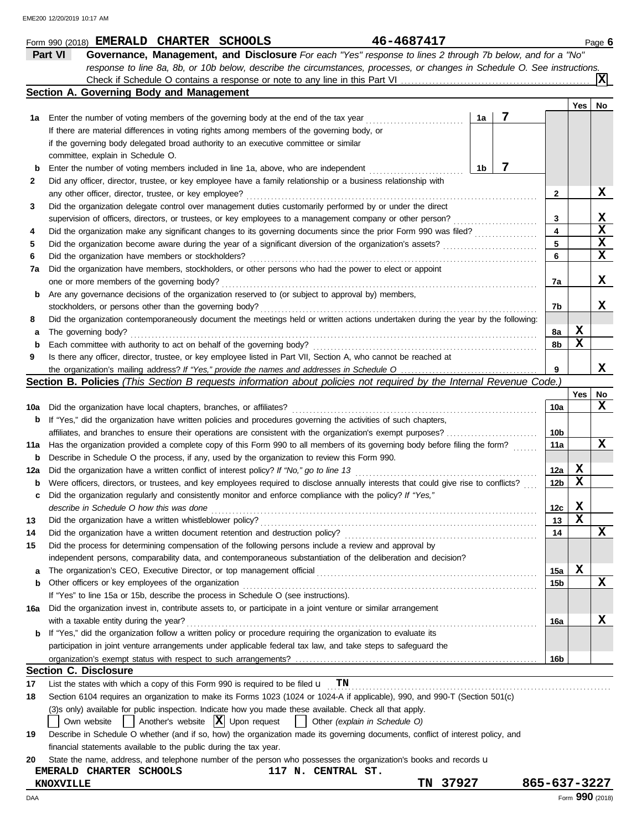|     | 46-4687417<br>Form 990 (2018) EMERALD CHARTER SCHOOLS                                                                               |                |   |                 |             | Page 6      |  |  |  |  |  |
|-----|-------------------------------------------------------------------------------------------------------------------------------------|----------------|---|-----------------|-------------|-------------|--|--|--|--|--|
|     | Part VI<br>Governance, Management, and Disclosure For each "Yes" response to lines 2 through 7b below, and for a "No"               |                |   |                 |             |             |  |  |  |  |  |
|     | response to line 8a, 8b, or 10b below, describe the circumstances, processes, or changes in Schedule O. See instructions.           |                |   |                 |             |             |  |  |  |  |  |
|     |                                                                                                                                     |                |   |                 |             | ΙXΙ         |  |  |  |  |  |
|     | Section A. Governing Body and Management                                                                                            |                |   |                 |             |             |  |  |  |  |  |
|     |                                                                                                                                     |                |   |                 | Yes         | No          |  |  |  |  |  |
| 1а  | Enter the number of voting members of the governing body at the end of the tax year                                                 | 1a             | 7 |                 |             |             |  |  |  |  |  |
|     | If there are material differences in voting rights among members of the governing body, or                                          |                |   |                 |             |             |  |  |  |  |  |
|     |                                                                                                                                     |                |   |                 |             |             |  |  |  |  |  |
|     | if the governing body delegated broad authority to an executive committee or similar                                                |                |   |                 |             |             |  |  |  |  |  |
|     | committee, explain in Schedule O.                                                                                                   |                |   |                 |             |             |  |  |  |  |  |
| b   | Enter the number of voting members included in line 1a, above, who are independent                                                  | 1 <sub>b</sub> | 7 |                 |             |             |  |  |  |  |  |
| 2   | Did any officer, director, trustee, or key employee have a family relationship or a business relationship with                      |                |   |                 |             |             |  |  |  |  |  |
|     | any other officer, director, trustee, or key employee?                                                                              |                |   | 2               |             | X           |  |  |  |  |  |
| 3   | Did the organization delegate control over management duties customarily performed by or under the direct                           |                |   |                 |             |             |  |  |  |  |  |
|     | supervision of officers, directors, or trustees, or key employees to a management company or other person?                          |                |   |                 |             |             |  |  |  |  |  |
| 4   | Did the organization make any significant changes to its governing documents since the prior Form 990 was filed?                    |                |   |                 |             |             |  |  |  |  |  |
| 5   | Did the organization become aware during the year of a significant diversion of the organization's assets?                          |                |   | 5               |             | X           |  |  |  |  |  |
| 6   | Did the organization have members or stockholders?                                                                                  |                |   | 6               |             | $\mathbf x$ |  |  |  |  |  |
| 7а  | Did the organization have members, stockholders, or other persons who had the power to elect or appoint                             |                |   |                 |             |             |  |  |  |  |  |
|     | one or more members of the governing body?                                                                                          |                |   | 7a              |             | X           |  |  |  |  |  |
|     |                                                                                                                                     |                |   |                 |             |             |  |  |  |  |  |
| b   | Are any governance decisions of the organization reserved to (or subject to approval by) members,                                   |                |   |                 |             |             |  |  |  |  |  |
|     | stockholders, or persons other than the governing body?                                                                             |                |   | 7b              |             | x           |  |  |  |  |  |
| 8   | Did the organization contemporaneously document the meetings held or written actions undertaken during the year by the following:   |                |   |                 |             |             |  |  |  |  |  |
| а   | The governing body?                                                                                                                 |                |   | 8а              | x           |             |  |  |  |  |  |
| b   | Each committee with authority to act on behalf of the governing body?                                                               |                |   | 8b              | X           |             |  |  |  |  |  |
| 9   | Is there any officer, director, trustee, or key employee listed in Part VII, Section A, who cannot be reached at                    |                |   |                 |             |             |  |  |  |  |  |
|     |                                                                                                                                     |                |   | 9               |             | x           |  |  |  |  |  |
|     | <b>Section B. Policies</b> (This Section B requests information about policies not required by the Internal Revenue Code.)          |                |   |                 |             |             |  |  |  |  |  |
|     |                                                                                                                                     |                |   |                 | Yes         | No          |  |  |  |  |  |
| 10a | Did the organization have local chapters, branches, or affiliates?                                                                  |                |   | 10a             |             | x           |  |  |  |  |  |
| b   | If "Yes," did the organization have written policies and procedures governing the activities of such chapters,                      |                |   |                 |             |             |  |  |  |  |  |
|     | affiliates, and branches to ensure their operations are consistent with the organization's exempt purposes?                         |                |   | 10b             |             |             |  |  |  |  |  |
|     |                                                                                                                                     |                |   | 11a             |             | X           |  |  |  |  |  |
| 11a | Has the organization provided a complete copy of this Form 990 to all members of its governing body before filing the form?         |                |   |                 |             |             |  |  |  |  |  |
| b   | Describe in Schedule O the process, if any, used by the organization to review this Form 990.                                       |                |   |                 |             |             |  |  |  |  |  |
| 12a | Did the organization have a written conflict of interest policy? If "No," go to line 13                                             |                |   | 12a             | X           |             |  |  |  |  |  |
| b   | Were officers, directors, or trustees, and key employees required to disclose annually interests that could give rise to conflicts? |                |   | 12b             | X           |             |  |  |  |  |  |
|     | Did the organization regularly and consistently monitor and enforce compliance with the policy? If "Yes,"                           |                |   |                 |             |             |  |  |  |  |  |
|     | describe in Schedule O how this was done                                                                                            |                |   | 12 <sub>c</sub> | $\mathbf x$ |             |  |  |  |  |  |
| 13  | Did the organization have a written whistleblower policy?                                                                           |                |   | 13              | $\mathbf x$ |             |  |  |  |  |  |
| 14  | Did the organization have a written document retention and destruction policy?                                                      |                |   | 14              |             | x           |  |  |  |  |  |
| 15  | Did the process for determining compensation of the following persons include a review and approval by                              |                |   |                 |             |             |  |  |  |  |  |
|     | independent persons, comparability data, and contemporaneous substantiation of the deliberation and decision?                       |                |   |                 |             |             |  |  |  |  |  |
| a   | The organization's CEO, Executive Director, or top management official                                                              |                |   | 15a             | X           |             |  |  |  |  |  |
| b   | Other officers or key employees of the organization                                                                                 |                |   | 15b             |             | X           |  |  |  |  |  |
|     | If "Yes" to line 15a or 15b, describe the process in Schedule O (see instructions).                                                 |                |   |                 |             |             |  |  |  |  |  |
|     |                                                                                                                                     |                |   |                 |             |             |  |  |  |  |  |
| 16a | Did the organization invest in, contribute assets to, or participate in a joint venture or similar arrangement                      |                |   |                 |             |             |  |  |  |  |  |
|     | with a taxable entity during the year?                                                                                              |                |   | 16a             |             | X           |  |  |  |  |  |
|     | <b>b</b> If "Yes," did the organization follow a written policy or procedure requiring the organization to evaluate its             |                |   |                 |             |             |  |  |  |  |  |
|     | participation in joint venture arrangements under applicable federal tax law, and take steps to safeguard the                       |                |   |                 |             |             |  |  |  |  |  |
|     |                                                                                                                                     |                |   | 16b             |             |             |  |  |  |  |  |
|     | <b>Section C. Disclosure</b>                                                                                                        |                |   |                 |             |             |  |  |  |  |  |
| 17  | List the states with which a copy of this Form 990 is required to be filed $\mathbf{u}$ TN                                          |                |   |                 |             |             |  |  |  |  |  |
| 18  | Section 6104 requires an organization to make its Forms 1023 (1024 or 1024-A if applicable), 990, and 990-T (Section 501(c)         |                |   |                 |             |             |  |  |  |  |  |
|     | (3)s only) available for public inspection. Indicate how you made these available. Check all that apply.                            |                |   |                 |             |             |  |  |  |  |  |
|     | Another's website $ \mathbf{X} $ Upon request<br>Own website<br>Other (explain in Schedule O)                                       |                |   |                 |             |             |  |  |  |  |  |
| 19  | Describe in Schedule O whether (and if so, how) the organization made its governing documents, conflict of interest policy, and     |                |   |                 |             |             |  |  |  |  |  |
|     | financial statements available to the public during the tax year.                                                                   |                |   |                 |             |             |  |  |  |  |  |
|     |                                                                                                                                     |                |   |                 |             |             |  |  |  |  |  |
| 20  | State the name, address, and telephone number of the person who possesses the organization's books and records u                    |                |   |                 |             |             |  |  |  |  |  |
|     | 117 N. CENTRAL ST.<br>EMERALD CHARTER SCHOOLS                                                                                       |                |   |                 |             |             |  |  |  |  |  |
|     | TN 37927<br><b>KNOXVILLE</b>                                                                                                        |                |   | 865-637-3227    |             |             |  |  |  |  |  |

DAA Form **990** (2018)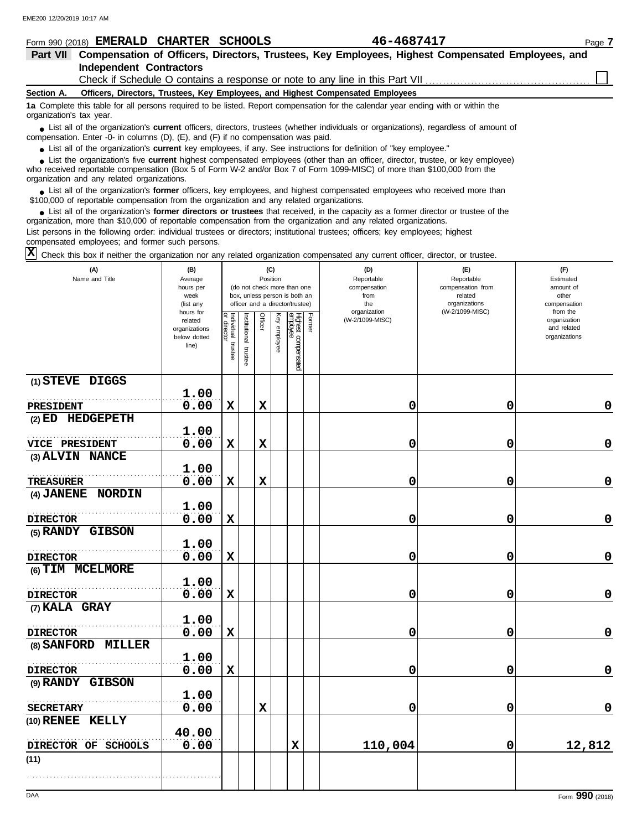|                                                                                                                                                               | Form 990 (2018) <b>EMERALD</b>                                                                                                                                                                                                                                                                             | CHARTER SCHOOLS |  | 46-4687417                                                                                                                                                                                                             | Page 7 |  |  |  |  |  |
|---------------------------------------------------------------------------------------------------------------------------------------------------------------|------------------------------------------------------------------------------------------------------------------------------------------------------------------------------------------------------------------------------------------------------------------------------------------------------------|-----------------|--|------------------------------------------------------------------------------------------------------------------------------------------------------------------------------------------------------------------------|--------|--|--|--|--|--|
| Compensation of Officers, Directors, Trustees, Key Employees, Highest Compensated Employees, and<br><b>Part VII</b>                                           |                                                                                                                                                                                                                                                                                                            |                 |  |                                                                                                                                                                                                                        |        |  |  |  |  |  |
|                                                                                                                                                               | <b>Independent Contractors</b>                                                                                                                                                                                                                                                                             |                 |  |                                                                                                                                                                                                                        |        |  |  |  |  |  |
|                                                                                                                                                               |                                                                                                                                                                                                                                                                                                            |                 |  | Check if Schedule O contains a response or note to any line in this Part VII                                                                                                                                           |        |  |  |  |  |  |
| Section A.                                                                                                                                                    |                                                                                                                                                                                                                                                                                                            |                 |  | Officers, Directors, Trustees, Key Employees, and Highest Compensated Employees                                                                                                                                        |        |  |  |  |  |  |
| 1a Complete this table for all persons required to be listed. Report compensation for the calendar year ending with or within the<br>organization's tax year. |                                                                                                                                                                                                                                                                                                            |                 |  |                                                                                                                                                                                                                        |        |  |  |  |  |  |
|                                                                                                                                                               | compensation. Enter -0- in columns $(D)$ , $(E)$ , and $(F)$ if no compensation was paid.                                                                                                                                                                                                                  |                 |  | • List all of the organization's <b>current</b> officers, directors, trustees (whether individuals or organizations), regardless of amount of                                                                          |        |  |  |  |  |  |
|                                                                                                                                                               |                                                                                                                                                                                                                                                                                                            |                 |  | • List all of the organization's <b>current</b> key employees, if any. See instructions for definition of "key employee."                                                                                              |        |  |  |  |  |  |
|                                                                                                                                                               | • List the organization's five current highest compensated employees (other than an officer, director, trustee, or key employee)<br>who received reportable compensation (Box 5 of Form W-2 and/or Box 7 of Form 1099-MISC) of more than \$100,000 from the<br>organization and any related organizations. |                 |  |                                                                                                                                                                                                                        |        |  |  |  |  |  |
|                                                                                                                                                               |                                                                                                                                                                                                                                                                                                            |                 |  | • List all of the organization's former officers, key employees, and highest compensated employees who received more than<br>\$100,000 of reportable compensation from the organization and any related organizations. |        |  |  |  |  |  |

List all of the organization's **former directors or trustees** that received, in the capacity as a former director or trustee of the • List all of the organization's **former directors or trustees** that received, in the capacity as a former director organization, more than \$10,000 of reportable compensation from the organization and any related organizat List persons in the following order: individual trustees or directors; institutional trustees; officers; key employees; highest

compensated employees; and former such persons.

 $\overline{X}$  Check this box if neither the organization nor any related organization compensated any current officer, director, or trustee.

| (A)<br>Name and Title             | (B)<br>Average<br>hours per<br>week<br>(list any<br>hours for<br>related | (C)<br>Position<br>(do not check more than one<br>box, unless person is both an<br>officer and a director/trustee)<br>Officer |                          |             |              |                                  | Former | (D)<br>Reportable<br>compensation<br>from<br>the<br>organization<br>(W-2/1099-MISC) | (E)<br>Reportable<br>compensation from<br>related<br>organizations<br>(W-2/1099-MISC) | (F)<br>Estimated<br>amount of<br>other<br>compensation<br>from the<br>organization |
|-----------------------------------|--------------------------------------------------------------------------|-------------------------------------------------------------------------------------------------------------------------------|--------------------------|-------------|--------------|----------------------------------|--------|-------------------------------------------------------------------------------------|---------------------------------------------------------------------------------------|------------------------------------------------------------------------------------|
|                                   | organizations<br>below dotted<br>line)                                   | Individual<br>or director<br>trustee                                                                                          | Institutional<br>trustee |             | Key employee | Highest compenseited<br>employee |        |                                                                                     |                                                                                       | and related<br>organizations                                                       |
| (1) STEVE DIGGS                   | 1.00                                                                     |                                                                                                                               |                          |             |              |                                  |        |                                                                                     |                                                                                       |                                                                                    |
| PRESIDENT                         | 0.00                                                                     | $\mathbf x$                                                                                                                   |                          | $\mathbf x$ |              |                                  |        | 0                                                                                   | 0                                                                                     | $\mathbf 0$                                                                        |
| <b>HEDGEPETH</b><br>$(2)$ ED      |                                                                          |                                                                                                                               |                          |             |              |                                  |        |                                                                                     |                                                                                       |                                                                                    |
|                                   | 1.00<br>0.00                                                             | $\mathbf x$                                                                                                                   |                          | $\mathbf x$ |              |                                  |        | 0                                                                                   | 0                                                                                     | $\pmb{0}$                                                                          |
| VICE PRESIDENT<br>(3) ALVIN NANCE |                                                                          |                                                                                                                               |                          |             |              |                                  |        |                                                                                     |                                                                                       |                                                                                    |
|                                   | 1.00                                                                     |                                                                                                                               |                          |             |              |                                  |        |                                                                                     |                                                                                       |                                                                                    |
| <b>TREASURER</b>                  | 0.00                                                                     | $\mathbf x$                                                                                                                   |                          | $\mathbf x$ |              |                                  |        | 0                                                                                   | 0                                                                                     | $\mathbf 0$                                                                        |
| (4) JANENE NORDIN                 |                                                                          |                                                                                                                               |                          |             |              |                                  |        |                                                                                     |                                                                                       |                                                                                    |
|                                   | 1.00                                                                     |                                                                                                                               |                          |             |              |                                  |        |                                                                                     |                                                                                       |                                                                                    |
| <b>DIRECTOR</b>                   | 0.00                                                                     | $\mathbf x$                                                                                                                   |                          |             |              |                                  |        | 0                                                                                   | 0                                                                                     | $\pmb{0}$                                                                          |
| (5) RANDY GIBSON                  |                                                                          |                                                                                                                               |                          |             |              |                                  |        |                                                                                     |                                                                                       |                                                                                    |
|                                   | 1.00                                                                     |                                                                                                                               |                          |             |              |                                  |        |                                                                                     |                                                                                       |                                                                                    |
| <b>DIRECTOR</b>                   | 0.00                                                                     | X                                                                                                                             |                          |             |              |                                  |        | 0                                                                                   | 0                                                                                     | $\mathbf 0$                                                                        |
| (6) TIM MCELMORE                  |                                                                          |                                                                                                                               |                          |             |              |                                  |        |                                                                                     |                                                                                       |                                                                                    |
|                                   | 1.00                                                                     |                                                                                                                               |                          |             |              |                                  |        |                                                                                     |                                                                                       |                                                                                    |
| <b>DIRECTOR</b>                   | 0.00                                                                     | $\mathbf x$                                                                                                                   |                          |             |              |                                  |        | 0                                                                                   | 0                                                                                     | $\pmb{0}$                                                                          |
| (7) KALA GRAY                     |                                                                          |                                                                                                                               |                          |             |              |                                  |        |                                                                                     |                                                                                       |                                                                                    |
|                                   | 1.00                                                                     |                                                                                                                               |                          |             |              |                                  |        |                                                                                     |                                                                                       |                                                                                    |
| <b>DIRECTOR</b>                   | 0.00                                                                     | $\mathbf x$                                                                                                                   |                          |             |              |                                  |        | 0                                                                                   | 0                                                                                     | 0                                                                                  |
| (8) SANFORD MILLER                | 1.00                                                                     |                                                                                                                               |                          |             |              |                                  |        |                                                                                     |                                                                                       |                                                                                    |
| <b>DIRECTOR</b>                   | 0.00                                                                     | $\mathbf x$                                                                                                                   |                          |             |              |                                  |        | 0                                                                                   | 0                                                                                     | $\mathbf 0$                                                                        |
| (9) RANDY GIBSON                  |                                                                          |                                                                                                                               |                          |             |              |                                  |        |                                                                                     |                                                                                       |                                                                                    |
|                                   | 1.00                                                                     |                                                                                                                               |                          |             |              |                                  |        |                                                                                     |                                                                                       |                                                                                    |
| <b>SECRETARY</b>                  | 0.00                                                                     |                                                                                                                               |                          | $\mathbf x$ |              |                                  |        | 0                                                                                   | 0                                                                                     | $\mathbf 0$                                                                        |
| (10) RENEE KELLY                  |                                                                          |                                                                                                                               |                          |             |              |                                  |        |                                                                                     |                                                                                       |                                                                                    |
|                                   | 40.00                                                                    |                                                                                                                               |                          |             |              |                                  |        |                                                                                     |                                                                                       |                                                                                    |
| DIRECTOR OF SCHOOLS               | 0.00                                                                     |                                                                                                                               |                          |             |              | $\mathbf x$                      |        | 110,004                                                                             | 0                                                                                     | 12,812                                                                             |
| (11)                              |                                                                          |                                                                                                                               |                          |             |              |                                  |        |                                                                                     |                                                                                       |                                                                                    |
|                                   |                                                                          |                                                                                                                               |                          |             |              |                                  |        |                                                                                     |                                                                                       |                                                                                    |
|                                   |                                                                          |                                                                                                                               |                          |             |              |                                  |        |                                                                                     |                                                                                       |                                                                                    |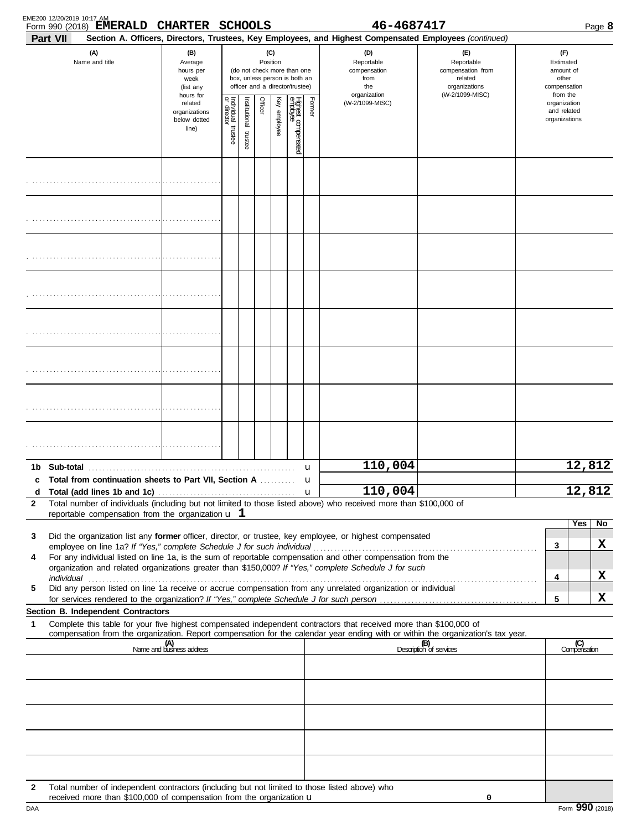| Part VII     | Form 990 (2018) EMERALD CHARTER SCHOOLS                                                                                                                                                         |                                                                |                         |                       |                                                  |                                                                    |                                                        |        | 46-4687417<br>Section A. Officers, Directors, Trustees, Key Employees, and Highest Compensated Employees (continued) |                                                                                                                                                                                                                               |                                                          | Page 8              |
|--------------|-------------------------------------------------------------------------------------------------------------------------------------------------------------------------------------------------|----------------------------------------------------------------|-------------------------|-----------------------|--------------------------------------------------|--------------------------------------------------------------------|--------------------------------------------------------|--------|----------------------------------------------------------------------------------------------------------------------|-------------------------------------------------------------------------------------------------------------------------------------------------------------------------------------------------------------------------------|----------------------------------------------------------|---------------------|
|              | (C)<br>(A)<br>(B)<br>Name and title<br>Position<br>Average<br>(do not check more than one<br>hours per<br>box, unless person is both an<br>week<br>officer and a director/trustee)<br>(list any |                                                                |                         |                       | (D)<br>Reportable<br>compensation<br>from<br>the | (E)<br>Reportable<br>compensation from<br>related<br>organizations | (F)<br>Estimated<br>amount of<br>other<br>compensation |        |                                                                                                                      |                                                                                                                                                                                                                               |                                                          |                     |
|              |                                                                                                                                                                                                 | hours for<br>related<br>organizations<br>below dotted<br>line) | Individual 1<br>trustee | Institutional trustee | Officer                                          | Key employee                                                       | Highest compersated<br>employee                        | Former | organization<br>(W-2/1099-MISC)                                                                                      | (W-2/1099-MISC)                                                                                                                                                                                                               | from the<br>organization<br>and related<br>organizations |                     |
|              |                                                                                                                                                                                                 |                                                                |                         |                       |                                                  |                                                                    |                                                        |        |                                                                                                                      |                                                                                                                                                                                                                               |                                                          |                     |
|              |                                                                                                                                                                                                 |                                                                |                         |                       |                                                  |                                                                    |                                                        |        |                                                                                                                      |                                                                                                                                                                                                                               |                                                          |                     |
|              |                                                                                                                                                                                                 |                                                                |                         |                       |                                                  |                                                                    |                                                        |        |                                                                                                                      |                                                                                                                                                                                                                               |                                                          |                     |
|              |                                                                                                                                                                                                 |                                                                |                         |                       |                                                  |                                                                    |                                                        |        |                                                                                                                      |                                                                                                                                                                                                                               |                                                          |                     |
|              |                                                                                                                                                                                                 |                                                                |                         |                       |                                                  |                                                                    |                                                        |        |                                                                                                                      |                                                                                                                                                                                                                               |                                                          |                     |
|              |                                                                                                                                                                                                 |                                                                |                         |                       |                                                  |                                                                    |                                                        |        |                                                                                                                      |                                                                                                                                                                                                                               |                                                          |                     |
|              |                                                                                                                                                                                                 |                                                                |                         |                       |                                                  |                                                                    |                                                        |        |                                                                                                                      |                                                                                                                                                                                                                               |                                                          |                     |
|              |                                                                                                                                                                                                 |                                                                |                         |                       |                                                  |                                                                    |                                                        |        |                                                                                                                      |                                                                                                                                                                                                                               |                                                          |                     |
|              | c Total from continuation sheets to Part VII. Section A                                                                                                                                         |                                                                |                         |                       |                                                  |                                                                    |                                                        | u<br>u | 110,004                                                                                                              |                                                                                                                                                                                                                               |                                                          | 12,812              |
| d            |                                                                                                                                                                                                 |                                                                |                         |                       |                                                  |                                                                    |                                                        | u      | 110,004                                                                                                              |                                                                                                                                                                                                                               |                                                          | 12,812              |
| $\mathbf{2}$ | reportable compensation from the organization $\mathbf u$ 1                                                                                                                                     |                                                                |                         |                       |                                                  |                                                                    |                                                        |        | Total number of individuals (including but not limited to those listed above) who received more than \$100,000 of    |                                                                                                                                                                                                                               |                                                          |                     |
| 3            |                                                                                                                                                                                                 |                                                                |                         |                       |                                                  |                                                                    |                                                        |        | Did the organization list any former officer, director, or trustee, key employee, or highest compensated             |                                                                                                                                                                                                                               |                                                          | Yes<br>No           |
|              |                                                                                                                                                                                                 |                                                                |                         |                       |                                                  |                                                                    |                                                        |        | For any individual listed on line 1a, is the sum of reportable compensation and other compensation from the          | employee on line 1a? If "Yes," complete Schedule J for such individual [11][11] content to the set on line 1a? If "Yes," complete Schedule J for such individual [11][11] content to the set of the set of the set of the set | 3                                                        | x                   |
| 4            |                                                                                                                                                                                                 |                                                                |                         |                       |                                                  |                                                                    |                                                        |        | organization and related organizations greater than \$150,000? If "Yes," complete Schedule J for such                |                                                                                                                                                                                                                               |                                                          |                     |
| 5            |                                                                                                                                                                                                 |                                                                |                         |                       |                                                  |                                                                    |                                                        |        | Did any person listed on line 1a receive or accrue compensation from any unrelated organization or individual        |                                                                                                                                                                                                                               | 4                                                        | X                   |
|              | Section B. Independent Contractors                                                                                                                                                              |                                                                |                         |                       |                                                  |                                                                    |                                                        |        |                                                                                                                      |                                                                                                                                                                                                                               | 5                                                        | X                   |
| 1            |                                                                                                                                                                                                 |                                                                |                         |                       |                                                  |                                                                    |                                                        |        | Complete this table for your five highest compensated independent contractors that received more than \$100,000 of   |                                                                                                                                                                                                                               |                                                          |                     |
|              |                                                                                                                                                                                                 | (A)<br>Name and business address                               |                         |                       |                                                  |                                                                    |                                                        |        |                                                                                                                      | compensation from the organization. Report compensation for the calendar year ending with or within the organization's tax year.<br>(B)<br>Description of services                                                            |                                                          | (C)<br>Compensation |
|              |                                                                                                                                                                                                 |                                                                |                         |                       |                                                  |                                                                    |                                                        |        |                                                                                                                      |                                                                                                                                                                                                                               |                                                          |                     |
|              |                                                                                                                                                                                                 |                                                                |                         |                       |                                                  |                                                                    |                                                        |        |                                                                                                                      |                                                                                                                                                                                                                               |                                                          |                     |
|              |                                                                                                                                                                                                 |                                                                |                         |                       |                                                  |                                                                    |                                                        |        |                                                                                                                      |                                                                                                                                                                                                                               |                                                          |                     |
|              |                                                                                                                                                                                                 |                                                                |                         |                       |                                                  |                                                                    |                                                        |        |                                                                                                                      |                                                                                                                                                                                                                               |                                                          |                     |
| $\mathbf{2}$ | Total number of independent contractors (including but not limited to those listed above) who<br>received more than \$100,000 of compensation from the organization u                           |                                                                |                         |                       |                                                  |                                                                    |                                                        |        |                                                                                                                      | 0                                                                                                                                                                                                                             |                                                          |                     |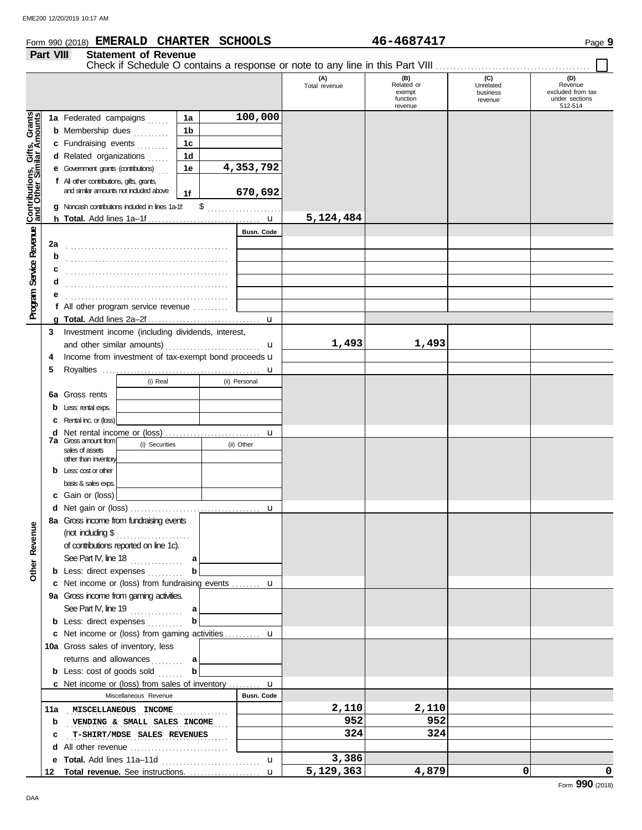## Form 990 (2018) Page **9 EMERALD CHARTER SCHOOLS 46-4687417 Part VIII Statement of Revenue** Check if Schedule O contains a response or note to any line in this Part VIII .................

|  | 46-468741 |  |  |  |  |
|--|-----------|--|--|--|--|
|  |           |  |  |  |  |
|  |           |  |  |  |  |

#### **(A) (B) (C) (D)** Unrelated<br>business Total revenue **Related or CONFORT CONFORT CONFORT REVENUE**<br>
exempt business excluded from tax exempt function under sections revenue 512-514 revenue fts, Grants **100,000 Contributions, Gifts, Grants and Other Similar Amounts 1a 1a** Federated campaigns ...... **1b b** Membership dues *. . . . .* . . . . **1c c** Fundraising events **. . . . . . .** ិ៍<u>ដ</u>ំ **1d d** Related organizations ...... **4,353,792 1e** Program Service Revenue Contributions,<br>Program Service Revenue and Other Sim **e** Government grants (contributions) . . . **f** All other contributions, gifts, grants, and similar amounts not included above **670,692 1f** \$ . . . . . . . . . . . . . . . . . . . . . **g** Noncash contributions included in lines 1a-1f: **5,124,484** u **h Total.** Add lines 1a–1f . . . . . . . . . . . . . . . . . . . . . . . . . . . . . . . . **Program Service Revenue Busn. Code 2a** . . . . . . . . . . . . . . . . . . . . . . . . . . . . . . . . . . . . . . . . . . . . . . **b c d** . . . . . . . . . . . . . . . . . . . . . . . . . . . . . . . . . . . . . . . . . . . . . . **e** . . . . . . . . . . . . . . . . . . . . . . . . . . . . . . . . . . . . . . . . . . . . . . **f** All other program service revenue . . . . . . . . . . **g Total.** Add lines 2a–2f . . . . . . . . . . . . . . . . . . . . . . . . . . . . . . . . u **3** Investment income (including dividends, interest, **1,493 1,493** and other similar amounts) . . . . . . . . . . . . . . . . . . . . . . . . . . . u 4 Income from investment of tax-exempt bond proceeds **u 5** Royalties . . . . . . . . . . . . . . . . . . . . . . . . . . . . . . . . . . . . . . . . . . . . . u (i) Real (ii) Personal **6a** Gross rents **b** Less: rental exps. **c** Rental inc. or (loss) u **d** Net rental income or (loss) ............................. **7a** Gross amount from (i) Securities (ii) Other sales of assets other than inventory **b** Less: cost or other basis & sales exps. **c** Gain or (loss) **d** u Net gain or (loss) . . . . . . . . . . . . . . . . . . . . . . . . . . . . . . . . . . . . . **8a** Gross income from fundraising events **Other Revenue Other Revenue** (not including \$ . . . . . . . . . . . . . . . . . . . . . of contributions reported on line 1c). See Part IV, line 18 **a b b** Less: direct expenses . . . . . . . . . u **c** Net income or (loss) from fundraising events . . . . . . . . Gross income from gaming activities. **9a** See Part IV, line 19 **a b b** Less: direct expenses **........**.. u Net income or (loss) from gaming activities . . . . . . . . . . **c** 10a Gross sales of inventory, less returns and allowances ......... **a b b** Less: cost of goods sold ....... u Net income or (loss) from sales of inventory . . . . . . . . . **c** Miscellaneous Revenue **Busn. Code 11a** . . . . . . . . . . . . . . . . . . . . . . . . . . . . . . . . . . . . . . . . . . . . . . **MISCELLANEOUS INCOME 2,110 2,110 b** VENDING & SMALL SALES INCOME **1. . . . . . . . . . 952** 952 **c** . . . . . . . . . . . . . . . . . . . . . . . . . . . . . . . . . . . . . . . . . . . . . . **T-SHIRT/MDSE SALES REVENUES 324 324 d** All other revenue .............................. **3,386** u **e Total.** Add lines 11a–11d . . . . . . . . . . . . . . . . . . . . . . . . . . . .

**5,129,363 4,879 0 0**

**Total revenue.** See instructions. . . . . . . . . . . . . . . . . . . . . **12**

u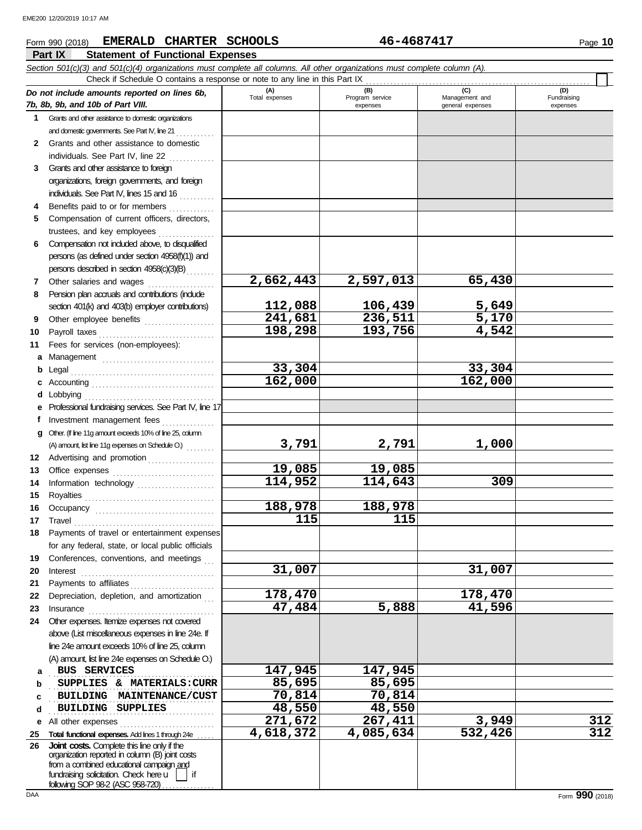#### **Part IX Statement of Functional Expenses** Form 990 (2018) Page **10 EMERALD CHARTER SCHOOLS 46-4687417** *Section 501(c)(3) and 501(c)(4) organizations must complete all columns. All other organizations must complete column (A). Do not include amounts reported on lines 6b, 7b, 8b, 9b, and 10b of Part VIII.* **1 2 3** Grants and other assistance to foreign **4 5 6 7 8 9 10 11** Fees for services (non-employees): **a** Management ................................. **b** Legal . . . . . . . . . . . . . . . . . . . . . . . . . . . . . . . . . . . . . . . . . **c** Accounting . . . . . . . . . . . . . . . . . . . . . . . . . . . . . . . . . . . **d** Lobbying . . . . . . . . . . . . . . . . . . . . . . . . . . . . . . . . . . . . . **e** Professional fundraising services. See Part IV, line 17 **f g** Other. (If line 11g amount exceeds 10% of line 25, column **12** Advertising and promotion . . . . . . . . . . . . . . . . . . **13 14 15 16 17 18 19 20 21 22** Depreciation, depletion, and amortization ... **23 24** Other expenses. Itemize expenses not covered Grants and other assistance to domestic organizations and domestic governments. See Part IV, line 21 . . . . . . . . . . . Grants and other assistance to domestic individuals. See Part IV, line 22 . . . . . . . . . . . . . organizations, foreign governments, and foreign individuals. See Part IV, lines 15 and 16 Benefits paid to or for members . . . . . . . . . . . . . Compensation of current officers, directors, trustees, and key employees ................ Compensation not included above, to disqualified persons (as defined under section 4958(f)(1)) and persons described in section 4958(c)(3)(B) . . . . . . . . Other salaries and wages ................... Pension plan accruals and contributions (include section 401(k) and 403(b) employer contributions) Other employee benefits .................... Payroll taxes . . . . . . . . . . . . . . . . . . . . . . . . . . . . . . . . . Investment management fees ................ Office expenses . . . . . . . . . . . . . . . . . . . . . . . . . . . . . Information technology ...................... Royalties . . . . . . . . . . . . . . . . . . . . . . . . . . . . . . . . . . . . . Occupancy . . . . . . . . . . . . . . . . . . . . . . . . . . . . . . . . . . Travel . . . . . . . . . . . . . . . . . . . . . . . . . . . . . . . . . . . . . . . . Payments of travel or entertainment expenses for any federal, state, or local public officials Conferences, conventions, and meetings Interest . . . . . . . . . . . . . . . . . . . . . . . . . . . . . . . . . . . . . . Payments to affiliates . . . . . . . . . . . . . . . . . . . . . . . . Insurance . . . . . . . . . . . . . . . . . . . . . . . . . . . . . . . . . . . . **(A) (B) (C) (D)** Total expenses Program service Management and expenses | general expenses (D)<br>Fundraising expenses Check if Schedule O contains a response or note to any line in this Part IX (A) amount, list line 11g expenses on Schedule O.)  $\ldots \ldots$ **2,662,443 2,597,013 65,430 112,088 106,439 5,649 241,681 236,511 5,170 198,298 193,756 4,542 33,304 33,304 162,000 162,000 3,791 2,791 1,000 19,085 19,085 114,952 114,643 309 188,978 188,978 115 115 31,007 31,007 178,470 178,470 47,484 5,888 41,596** EME200 12/20/2019 10:17 AM

**e** All other expenses . . . . . . . . . . . . . . . . . . . . . . . . . . .

above (List miscellaneous expenses in line 24e. If line 24e amount exceeds 10% of line 25, column (A) amount, list line 24e expenses on Schedule O.)

**a** . BUS SERVICES **147,945 147,945** 

**SUPPLIES & MATERIALS:CURR 85,695 85,695 BUILDING MAINTENANCE/CUST** 70,814 70,814 **BUILDING SUPPLIES 48,550 48,550** 

**271,672 267,411 3,949 312**

**4,618,372 4,085,634 532,426 312**

**b c d**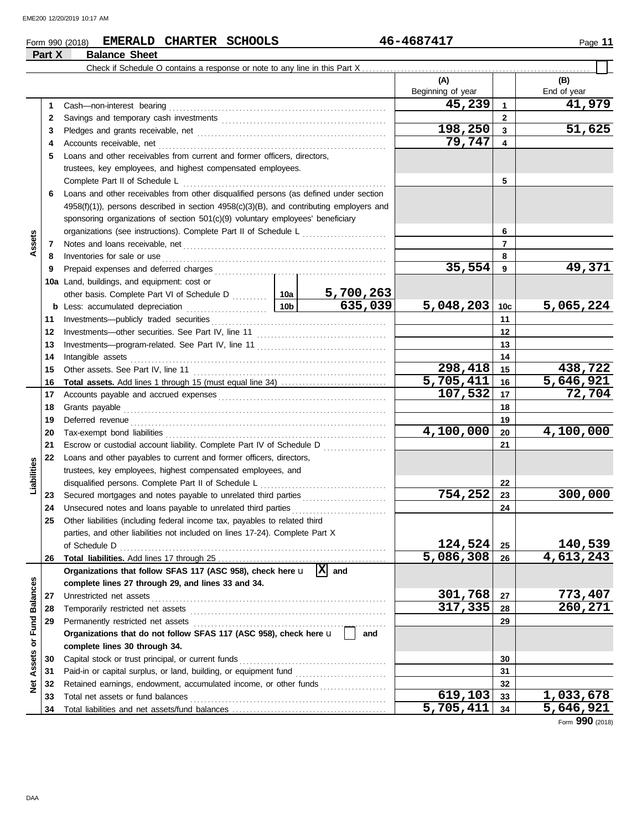## Form 990 (2018) Page **11 EMERALD CHARTER SCHOOLS 46-4687417 Part X Balance Sheet**

 $\overline{\phantom{1}}$ 

|                 |     | Check if Schedule O contains a response or note to any line in this Part X                                                                                                                                                          |  |           |                          |              |                    |
|-----------------|-----|-------------------------------------------------------------------------------------------------------------------------------------------------------------------------------------------------------------------------------------|--|-----------|--------------------------|--------------|--------------------|
|                 |     |                                                                                                                                                                                                                                     |  |           | (A)<br>Beginning of year |              | (B)<br>End of year |
|                 | 1   | Cash-non-interest bearing                                                                                                                                                                                                           |  |           | 45,239                   | 1            | 41,979             |
|                 | 2   |                                                                                                                                                                                                                                     |  |           |                          | $\mathbf{2}$ |                    |
|                 | 3   |                                                                                                                                                                                                                                     |  |           | 198,250                  | 3            | 51,625             |
|                 | 4   | Accounts receivable, net                                                                                                                                                                                                            |  |           | 79,747                   | 4            |                    |
|                 | 5   | Loans and other receivables from current and former officers, directors,                                                                                                                                                            |  |           |                          |              |                    |
|                 |     | trustees, key employees, and highest compensated employees.                                                                                                                                                                         |  |           |                          |              |                    |
|                 |     | Complete Part II of Schedule L                                                                                                                                                                                                      |  |           |                          | 5            |                    |
|                 | 6   | Loans and other receivables from other disqualified persons (as defined under section                                                                                                                                               |  |           |                          |              |                    |
|                 |     | 4958(f)(1)), persons described in section 4958(c)(3)(B), and contributing employers and                                                                                                                                             |  |           |                          |              |                    |
|                 |     | sponsoring organizations of section 501(c)(9) voluntary employees' beneficiary                                                                                                                                                      |  |           |                          |              |                    |
|                 |     |                                                                                                                                                                                                                                     |  | 6         |                          |              |                    |
| Assets          | 7   |                                                                                                                                                                                                                                     |  |           |                          | 7            |                    |
|                 | 8   | Inventories for sale or use <i>communication</i> and the state of the state or use of the state of the state of the state of the state of the state of the state of the state of the state of the state of the state of the state o |  |           |                          | 8            |                    |
|                 | 9   |                                                                                                                                                                                                                                     |  |           | 35,554                   | 9            | 49,371             |
|                 | 10a | Land, buildings, and equipment: cost or                                                                                                                                                                                             |  |           |                          |              |                    |
|                 |     | other basis. Complete Part VI of Schedule D    10a   5,700,263                                                                                                                                                                      |  |           |                          |              |                    |
|                 |     |                                                                                                                                                                                                                                     |  | 635,039   | 5,048,203                | 10c          | 5,065,224          |
|                 | 11  |                                                                                                                                                                                                                                     |  |           | 11                       |              |                    |
|                 | 12  |                                                                                                                                                                                                                                     |  |           | 12                       |              |                    |
|                 | 13  |                                                                                                                                                                                                                                     |  |           |                          | 13           |                    |
|                 | 14  | Intangible assets                                                                                                                                                                                                                   |  |           | 14                       |              |                    |
|                 | 15  |                                                                                                                                                                                                                                     |  |           | 298,418                  | 15           | 438,722            |
|                 | 16  | Total assets. Add lines 1 through 15 (must equal line 34)                                                                                                                                                                           |  |           | 5,705,411                | 16           | 5,646,921          |
|                 | 17  |                                                                                                                                                                                                                                     |  |           | 107,532                  | 17           | 72,704             |
|                 | 18  |                                                                                                                                                                                                                                     |  | 18        |                          |              |                    |
|                 | 19  | Deferred revenue communications and contain a series of the contact of the contact of the contact of the contact of the contact of the contact of the contact of the contact of the contact of the contact of the contact of t      |  |           |                          | 19           |                    |
|                 | 20  |                                                                                                                                                                                                                                     |  |           | 4,100,000                | 20           | 4,100,000          |
|                 | 21  | Escrow or custodial account liability. Complete Part IV of Schedule D                                                                                                                                                               |  |           |                          | 21           |                    |
|                 | 22  | Loans and other payables to current and former officers, directors,                                                                                                                                                                 |  |           |                          |              |                    |
| Liabilities     |     | trustees, key employees, highest compensated employees, and                                                                                                                                                                         |  |           |                          |              |                    |
|                 |     | disqualified persons. Complete Part II of Schedule L                                                                                                                                                                                |  |           |                          | 22           |                    |
|                 | 23  |                                                                                                                                                                                                                                     |  |           |                          | 23           | 300,000            |
|                 | 24  | Unsecured notes and loans payable to unrelated third parties                                                                                                                                                                        |  |           |                          | 24           |                    |
|                 | 25  | Other liabilities (including federal income tax, payables to related third                                                                                                                                                          |  |           |                          |              |                    |
|                 |     | parties, and other liabilities not included on lines 17-24). Complete Part X                                                                                                                                                        |  |           |                          |              |                    |
|                 |     |                                                                                                                                                                                                                                     |  |           | 124,524                  | 25           | 140,539            |
|                 | 26  |                                                                                                                                                                                                                                     |  |           | 5,086,308                | 26           | 4,613,243          |
|                 |     | Organizations that follow SFAS 117 (ASC 958), check here u                                                                                                                                                                          |  | $ X $ and |                          |              |                    |
| <b>Balances</b> |     | complete lines 27 through 29, and lines 33 and 34.                                                                                                                                                                                  |  |           |                          |              |                    |
|                 | 27  | Unrestricted net assets                                                                                                                                                                                                             |  |           | 301,768                  | 27           | 773,407            |
|                 | 28  |                                                                                                                                                                                                                                     |  |           | 317,335                  | 28           | 260,271            |
| Fund            | 29  | Permanently restricted net assets                                                                                                                                                                                                   |  |           |                          | 29           |                    |
|                 |     | Organizations that do not follow SFAS 117 (ASC 958), check here u                                                                                                                                                                   |  |           |                          |              |                    |
| ৯               |     | complete lines 30 through 34.                                                                                                                                                                                                       |  |           |                          |              |                    |
| Assets          | 30  | Capital stock or trust principal, or current funds                                                                                                                                                                                  |  |           |                          | 30           |                    |
|                 | 31  |                                                                                                                                                                                                                                     |  |           |                          | 31           |                    |
| ğ               | 32  | Retained earnings, endowment, accumulated income, or other funds                                                                                                                                                                    |  |           |                          | 32           |                    |
|                 | 33  | Total net assets or fund balances                                                                                                                                                                                                   |  |           | 619,103                  | 33           | 1,033,678          |
|                 | 34  |                                                                                                                                                                                                                                     |  |           | 5,705,411                | 34           | 5,646,921          |

Form **990** (2018)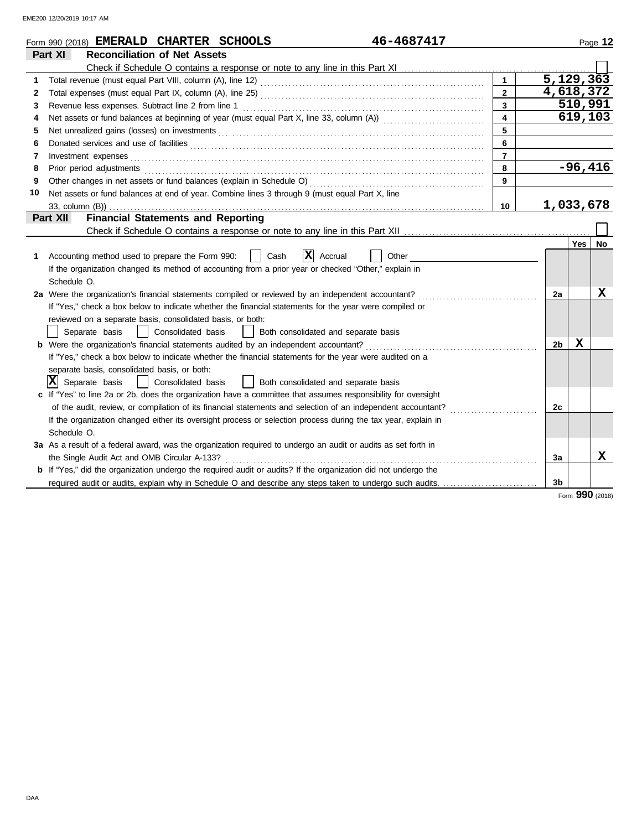|    | 46-4687417<br>Form 990 (2018) EMERALD CHARTER SCHOOLS                                                                                                      |                         |                        |           | Page 12         |
|----|------------------------------------------------------------------------------------------------------------------------------------------------------------|-------------------------|------------------------|-----------|-----------------|
|    | Part XI<br><b>Reconciliation of Net Assets</b>                                                                                                             |                         |                        |           |                 |
|    |                                                                                                                                                            |                         |                        |           |                 |
| 1  |                                                                                                                                                            | $\mathbf 1$             | $\overline{5,129,363}$ |           |                 |
| 2  |                                                                                                                                                            | $\overline{2}$          | 4,618,372              |           |                 |
| 3  | Revenue less expenses. Subtract line 2 from line 1                                                                                                         | 3                       |                        | 510,991   |                 |
| 4  |                                                                                                                                                            | $\overline{\mathbf{4}}$ |                        | 619,103   |                 |
| 5  |                                                                                                                                                            | 5                       |                        |           |                 |
| 6  |                                                                                                                                                            | 6                       |                        |           |                 |
| 7  | Investment expenses <b>contract and the expenses</b>                                                                                                       | $\overline{7}$          |                        |           |                 |
| 8  | Prior period adjustments <b>construction and construction of the construction</b> and construction of the construction                                     | 8                       |                        | $-96,416$ |                 |
| 9  |                                                                                                                                                            | 9                       |                        |           |                 |
| 10 | Net assets or fund balances at end of year. Combine lines 3 through 9 (must equal Part X, line                                                             |                         |                        |           |                 |
|    |                                                                                                                                                            | 10                      | 1,033,678              |           |                 |
|    | <b>Financial Statements and Reporting</b><br>Part XII                                                                                                      |                         |                        |           |                 |
|    |                                                                                                                                                            |                         |                        |           |                 |
|    |                                                                                                                                                            |                         |                        | Yes       | <b>No</b>       |
| 1  | $\overline{\mathbf{x}}$<br>Accounting method used to prepare the Form 990:<br>Cash<br>Accrual<br>Other                                                     |                         |                        |           |                 |
|    | If the organization changed its method of accounting from a prior year or checked "Other," explain in                                                      |                         |                        |           |                 |
|    | Schedule O.                                                                                                                                                |                         |                        |           |                 |
|    | 2a Were the organization's financial statements compiled or reviewed by an independent accountant?<br><u> 1986 - Johann Stoff, Amerikaansk politiker (</u> |                         | 2a                     |           | x               |
|    | If "Yes," check a box below to indicate whether the financial statements for the year were compiled or                                                     |                         |                        |           |                 |
|    | reviewed on a separate basis, consolidated basis, or both:                                                                                                 |                         |                        |           |                 |
|    | Separate basis<br>Consolidated basis<br>Both consolidated and separate basis                                                                               |                         |                        |           |                 |
|    | <b>b</b> Were the organization's financial statements audited by an independent accountant?                                                                |                         | 2 <sub>b</sub>         | X         |                 |
|    | If "Yes," check a box below to indicate whether the financial statements for the year were audited on a                                                    |                         |                        |           |                 |
|    | separate basis, consolidated basis, or both:                                                                                                               |                         |                        |           |                 |
|    | IХ<br>Both consolidated and separate basis<br>Separate basis<br>Consolidated basis                                                                         |                         |                        |           |                 |
|    | c If "Yes" to line 2a or 2b, does the organization have a committee that assumes responsibility for oversight                                              |                         |                        |           |                 |
|    | of the audit, review, or compilation of its financial statements and selection of an independent accountant?                                               |                         | 2c                     |           |                 |
|    | If the organization changed either its oversight process or selection process during the tax year, explain in                                              |                         |                        |           |                 |
|    | Schedule O.                                                                                                                                                |                         |                        |           |                 |
|    | 3a As a result of a federal award, was the organization required to undergo an audit or audits as set forth in                                             |                         |                        |           |                 |
|    | the Single Audit Act and OMB Circular A-133?                                                                                                               |                         | 3a                     |           | X               |
|    | b If "Yes," did the organization undergo the required audit or audits? If the organization did not undergo the                                             |                         |                        |           |                 |
|    | required audit or audits, explain why in Schedule O and describe any steps taken to undergo such audits.                                                   |                         | 3 <sub>b</sub>         |           |                 |
|    |                                                                                                                                                            |                         |                        |           | Form 990 (2018) |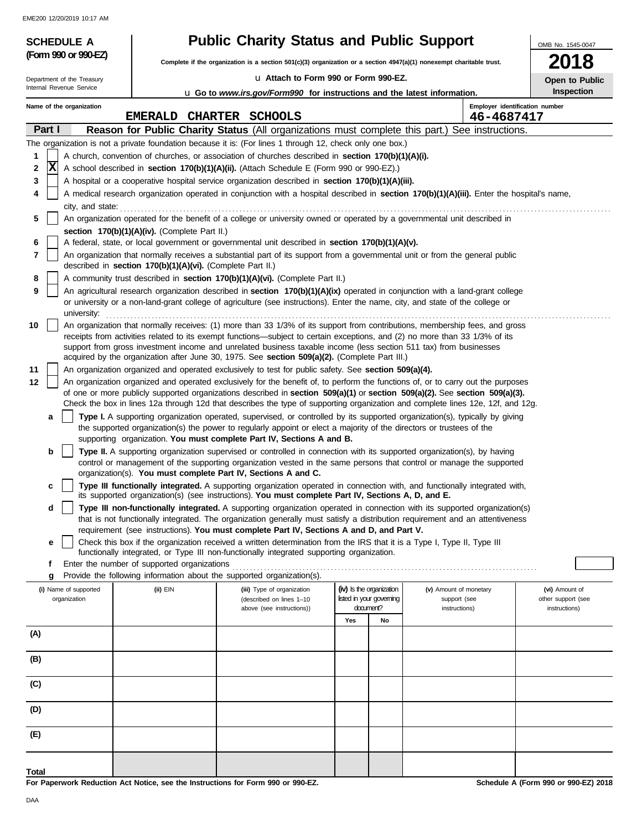| 2018 |                       |
|------|-----------------------|
|      | <b>Open to Public</b> |

| <b>SCHEDULE A</b>          |                          |                          | <b>Public Charity Status and Public Support</b>                                                                                                                                                                                                                                                                                                                                                                                                                                  |  | OMB No. 1545-0047 |  |  |  |  |
|----------------------------|--------------------------|--------------------------|----------------------------------------------------------------------------------------------------------------------------------------------------------------------------------------------------------------------------------------------------------------------------------------------------------------------------------------------------------------------------------------------------------------------------------------------------------------------------------|--|-------------------|--|--|--|--|
|                            |                          | (Form 990 or 990-EZ)     | Complete if the organization is a section 501(c)(3) organization or a section 4947(a)(1) nonexempt charitable trust.                                                                                                                                                                                                                                                                                                                                                             |  | 2018              |  |  |  |  |
| Department of the Treasury |                          |                          | La Attach to Form 990 or Form 990-EZ.                                                                                                                                                                                                                                                                                                                                                                                                                                            |  | Open to Public    |  |  |  |  |
|                            | Internal Revenue Service |                          | <b>Let</b> Go to <i>www.irs.gov/Form990</i> for instructions and the latest information.                                                                                                                                                                                                                                                                                                                                                                                         |  | Inspection        |  |  |  |  |
|                            |                          | Name of the organization | Employer identification number<br>CHARTER SCHOOLS<br>46-4687417<br><b>EMERALD</b>                                                                                                                                                                                                                                                                                                                                                                                                |  |                   |  |  |  |  |
|                            | Part I                   |                          | Reason for Public Charity Status (All organizations must complete this part.) See instructions.                                                                                                                                                                                                                                                                                                                                                                                  |  |                   |  |  |  |  |
|                            |                          |                          | The organization is not a private foundation because it is: (For lines 1 through 12, check only one box.)                                                                                                                                                                                                                                                                                                                                                                        |  |                   |  |  |  |  |
| 1                          |                          |                          | A church, convention of churches, or association of churches described in section 170(b)(1)(A)(i).                                                                                                                                                                                                                                                                                                                                                                               |  |                   |  |  |  |  |
| 2                          | $\overline{\mathbf{x}}$  |                          | A school described in section 170(b)(1)(A)(ii). (Attach Schedule E (Form 990 or 990-EZ).)                                                                                                                                                                                                                                                                                                                                                                                        |  |                   |  |  |  |  |
| 3                          |                          |                          | A hospital or a cooperative hospital service organization described in section 170(b)(1)(A)(iii).                                                                                                                                                                                                                                                                                                                                                                                |  |                   |  |  |  |  |
| 4                          |                          |                          | A medical research organization operated in conjunction with a hospital described in section 170(b)(1)(A)(iii). Enter the hospital's name,                                                                                                                                                                                                                                                                                                                                       |  |                   |  |  |  |  |
|                            |                          | city, and state:         |                                                                                                                                                                                                                                                                                                                                                                                                                                                                                  |  |                   |  |  |  |  |
| 5                          |                          |                          | An organization operated for the benefit of a college or university owned or operated by a governmental unit described in                                                                                                                                                                                                                                                                                                                                                        |  |                   |  |  |  |  |
|                            |                          |                          | section 170(b)(1)(A)(iv). (Complete Part II.)                                                                                                                                                                                                                                                                                                                                                                                                                                    |  |                   |  |  |  |  |
| 6                          |                          |                          | A federal, state, or local government or governmental unit described in section 170(b)(1)(A)(v).                                                                                                                                                                                                                                                                                                                                                                                 |  |                   |  |  |  |  |
| 7                          |                          |                          | An organization that normally receives a substantial part of its support from a governmental unit or from the general public<br>described in section 170(b)(1)(A)(vi). (Complete Part II.)                                                                                                                                                                                                                                                                                       |  |                   |  |  |  |  |
| 8                          |                          |                          | A community trust described in section 170(b)(1)(A)(vi). (Complete Part II.)                                                                                                                                                                                                                                                                                                                                                                                                     |  |                   |  |  |  |  |
| 9                          |                          |                          | An agricultural research organization described in section 170(b)(1)(A)(ix) operated in conjunction with a land-grant college                                                                                                                                                                                                                                                                                                                                                    |  |                   |  |  |  |  |
|                            |                          | university:              | or university or a non-land-grant college of agriculture (see instructions). Enter the name, city, and state of the college or                                                                                                                                                                                                                                                                                                                                                   |  |                   |  |  |  |  |
| 10                         |                          |                          | An organization that normally receives: (1) more than 33 1/3% of its support from contributions, membership fees, and gross<br>receipts from activities related to its exempt functions—subject to certain exceptions, and (2) no more than 33 1/3% of its<br>support from gross investment income and unrelated business taxable income (less section 511 tax) from businesses<br>acquired by the organization after June 30, 1975. See section 509(a)(2). (Complete Part III.) |  |                   |  |  |  |  |
| 11                         |                          |                          | An organization organized and operated exclusively to test for public safety. See section 509(a)(4).                                                                                                                                                                                                                                                                                                                                                                             |  |                   |  |  |  |  |
| 12                         |                          |                          | An organization organized and operated exclusively for the benefit of, to perform the functions of, or to carry out the purposes<br>of one or more publicly supported organizations described in section 509(a)(1) or section 509(a)(2). See section 509(a)(3).<br>Check the box in lines 12a through 12d that describes the type of supporting organization and complete lines 12e, 12f, and 12g.                                                                               |  |                   |  |  |  |  |
|                            | a                        |                          | Type I. A supporting organization operated, supervised, or controlled by its supported organization(s), typically by giving<br>the supported organization(s) the power to regularly appoint or elect a majority of the directors or trustees of the<br>supporting organization. You must complete Part IV, Sections A and B.                                                                                                                                                     |  |                   |  |  |  |  |
|                            | b                        |                          | Type II. A supporting organization supervised or controlled in connection with its supported organization(s), by having<br>control or management of the supporting organization vested in the same persons that control or manage the supported<br>organization(s). You must complete Part IV, Sections A and C.                                                                                                                                                                 |  |                   |  |  |  |  |
|                            | c                        |                          | Type III functionally integrated. A supporting organization operated in connection with, and functionally integrated with,<br>its supported organization(s) (see instructions). You must complete Part IV, Sections A, D, and E.                                                                                                                                                                                                                                                 |  |                   |  |  |  |  |
|                            | d                        |                          | Type III non-functionally integrated. A supporting organization operated in connection with its supported organization(s)<br>that is not functionally integrated. The organization generally must satisfy a distribution requirement and an attentiveness<br>requirement (see instructions). You must complete Part IV, Sections A and D, and Part V.                                                                                                                            |  |                   |  |  |  |  |
|                            | е                        |                          | Check this box if the organization received a written determination from the IRS that it is a Type I, Type II, Type III<br>functionally integrated, or Type III non-functionally integrated supporting organization.                                                                                                                                                                                                                                                             |  |                   |  |  |  |  |
|                            | f                        |                          | Enter the number of supported organizations                                                                                                                                                                                                                                                                                                                                                                                                                                      |  |                   |  |  |  |  |
|                            | g                        |                          | Provide the following information about the supported organization(s).                                                                                                                                                                                                                                                                                                                                                                                                           |  |                   |  |  |  |  |

| (i) Name of supported<br>organization | (ii) EIN | (iii) Type of organization<br>(described on lines 1-10<br>above (see instructions)) |     | (iv) Is the organization<br>listed in your governing<br>document? | (v) Amount of monetary<br>support (see<br>instructions) | (vi) Amount of<br>other support (see<br>instructions) |
|---------------------------------------|----------|-------------------------------------------------------------------------------------|-----|-------------------------------------------------------------------|---------------------------------------------------------|-------------------------------------------------------|
|                                       |          |                                                                                     | Yes | No                                                                |                                                         |                                                       |
| (A)                                   |          |                                                                                     |     |                                                                   |                                                         |                                                       |
| (B)                                   |          |                                                                                     |     |                                                                   |                                                         |                                                       |
| (C)                                   |          |                                                                                     |     |                                                                   |                                                         |                                                       |
| (D)                                   |          |                                                                                     |     |                                                                   |                                                         |                                                       |
| (E)                                   |          |                                                                                     |     |                                                                   |                                                         |                                                       |
| <b>Total</b>                          |          |                                                                                     |     |                                                                   |                                                         |                                                       |

**For Paperwork Reduction Act Notice, see the Instructions for Form 990 or 990-EZ.**

**Schedule A (Form 990 or 990-EZ) 2018**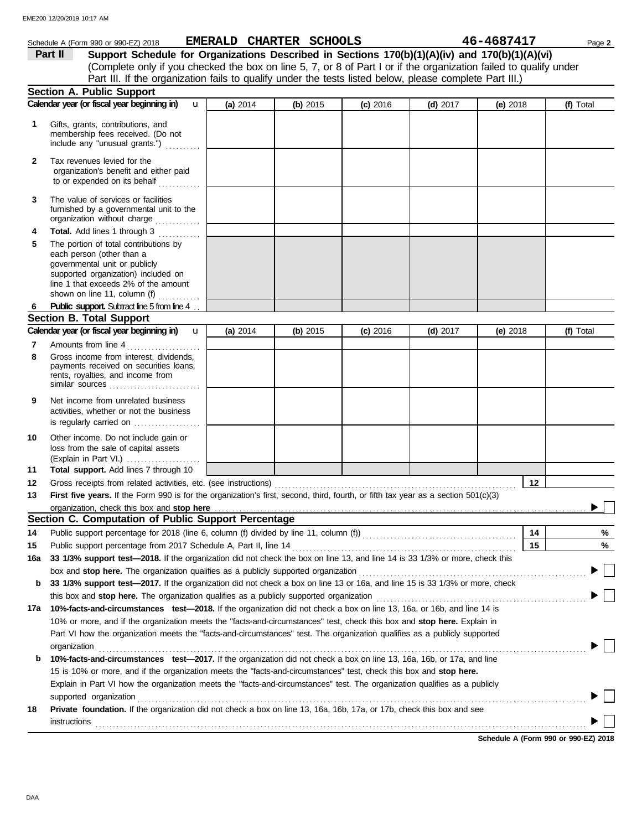|              | Schedule A (Form 990 or 990-EZ) 2018                                                                                                                                                                                                                                                                                                                                                                                                                                                               | EMERALD CHARTER SCHOOLS |          |            |            | 46-4687417 | Page 2    |
|--------------|----------------------------------------------------------------------------------------------------------------------------------------------------------------------------------------------------------------------------------------------------------------------------------------------------------------------------------------------------------------------------------------------------------------------------------------------------------------------------------------------------|-------------------------|----------|------------|------------|------------|-----------|
| Part II      | Support Schedule for Organizations Described in Sections 170(b)(1)(A)(iv) and 170(b)(1)(A)(vi)<br>(Complete only if you checked the box on line 5, 7, or 8 of Part I or if the organization failed to qualify under                                                                                                                                                                                                                                                                                |                         |          |            |            |            |           |
|              | Part III. If the organization fails to qualify under the tests listed below, please complete Part III.)                                                                                                                                                                                                                                                                                                                                                                                            |                         |          |            |            |            |           |
|              | <b>Section A. Public Support</b>                                                                                                                                                                                                                                                                                                                                                                                                                                                                   |                         |          |            |            |            |           |
|              | Calendar year (or fiscal year beginning in)<br>u                                                                                                                                                                                                                                                                                                                                                                                                                                                   | (a) 2014                | (b) 2015 | $(c)$ 2016 | $(d)$ 2017 | (e) $2018$ | (f) Total |
| 1            | Gifts, grants, contributions, and<br>membership fees received. (Do not<br>include any "unusual grants.")                                                                                                                                                                                                                                                                                                                                                                                           |                         |          |            |            |            |           |
| $\mathbf{2}$ | Tax revenues levied for the<br>organization's benefit and either paid<br>to or expended on its behalf                                                                                                                                                                                                                                                                                                                                                                                              |                         |          |            |            |            |           |
| 3            | The value of services or facilities<br>furnished by a governmental unit to the<br>organization without charge                                                                                                                                                                                                                                                                                                                                                                                      |                         |          |            |            |            |           |
| 4            | Total. Add lines 1 through 3                                                                                                                                                                                                                                                                                                                                                                                                                                                                       |                         |          |            |            |            |           |
| 5            | The portion of total contributions by<br>each person (other than a<br>governmental unit or publicly<br>supported organization) included on<br>line 1 that exceeds 2% of the amount<br>shown on line 11, column (f) $\ldots$                                                                                                                                                                                                                                                                        |                         |          |            |            |            |           |
| 6            | Public support. Subtract line 5 from line 4                                                                                                                                                                                                                                                                                                                                                                                                                                                        |                         |          |            |            |            |           |
|              | <b>Section B. Total Support</b>                                                                                                                                                                                                                                                                                                                                                                                                                                                                    |                         |          |            |            |            |           |
|              | Calendar year (or fiscal year beginning in)<br>u                                                                                                                                                                                                                                                                                                                                                                                                                                                   | (a) $2014$              | (b) 2015 | $(c)$ 2016 | (d) $2017$ | (e) 2018   | (f) Total |
| 7<br>8       | Amounts from line 4<br>Gross income from interest, dividends,<br>payments received on securities loans,<br>rents, royalties, and income from<br>similar sources                                                                                                                                                                                                                                                                                                                                    |                         |          |            |            |            |           |
| 9            | Net income from unrelated business<br>activities, whether or not the business<br>is regularly carried on                                                                                                                                                                                                                                                                                                                                                                                           |                         |          |            |            |            |           |
| 10           | Other income. Do not include gain or<br>loss from the sale of capital assets<br>(Explain in Part VI.)                                                                                                                                                                                                                                                                                                                                                                                              |                         |          |            |            |            |           |
| 11           | Total support. Add lines 7 through 10                                                                                                                                                                                                                                                                                                                                                                                                                                                              |                         |          |            |            |            |           |
| 12           |                                                                                                                                                                                                                                                                                                                                                                                                                                                                                                    |                         |          |            |            | 12         |           |
| 13           | First five years. If the Form 990 is for the organization's first, second, third, fourth, or fifth tax year as a section 501(c)(3)                                                                                                                                                                                                                                                                                                                                                                 |                         |          |            |            |            |           |
|              |                                                                                                                                                                                                                                                                                                                                                                                                                                                                                                    |                         |          |            |            |            |           |
|              | Section C. Computation of Public Support Percentage                                                                                                                                                                                                                                                                                                                                                                                                                                                |                         |          |            |            |            |           |
| 14<br>15     | Public support percentage for 2018 (line 6, column (f) divided by line 11, column (f)) [[[[[[[[[[[[[[[[[[[[[[                                                                                                                                                                                                                                                                                                                                                                                      |                         |          |            |            | 14<br>15   | %         |
| 16a          | 33 1/3% support test-2018. If the organization did not check the box on line 13, and line 14 is 33 1/3% or more, check this                                                                                                                                                                                                                                                                                                                                                                        |                         |          |            |            |            | %         |
|              | box and stop here. The organization qualifies as a publicly supported organization [11] content content content or the organization [11] content and stop here. The organization content of the state of the state or the stat                                                                                                                                                                                                                                                                     |                         |          |            |            |            |           |
| b            | 33 1/3% support test-2017. If the organization did not check a box on line 13 or 16a, and line 15 is 33 1/3% or more, check                                                                                                                                                                                                                                                                                                                                                                        |                         |          |            |            |            |           |
|              |                                                                                                                                                                                                                                                                                                                                                                                                                                                                                                    |                         |          |            |            |            |           |
| 17a          | 10%-facts-and-circumstances test-2018. If the organization did not check a box on line 13, 16a, or 16b, and line 14 is<br>10% or more, and if the organization meets the "facts-and-circumstances" test, check this box and stop here. Explain in<br>Part VI how the organization meets the "facts-and-circumstances" test. The organization qualifies as a publicly supported<br>organization www.commutation.com/www.commutation.com/www.commutation.com/www.commutation.com/www.commutation.com |                         |          |            |            |            |           |
| b            | 10%-facts-and-circumstances test-2017. If the organization did not check a box on line 13, 16a, 16b, or 17a, and line<br>15 is 10% or more, and if the organization meets the "facts-and-circumstances" test, check this box and stop here.<br>Explain in Part VI how the organization meets the "facts-and-circumstances" test. The organization qualifies as a publicly                                                                                                                          |                         |          |            |            |            |           |
|              | supported organization contains and contains a supported organization contains a supported organization contains a supported organization contains a supported organization contains a supported or support of the support of                                                                                                                                                                                                                                                                      |                         |          |            |            |            |           |
| 18           | Private foundation. If the organization did not check a box on line 13, 16a, 16b, 17a, or 17b, check this box and see                                                                                                                                                                                                                                                                                                                                                                              |                         |          |            |            |            |           |

instructions . . . . . . . . . . . . . . . . . . . . . . . . . . . . . . . . . . . . . . . . . . . . . . . . . . . . . . . . . . . . . . . . . . . . . . . . . . . . . . . . . . . . . . . . . . . . . . . . . . . . . . . . . . . . . . . . . . . . . . . . . . . . . . . . . . . . . . . . . . . .

**Schedule A (Form 990 or 990-EZ) 2018**

 $\blacktriangleright \Box$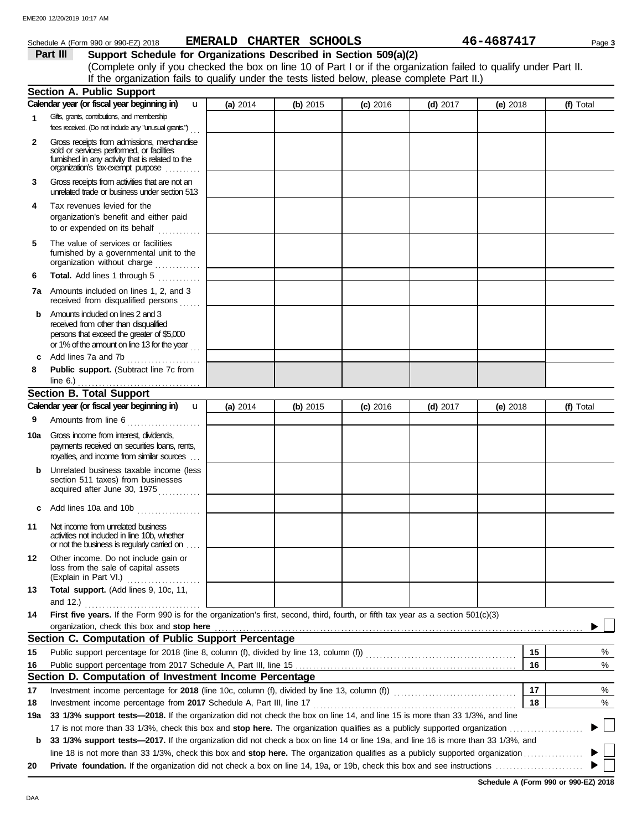## **Section B. Total Support** unrelated trade or business under section 513 **Part III Support Schedule for Organizations Described in Section 509(a)(2)** (Complete only if you checked the box on line 10 of Part I or if the organization failed to qualify under Part II. **1 2 3 6 8** Schedule A (Form 990 or 990-EZ) 2018 Page **3 EMERALD CHARTER SCHOOLS 46-4687417** Gifts, grants, contributions, and membership fees received. (Do not include any "unusual grants.") . . . **Public support.** (Subtract line 7c from Gross receipts from admissions, merchandise sold or services performed, or facilities furnished in any activity that is related to the Gross receipts from activities that are not an **Total.** Add lines 1 through 5 **Section A. Public Support** organization's tax-exempt purpose .......... **4** Tax revenues levied for the organization's benefit and either paid to or expended on its behalf when  $\cdots$ organization without charge .............. furnished by a governmental unit to the **5** The value of services or facilities **7a** Amounts included on lines 1, 2, and 3 received from disqualified persons **b** Amounts included on lines 2 and 3 received from other than disqualified persons that exceed the greater of \$5,000 or 1% of the amount on line 13 for the year  $\frac{1}{1+\epsilon}$ **c** Add lines 7a and 7b . . . . . . . . . . . . . . . . . . . . . Amounts from line 6 . . . . . . . . . . . . . . . . . . . . . **9** royalties, and income from similar sources . . . payments received on securities loans, rents, **10a** Gross income from interest, dividends, **b** Unrelated business taxable income (less section 511 taxes) from businesses acquired after June 30, 1975 **c** Add lines 10a and 10b . . . . . . . . . . . . . . . . . . **11** Net income from unrelated business activities not included in line 10b, whether or not the business is regularly carried on . . . . (Explain in Part VI.) . . . . . . . . . . . . . . . . . . . . . loss from the sale of capital assets **12** Other income. Do not include gain or **13 Total support.** (Add lines 9, 10c, 11, **14 First five years.** If the Form 990 is for the organization's first, second, third, fourth, or fifth tax year as a section 501(c)(3) organization, check this box and stop here **Section C. Computation of Public Support Percentage** Public support percentage from 2017 Schedule A, Part III, line 15 . . . . . . . . . . . . . . . . . . . . . . . . . . . . . . . . . . . . . . . . . . . . . . . . . . . . . . . . . . . . . . . **15** Public support percentage for 2018 (line 8, column (f), divided by line 13, column (f))  $\ldots$ **16 Section D. Computation of Investment Income Percentage** Investment income percentage for **2018** (line 10c, column (f), divided by line 13, column (f)) . . . . . . . . . . . . . . . . . . . . . . . . . . . . . . . . . . . **17** % % **16 15 17** % **(a)** 2014 **(b)** 2015 **(c)** 2016 **(d)** 2017 **(e)** 2018 **(f)** Total **(f)** Total line 6.) . . . . . . . . . . . . . . . . . . . . . . . . . . . . . . . . . . . **Calendar year (or fiscal year beginning in) Calendar year (or fiscal year beginning in)**  u and 12.) . . . . . . . . . . . . . . . . . . . . . . . . . . . . . . . . . If the organization fails to qualify under the tests listed below, please complete Part II.) **(a)** 2014 **(b)** 2015 **(c)** 2016 **(d)** 2017 **(e)** 2018 u

**18** Investment income percentage from **2017** Schedule A, Part III, line 17 . . . . . . . . . . . . . . . . . . . . . . . . . . . . . . . . . . . . . . . . . . . . . . . . . . . . . . . . . .

17 is not more than 33 1/3%, check this box and **stop here.** The organization qualifies as a publicly supported organization . . . . . . . . . . . . . . . . . . . . . **19a 33 1/3% support tests—2018.** If the organization did not check the box on line 14, and line 15 is more than 33 1/3%, and line

**b 33 1/3% support tests—2017.** If the organization did not check a box on line 14 or line 19a, and line 16 is more than 33 1/3%, and line 18 is not more than 33 1/3%, check this box and **stop here.** The organization qualifies as a publicly supported organization . . . . . . . . . . . . . . . . .

**20 Private foundation.** If the organization did not check a box on line 14, 19a, or 19b, check this box and see instructions . . . . . . . . . . . . . . . . . . . . . . . . .

**Schedule A (Form 990 or 990-EZ) 2018**

**18**

%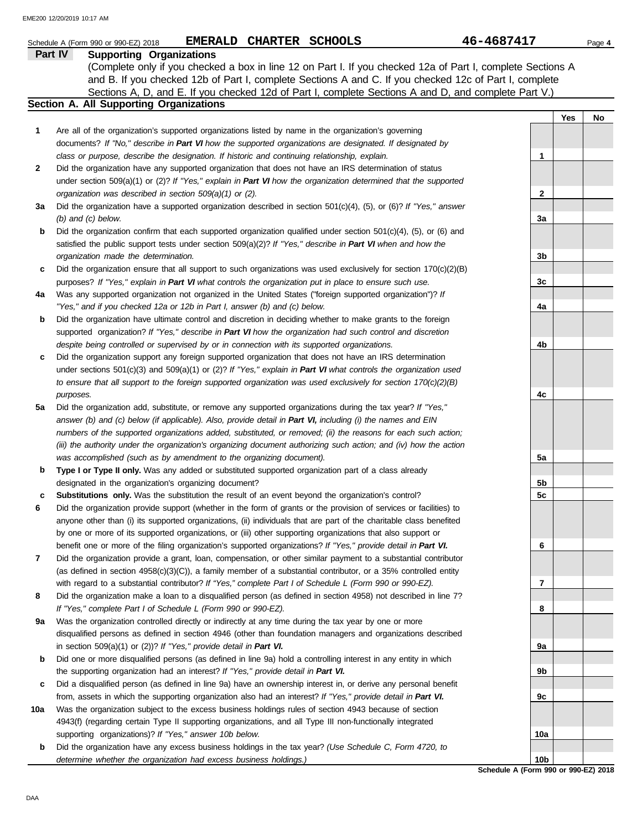|     | EMERALD CHARTER SCHOOLS<br>Schedule A (Form 990 or 990-EZ) 2018                                                                                                                                                             | 46-4687417      |     | Page 4 |
|-----|-----------------------------------------------------------------------------------------------------------------------------------------------------------------------------------------------------------------------------|-----------------|-----|--------|
|     | Part IV<br><b>Supporting Organizations</b>                                                                                                                                                                                  |                 |     |        |
|     | (Complete only if you checked a box in line 12 on Part I. If you checked 12a of Part I, complete Sections A                                                                                                                 |                 |     |        |
|     | and B. If you checked 12b of Part I, complete Sections A and C. If you checked 12c of Part I, complete                                                                                                                      |                 |     |        |
|     | Sections A, D, and E. If you checked 12d of Part I, complete Sections A and D, and complete Part V.)                                                                                                                        |                 |     |        |
|     | Section A. All Supporting Organizations                                                                                                                                                                                     |                 |     |        |
|     |                                                                                                                                                                                                                             |                 | Yes | No     |
| 1   | Are all of the organization's supported organizations listed by name in the organization's governing                                                                                                                        |                 |     |        |
|     | documents? If "No," describe in Part VI how the supported organizations are designated. If designated by                                                                                                                    | 1               |     |        |
| 2   | class or purpose, describe the designation. If historic and continuing relationship, explain.<br>Did the organization have any supported organization that does not have an IRS determination of status                     |                 |     |        |
|     | under section 509(a)(1) or (2)? If "Yes," explain in Part VI how the organization determined that the supported                                                                                                             |                 |     |        |
|     | organization was described in section 509(a)(1) or (2).                                                                                                                                                                     | 2               |     |        |
| За  | Did the organization have a supported organization described in section $501(c)(4)$ , (5), or (6)? If "Yes," answer                                                                                                         |                 |     |        |
|     | $(b)$ and $(c)$ below.                                                                                                                                                                                                      | За              |     |        |
| b   | Did the organization confirm that each supported organization qualified under section $501(c)(4)$ , $(5)$ , or $(6)$ and                                                                                                    |                 |     |        |
|     | satisfied the public support tests under section 509(a)(2)? If "Yes," describe in Part VI when and how the                                                                                                                  |                 |     |        |
|     | organization made the determination.                                                                                                                                                                                        | 3b              |     |        |
| c   | Did the organization ensure that all support to such organizations was used exclusively for section $170(c)(2)(B)$                                                                                                          |                 |     |        |
|     | purposes? If "Yes," explain in Part VI what controls the organization put in place to ensure such use.                                                                                                                      | 3c              |     |        |
| 4a  | Was any supported organization not organized in the United States ("foreign supported organization")? If                                                                                                                    |                 |     |        |
|     | "Yes," and if you checked 12a or 12b in Part I, answer (b) and (c) below.                                                                                                                                                   | 4a              |     |        |
| b   | Did the organization have ultimate control and discretion in deciding whether to make grants to the foreign                                                                                                                 |                 |     |        |
|     | supported organization? If "Yes," describe in Part VI how the organization had such control and discretion                                                                                                                  |                 |     |        |
|     | despite being controlled or supervised by or in connection with its supported organizations.                                                                                                                                | 4b              |     |        |
| c   | Did the organization support any foreign supported organization that does not have an IRS determination                                                                                                                     |                 |     |        |
|     | under sections $501(c)(3)$ and $509(a)(1)$ or (2)? If "Yes," explain in Part VI what controls the organization used                                                                                                         |                 |     |        |
|     | to ensure that all support to the foreign supported organization was used exclusively for section $170(c)(2)(B)$                                                                                                            |                 |     |        |
|     | purposes.                                                                                                                                                                                                                   | 4c              |     |        |
| 5a  | Did the organization add, substitute, or remove any supported organizations during the tax year? If "Yes,"                                                                                                                  |                 |     |        |
|     | answer (b) and (c) below (if applicable). Also, provide detail in Part VI, including (i) the names and EIN<br>numbers of the supported organizations added, substituted, or removed; (ii) the reasons for each such action; |                 |     |        |
|     | (iii) the authority under the organization's organizing document authorizing such action; and (iv) how the action                                                                                                           |                 |     |        |
|     | was accomplished (such as by amendment to the organizing document).                                                                                                                                                         | 5a              |     |        |
| b   | Type I or Type II only. Was any added or substituted supported organization part of a class already                                                                                                                         |                 |     |        |
|     | designated in the organization's organizing document?                                                                                                                                                                       | 5b              |     |        |
| c   | Substitutions only. Was the substitution the result of an event beyond the organization's control?                                                                                                                          | 5 <sub>c</sub>  |     |        |
| 6   | Did the organization provide support (whether in the form of grants or the provision of services or facilities) to                                                                                                          |                 |     |        |
|     | anyone other than (i) its supported organizations, (ii) individuals that are part of the charitable class benefited                                                                                                         |                 |     |        |
|     | by one or more of its supported organizations, or (iii) other supporting organizations that also support or                                                                                                                 |                 |     |        |
|     | benefit one or more of the filing organization's supported organizations? If "Yes," provide detail in Part VI.                                                                                                              | 6               |     |        |
| 7   | Did the organization provide a grant, loan, compensation, or other similar payment to a substantial contributor                                                                                                             |                 |     |        |
|     | (as defined in section $4958(c)(3)(C)$ ), a family member of a substantial contributor, or a 35% controlled entity                                                                                                          |                 |     |        |
|     | with regard to a substantial contributor? If "Yes," complete Part I of Schedule L (Form 990 or 990-EZ).                                                                                                                     | 7               |     |        |
| 8   | Did the organization make a loan to a disqualified person (as defined in section 4958) not described in line 7?                                                                                                             |                 |     |        |
|     | If "Yes," complete Part I of Schedule L (Form 990 or 990-EZ).                                                                                                                                                               | 8               |     |        |
| 9а  | Was the organization controlled directly or indirectly at any time during the tax year by one or more                                                                                                                       |                 |     |        |
|     | disqualified persons as defined in section 4946 (other than foundation managers and organizations described                                                                                                                 |                 |     |        |
|     | in section $509(a)(1)$ or (2))? If "Yes," provide detail in Part VI.<br>Did one or more disqualified persons (as defined in line 9a) hold a controlling interest in any entity in which                                     | 9а              |     |        |
| b   | the supporting organization had an interest? If "Yes," provide detail in Part VI.                                                                                                                                           | 9b              |     |        |
| c   | Did a disqualified person (as defined in line 9a) have an ownership interest in, or derive any personal benefit                                                                                                             |                 |     |        |
|     | from, assets in which the supporting organization also had an interest? If "Yes," provide detail in Part VI.                                                                                                                | 9с              |     |        |
| 10a | Was the organization subject to the excess business holdings rules of section 4943 because of section                                                                                                                       |                 |     |        |
|     | 4943(f) (regarding certain Type II supporting organizations, and all Type III non-functionally integrated                                                                                                                   |                 |     |        |
|     | supporting organizations)? If "Yes," answer 10b below.                                                                                                                                                                      | 10a             |     |        |
| b   | Did the organization have any excess business holdings in the tax year? (Use Schedule C, Form 4720, to                                                                                                                      |                 |     |        |
|     | determine whether the organization had excess business holdings.)                                                                                                                                                           | 10 <sub>b</sub> |     |        |

**Schedule A (Form 990 or 990-EZ) 2018**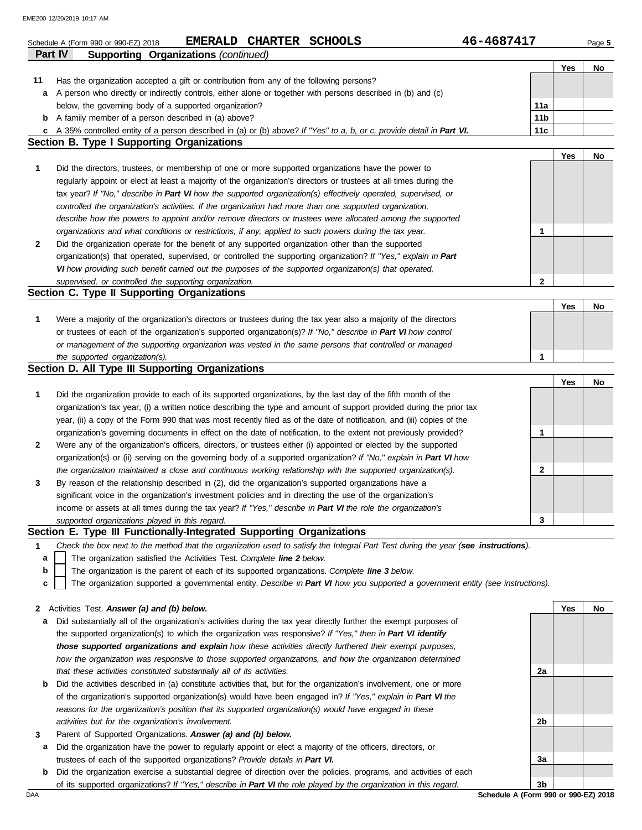|         | EMERALD CHARTER SCHOOLS<br>Schedule A (Form 990 or 990-EZ) 2018                                                                                                            | 46-4687417      |     | Page 5 |
|---------|----------------------------------------------------------------------------------------------------------------------------------------------------------------------------|-----------------|-----|--------|
| Part IV | <b>Supporting Organizations (continued)</b>                                                                                                                                |                 |     |        |
|         |                                                                                                                                                                            |                 | Yes | No     |
| 11      | Has the organization accepted a gift or contribution from any of the following persons?                                                                                    |                 |     |        |
| а       | A person who directly or indirectly controls, either alone or together with persons described in (b) and (c)                                                               |                 |     |        |
|         | below, the governing body of a supported organization?                                                                                                                     | 11a             |     |        |
| b       | A family member of a person described in (a) above?                                                                                                                        | 11 <sub>b</sub> |     |        |
| c       | A 35% controlled entity of a person described in (a) or (b) above? If "Yes" to a, b, or c, provide detail in Part VI.<br><b>Section B. Type I Supporting Organizations</b> | 11c             |     |        |
|         |                                                                                                                                                                            |                 | Yes | No     |
| 1       | Did the directors, trustees, or membership of one or more supported organizations have the power to                                                                        |                 |     |        |
|         | regularly appoint or elect at least a majority of the organization's directors or trustees at all times during the                                                         |                 |     |        |
|         | tax year? If "No," describe in Part VI how the supported organization(s) effectively operated, supervised, or                                                              |                 |     |        |
|         | controlled the organization's activities. If the organization had more than one supported organization,                                                                    |                 |     |        |
|         | describe how the powers to appoint and/or remove directors or trustees were allocated among the supported                                                                  |                 |     |        |
|         | organizations and what conditions or restrictions, if any, applied to such powers during the tax year.                                                                     | 1               |     |        |
| 2       | Did the organization operate for the benefit of any supported organization other than the supported                                                                        |                 |     |        |
|         | organization(s) that operated, supervised, or controlled the supporting organization? If "Yes," explain in Part                                                            |                 |     |        |
|         | VI how providing such benefit carried out the purposes of the supported organization(s) that operated,                                                                     |                 |     |        |
|         | supervised, or controlled the supporting organization.                                                                                                                     | $\mathbf{2}$    |     |        |
|         | Section C. Type II Supporting Organizations                                                                                                                                |                 |     |        |
|         |                                                                                                                                                                            |                 | Yes | No     |
| 1       | Were a majority of the organization's directors or trustees during the tax year also a majority of the directors                                                           |                 |     |        |
|         | or trustees of each of the organization's supported organization(s)? If "No," describe in Part VI how control                                                              |                 |     |        |
|         | or management of the supporting organization was vested in the same persons that controlled or managed                                                                     |                 |     |        |
|         | the supported organization(s).                                                                                                                                             | 1               |     |        |
|         | Section D. All Type III Supporting Organizations                                                                                                                           |                 |     |        |
|         |                                                                                                                                                                            |                 | Yes | No     |
| 1       | Did the organization provide to each of its supported organizations, by the last day of the fifth month of the                                                             |                 |     |        |
|         | organization's tax year, (i) a written notice describing the type and amount of support provided during the prior tax                                                      |                 |     |        |
|         | year, (ii) a copy of the Form 990 that was most recently filed as of the date of notification, and (iii) copies of the                                                     |                 |     |        |
|         | organization's governing documents in effect on the date of notification, to the extent not previously provided?                                                           | 1               |     |        |
| 2       | Were any of the organization's officers, directors, or trustees either (i) appointed or elected by the supported                                                           |                 |     |        |
|         | organization(s) or (ii) serving on the governing body of a supported organization? If "No," explain in Part VI how                                                         |                 |     |        |
|         | the organization maintained a close and continuous working relationship with the supported organization(s).                                                                | 2               |     |        |
| 3       | By reason of the relationship described in (2), did the organization's supported organizations have a                                                                      |                 |     |        |
|         | significant voice in the organization's investment policies and in directing the use of the organization's                                                                 |                 |     |        |
|         | income or assets at all times during the tax year? If "Yes," describe in Part VI the role the organization's                                                               |                 |     |        |
|         | supported organizations played in this regard.                                                                                                                             | 3               |     |        |
|         | Section E. Type III Functionally-Integrated Supporting Organizations                                                                                                       |                 |     |        |
| 1       | Check the box next to the method that the organization used to satisfy the Integral Part Test during the year (see instructions).                                          |                 |     |        |
| а       | The organization satisfied the Activities Test. Complete line 2 below.                                                                                                     |                 |     |        |
| b       | The organization is the parent of each of its supported organizations. Complete line 3 below.                                                                              |                 |     |        |
| с       | The organization supported a governmental entity. Describe in Part VI how you supported a government entity (see instructions).                                            |                 |     |        |
|         |                                                                                                                                                                            |                 |     |        |
| 2       | Activities Test. Answer (a) and (b) below.                                                                                                                                 |                 | Yes | No     |
| а       | Did substantially all of the organization's activities during the tax year directly further the exempt purposes of                                                         |                 |     |        |
|         | the supported organization(s) to which the organization was responsive? If "Yes," then in Part VI identify                                                                 |                 |     |        |
|         | those supported organizations and explain how these activities directly furthered their exempt purposes,                                                                   |                 |     |        |
|         | how the organization was responsive to those supported organizations, and how the organization determined                                                                  |                 |     |        |
|         | that these activities constituted substantially all of its activities.                                                                                                     | 2a              |     |        |
| b       | Did the activities described in (a) constitute activities that, but for the organization's involvement, one or more                                                        |                 |     |        |
|         | of the organization's supported organization(s) would have been engaged in? If "Yes," explain in Part VI the                                                               |                 |     |        |
|         | reasons for the organization's position that its supported organization(s) would have engaged in these                                                                     |                 |     |        |
|         | activities but for the organization's involvement.                                                                                                                         | 2b              |     |        |
| 3       | Parent of Supported Organizations. Answer (a) and (b) below.                                                                                                               |                 |     |        |

- **a** Did the organization have the power to regularly appoint or elect a majority of the officers, directors, or trustees of each of the supported organizations? *Provide details in Part VI.*
- **b** Did the organization exercise a substantial degree of direction over the policies, programs, and activities of each of its supported organizations? *If "Yes," describe in Part VI the role played by the organization in this regard.*

DAA **Schedule A (Form 990 or 990-EZ) 2018 3b**

**3a**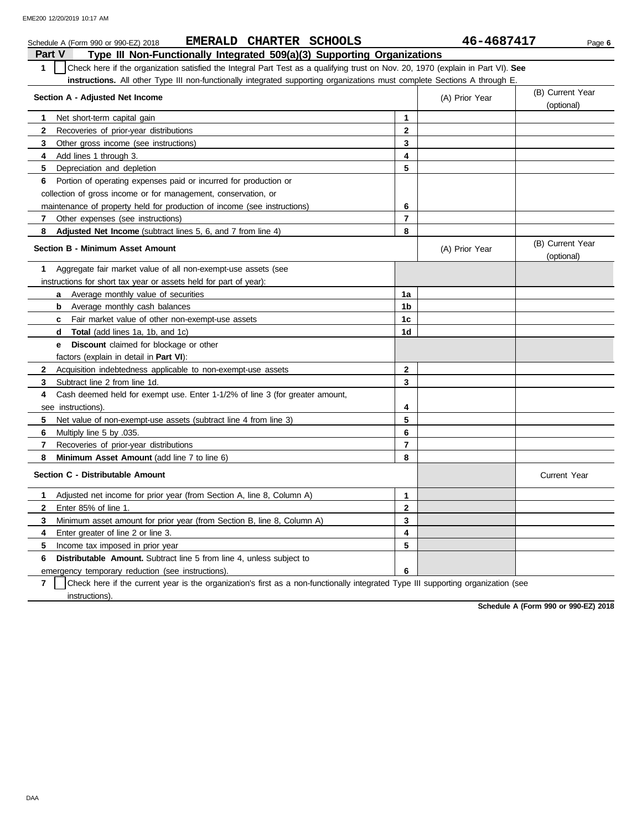|               | EMERALD CHARTER SCHOOLS<br>Schedule A (Form 990 or 990-EZ) 2018                                                                  |                | 46-4687417     | Page 6                         |
|---------------|----------------------------------------------------------------------------------------------------------------------------------|----------------|----------------|--------------------------------|
| <b>Part V</b> | Type III Non-Functionally Integrated 509(a)(3) Supporting Organizations                                                          |                |                |                                |
| $\mathbf{1}$  | Check here if the organization satisfied the Integral Part Test as a qualifying trust on Nov. 20, 1970 (explain in Part VI). See |                |                |                                |
|               | instructions. All other Type III non-functionally integrated supporting organizations must complete Sections A through E.        |                |                |                                |
|               | Section A - Adjusted Net Income                                                                                                  |                |                | (B) Current Year               |
|               |                                                                                                                                  |                | (A) Prior Year | (optional)                     |
| 1             | Net short-term capital gain                                                                                                      | 1              |                |                                |
| 2             | Recoveries of prior-year distributions                                                                                           | $\mathbf{2}$   |                |                                |
| 3             | Other gross income (see instructions)                                                                                            | 3              |                |                                |
| 4             | Add lines 1 through 3.                                                                                                           | 4              |                |                                |
| 5             | Depreciation and depletion                                                                                                       | 5              |                |                                |
| 6             | Portion of operating expenses paid or incurred for production or                                                                 |                |                |                                |
|               | collection of gross income or for management, conservation, or                                                                   |                |                |                                |
|               | maintenance of property held for production of income (see instructions)                                                         | 6              |                |                                |
| 7             | Other expenses (see instructions)                                                                                                | $\overline{7}$ |                |                                |
| 8             | <b>Adjusted Net Income</b> (subtract lines 5, 6, and 7 from line 4)                                                              | 8              |                |                                |
|               | <b>Section B - Minimum Asset Amount</b>                                                                                          |                | (A) Prior Year | (B) Current Year<br>(optional) |
| 1             | Aggregate fair market value of all non-exempt-use assets (see                                                                    |                |                |                                |
|               | instructions for short tax year or assets held for part of year):                                                                |                |                |                                |
|               | Average monthly value of securities<br>a                                                                                         | 1a             |                |                                |
|               | Average monthly cash balances<br>b                                                                                               | 1b             |                |                                |
|               | Fair market value of other non-exempt-use assets<br>C                                                                            | 1 <sub>c</sub> |                |                                |
|               | <b>d</b> Total (add lines 1a, 1b, and 1c)                                                                                        | 1d             |                |                                |
|               | <b>Discount</b> claimed for blockage or other<br>e                                                                               |                |                |                                |
|               | factors (explain in detail in <b>Part VI</b> ):                                                                                  |                |                |                                |
| 2             | Acquisition indebtedness applicable to non-exempt-use assets                                                                     | $\mathbf{2}$   |                |                                |
| 3             | Subtract line 2 from line 1d.                                                                                                    | 3              |                |                                |
| 4             | Cash deemed held for exempt use. Enter 1-1/2% of line 3 (for greater amount,                                                     |                |                |                                |
|               | see instructions)                                                                                                                | 4              |                |                                |
| 5             | Net value of non-exempt-use assets (subtract line 4 from line 3)                                                                 | 5              |                |                                |
| 6             | Multiply line 5 by .035.                                                                                                         | 6              |                |                                |
| 7             | Recoveries of prior-year distributions                                                                                           | $\overline{7}$ |                |                                |
| 8             | Minimum Asset Amount (add line 7 to line 6)                                                                                      | 8              |                |                                |
|               | Section C - Distributable Amount                                                                                                 |                |                | <b>Current Year</b>            |
| 1             | Adjusted net income for prior year (from Section A, line 8, Column A)                                                            | 1              |                |                                |
| $\mathbf{2}$  | Enter 85% of line 1.                                                                                                             | $\mathbf{2}$   |                |                                |
| 3             | Minimum asset amount for prior year (from Section B, line 8, Column A)                                                           | 3              |                |                                |
| 4             | Enter greater of line 2 or line 3.                                                                                               | 4              |                |                                |
| 5             | Income tax imposed in prior year                                                                                                 | 5              |                |                                |
| 6             | <b>Distributable Amount.</b> Subtract line 5 from line 4, unless subject to                                                      |                |                |                                |
|               | emergency temporary reduction (see instructions).                                                                                | 6              |                |                                |

**7** | Check here if the current year is the organization's first as a non-functionally integrated Type III supporting organization (see instructions).

**Schedule A (Form 990 or 990-EZ) 2018**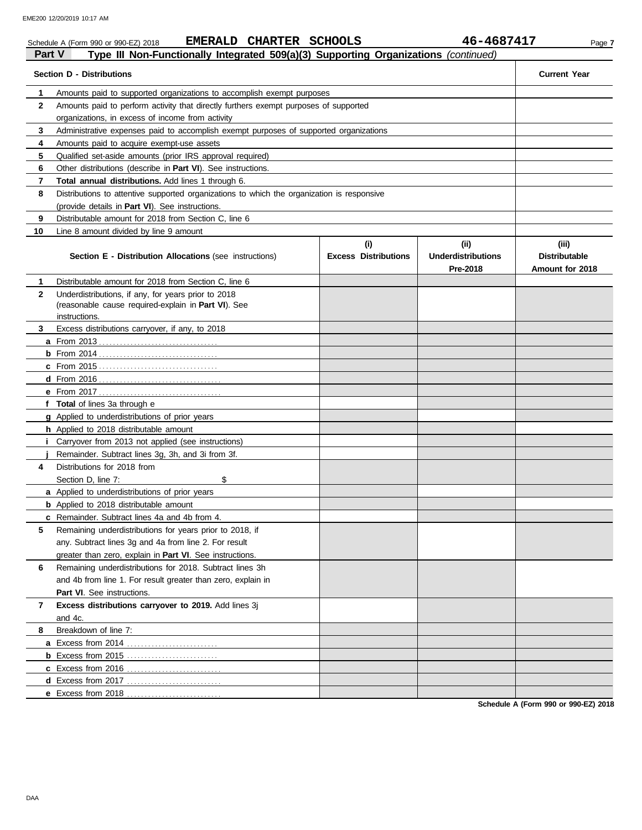|                | EMERALD CHARTER SCHOOLS<br>Schedule A (Form 990 or 990-EZ) 2018                                                             |                                    | 46-4687417                                    | Page 7                                           |
|----------------|-----------------------------------------------------------------------------------------------------------------------------|------------------------------------|-----------------------------------------------|--------------------------------------------------|
| Part V         | Type III Non-Functionally Integrated 509(a)(3) Supporting Organizations (continued)                                         |                                    |                                               |                                                  |
|                | <b>Section D - Distributions</b>                                                                                            |                                    |                                               | <b>Current Year</b>                              |
| 1              | Amounts paid to supported organizations to accomplish exempt purposes                                                       |                                    |                                               |                                                  |
| $\overline{2}$ | Amounts paid to perform activity that directly furthers exempt purposes of supported                                        |                                    |                                               |                                                  |
|                | organizations, in excess of income from activity                                                                            |                                    |                                               |                                                  |
| 3              | Administrative expenses paid to accomplish exempt purposes of supported organizations                                       |                                    |                                               |                                                  |
| 4              | Amounts paid to acquire exempt-use assets                                                                                   |                                    |                                               |                                                  |
| 5              | Qualified set-aside amounts (prior IRS approval required)                                                                   |                                    |                                               |                                                  |
| 6              | Other distributions (describe in Part VI). See instructions.                                                                |                                    |                                               |                                                  |
| 7              | Total annual distributions. Add lines 1 through 6.                                                                          |                                    |                                               |                                                  |
| 8              | Distributions to attentive supported organizations to which the organization is responsive                                  |                                    |                                               |                                                  |
|                | (provide details in Part VI). See instructions.                                                                             |                                    |                                               |                                                  |
| 9              | Distributable amount for 2018 from Section C, line 6                                                                        |                                    |                                               |                                                  |
| 10             | Line 8 amount divided by line 9 amount                                                                                      |                                    |                                               |                                                  |
|                | Section E - Distribution Allocations (see instructions)                                                                     | (i)<br><b>Excess Distributions</b> | (ii)<br><b>Underdistributions</b><br>Pre-2018 | (iii)<br><b>Distributable</b><br>Amount for 2018 |
| 1.             | Distributable amount for 2018 from Section C, line 6                                                                        |                                    |                                               |                                                  |
| $\mathbf{2}$   | Underdistributions, if any, for years prior to 2018<br>(reasonable cause required-explain in Part VI). See<br>instructions. |                                    |                                               |                                                  |
| 3              | Excess distributions carryover, if any, to 2018                                                                             |                                    |                                               |                                                  |
|                |                                                                                                                             |                                    |                                               |                                                  |
|                |                                                                                                                             |                                    |                                               |                                                  |
|                |                                                                                                                             |                                    |                                               |                                                  |
|                |                                                                                                                             |                                    |                                               |                                                  |
|                |                                                                                                                             |                                    |                                               |                                                  |
|                | f Total of lines 3a through e                                                                                               |                                    |                                               |                                                  |
|                | g Applied to underdistributions of prior years                                                                              |                                    |                                               |                                                  |
|                | h Applied to 2018 distributable amount                                                                                      |                                    |                                               |                                                  |
|                | <i>i</i> Carryover from 2013 not applied (see instructions)                                                                 |                                    |                                               |                                                  |
|                | Remainder. Subtract lines 3g, 3h, and 3i from 3f.                                                                           |                                    |                                               |                                                  |
| 4              | Distributions for 2018 from                                                                                                 |                                    |                                               |                                                  |
|                | Section D, line 7:<br>\$                                                                                                    |                                    |                                               |                                                  |
|                | a Applied to underdistributions of prior years                                                                              |                                    |                                               |                                                  |
|                | <b>b</b> Applied to 2018 distributable amount                                                                               |                                    |                                               |                                                  |
|                | c Remainder. Subtract lines 4a and 4b from 4.                                                                               |                                    |                                               |                                                  |
| 5              | Remaining underdistributions for years prior to 2018, if                                                                    |                                    |                                               |                                                  |
|                | any. Subtract lines 3g and 4a from line 2. For result                                                                       |                                    |                                               |                                                  |
|                | greater than zero, explain in Part VI. See instructions.                                                                    |                                    |                                               |                                                  |
| 6              | Remaining underdistributions for 2018. Subtract lines 3h                                                                    |                                    |                                               |                                                  |
|                | and 4b from line 1. For result greater than zero, explain in                                                                |                                    |                                               |                                                  |
|                | Part VI. See instructions.                                                                                                  |                                    |                                               |                                                  |
| 7              | Excess distributions carryover to 2019. Add lines 3j                                                                        |                                    |                                               |                                                  |
|                | and 4c.                                                                                                                     |                                    |                                               |                                                  |
| 8              | Breakdown of line 7:                                                                                                        |                                    |                                               |                                                  |
|                |                                                                                                                             |                                    |                                               |                                                  |
|                |                                                                                                                             |                                    |                                               |                                                  |
|                |                                                                                                                             |                                    |                                               |                                                  |
|                |                                                                                                                             |                                    |                                               |                                                  |
|                | e Excess from 2018                                                                                                          |                                    |                                               |                                                  |

**Schedule A (Form 990 or 990-EZ) 2018**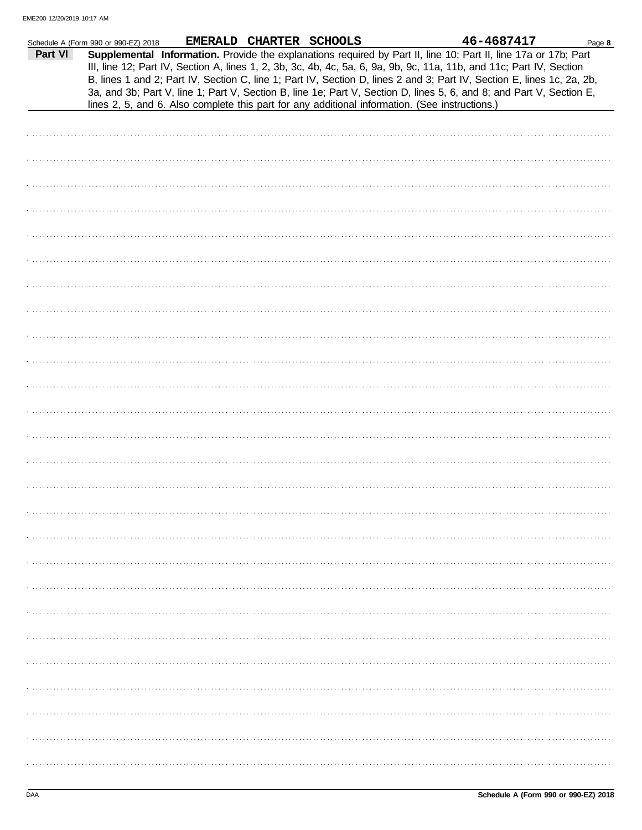|         | Schedule A (Form 990 or 990-EZ) 2018 | EMERALD CHARTER SCHOOLS |                                                                                                                                                                                                                                                                                                                                                                                                                                                                                                                                                                                             | 46-4687417 | Page 8 |
|---------|--------------------------------------|-------------------------|---------------------------------------------------------------------------------------------------------------------------------------------------------------------------------------------------------------------------------------------------------------------------------------------------------------------------------------------------------------------------------------------------------------------------------------------------------------------------------------------------------------------------------------------------------------------------------------------|------------|--------|
| Part VI |                                      |                         | Supplemental Information. Provide the explanations required by Part II, line 10; Part II, line 17a or 17b; Part<br>III, line 12; Part IV, Section A, lines 1, 2, 3b, 3c, 4b, 4c, 5a, 6, 9a, 9b, 9c, 11a, 11b, and 11c; Part IV, Section<br>B, lines 1 and 2; Part IV, Section C, line 1; Part IV, Section D, lines 2 and 3; Part IV, Section E, lines 1c, 2a, 2b,<br>3a, and 3b; Part V, line 1; Part V, Section B, line 1e; Part V, Section D, lines 5, 6, and 8; and Part V, Section E,<br>lines 2, 5, and 6. Also complete this part for any additional information. (See instructions.) |            |        |
|         |                                      |                         |                                                                                                                                                                                                                                                                                                                                                                                                                                                                                                                                                                                             |            |        |
|         |                                      |                         |                                                                                                                                                                                                                                                                                                                                                                                                                                                                                                                                                                                             |            |        |
|         |                                      |                         |                                                                                                                                                                                                                                                                                                                                                                                                                                                                                                                                                                                             |            |        |
|         |                                      |                         |                                                                                                                                                                                                                                                                                                                                                                                                                                                                                                                                                                                             |            |        |
|         |                                      |                         |                                                                                                                                                                                                                                                                                                                                                                                                                                                                                                                                                                                             |            |        |
|         |                                      |                         |                                                                                                                                                                                                                                                                                                                                                                                                                                                                                                                                                                                             |            |        |
|         |                                      |                         |                                                                                                                                                                                                                                                                                                                                                                                                                                                                                                                                                                                             |            |        |
|         |                                      |                         |                                                                                                                                                                                                                                                                                                                                                                                                                                                                                                                                                                                             |            |        |
|         |                                      |                         |                                                                                                                                                                                                                                                                                                                                                                                                                                                                                                                                                                                             |            |        |
|         |                                      |                         |                                                                                                                                                                                                                                                                                                                                                                                                                                                                                                                                                                                             |            |        |
|         |                                      |                         |                                                                                                                                                                                                                                                                                                                                                                                                                                                                                                                                                                                             |            |        |
|         |                                      |                         |                                                                                                                                                                                                                                                                                                                                                                                                                                                                                                                                                                                             |            |        |
|         |                                      |                         |                                                                                                                                                                                                                                                                                                                                                                                                                                                                                                                                                                                             |            |        |
|         |                                      |                         |                                                                                                                                                                                                                                                                                                                                                                                                                                                                                                                                                                                             |            |        |
|         |                                      |                         |                                                                                                                                                                                                                                                                                                                                                                                                                                                                                                                                                                                             |            |        |
|         |                                      |                         |                                                                                                                                                                                                                                                                                                                                                                                                                                                                                                                                                                                             |            |        |
|         |                                      |                         |                                                                                                                                                                                                                                                                                                                                                                                                                                                                                                                                                                                             |            |        |
|         |                                      |                         |                                                                                                                                                                                                                                                                                                                                                                                                                                                                                                                                                                                             |            |        |
|         |                                      |                         |                                                                                                                                                                                                                                                                                                                                                                                                                                                                                                                                                                                             |            |        |
|         |                                      |                         |                                                                                                                                                                                                                                                                                                                                                                                                                                                                                                                                                                                             |            |        |
|         |                                      |                         |                                                                                                                                                                                                                                                                                                                                                                                                                                                                                                                                                                                             |            |        |
|         |                                      |                         |                                                                                                                                                                                                                                                                                                                                                                                                                                                                                                                                                                                             |            |        |
|         |                                      |                         |                                                                                                                                                                                                                                                                                                                                                                                                                                                                                                                                                                                             |            |        |
|         |                                      |                         |                                                                                                                                                                                                                                                                                                                                                                                                                                                                                                                                                                                             |            |        |
|         |                                      |                         |                                                                                                                                                                                                                                                                                                                                                                                                                                                                                                                                                                                             |            |        |
|         |                                      |                         |                                                                                                                                                                                                                                                                                                                                                                                                                                                                                                                                                                                             |            |        |
|         |                                      |                         |                                                                                                                                                                                                                                                                                                                                                                                                                                                                                                                                                                                             |            |        |
|         |                                      |                         |                                                                                                                                                                                                                                                                                                                                                                                                                                                                                                                                                                                             |            |        |
|         |                                      |                         |                                                                                                                                                                                                                                                                                                                                                                                                                                                                                                                                                                                             |            |        |
|         |                                      |                         |                                                                                                                                                                                                                                                                                                                                                                                                                                                                                                                                                                                             |            |        |
|         |                                      |                         |                                                                                                                                                                                                                                                                                                                                                                                                                                                                                                                                                                                             |            |        |
|         |                                      |                         |                                                                                                                                                                                                                                                                                                                                                                                                                                                                                                                                                                                             |            |        |
|         |                                      |                         |                                                                                                                                                                                                                                                                                                                                                                                                                                                                                                                                                                                             |            |        |
|         |                                      |                         |                                                                                                                                                                                                                                                                                                                                                                                                                                                                                                                                                                                             |            |        |
|         |                                      |                         |                                                                                                                                                                                                                                                                                                                                                                                                                                                                                                                                                                                             |            |        |
|         |                                      |                         |                                                                                                                                                                                                                                                                                                                                                                                                                                                                                                                                                                                             |            |        |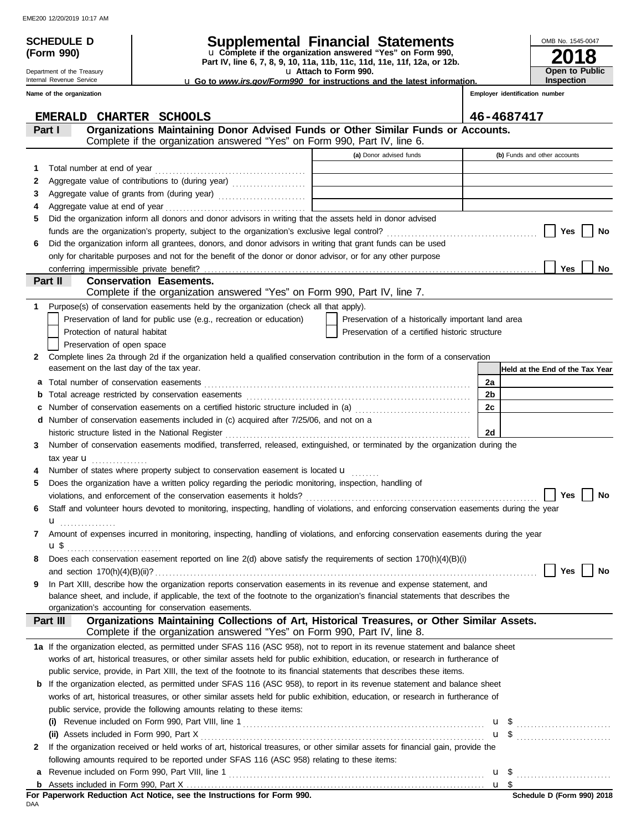Department of the Treasury Internal Revenue Service

**(Form 990)**

# **SCHEDULE D Supplemental Financial Statements**

**Part IV, line 6, 7, 8, 9, 10, 11a, 11b, 11c, 11d, 11e, 11f, 12a, or 12b.** u **Complete if the organization answered "Yes" on Form 990,**

u **Attach to Form 990.** 

u **Go to** *www.irs.gov/Form990* **for instructions and the latest information.**

**Inspection**

**2018**

**Open to Public**

OMB No. 1545-0047

|              | Name of the organization                                                                                                                                                                                                                                            |                                                    | Employer identification number  |
|--------------|---------------------------------------------------------------------------------------------------------------------------------------------------------------------------------------------------------------------------------------------------------------------|----------------------------------------------------|---------------------------------|
|              | EMERALD CHARTER SCHOOLS                                                                                                                                                                                                                                             |                                                    | 46-4687417                      |
|              | Organizations Maintaining Donor Advised Funds or Other Similar Funds or Accounts.<br>Part I<br>Complete if the organization answered "Yes" on Form 990, Part IV, line 6.                                                                                            |                                                    |                                 |
|              |                                                                                                                                                                                                                                                                     | (a) Donor advised funds                            | (b) Funds and other accounts    |
| 1            | Total number at end of year                                                                                                                                                                                                                                         |                                                    |                                 |
| 2            |                                                                                                                                                                                                                                                                     |                                                    |                                 |
| 3            |                                                                                                                                                                                                                                                                     |                                                    |                                 |
| 4            | Aggregate value at end of year                                                                                                                                                                                                                                      |                                                    |                                 |
| 5            | Did the organization inform all donors and donor advisors in writing that the assets held in donor advised                                                                                                                                                          |                                                    |                                 |
|              |                                                                                                                                                                                                                                                                     |                                                    | Yes<br>No                       |
| 6            | Did the organization inform all grantees, donors, and donor advisors in writing that grant funds can be used                                                                                                                                                        |                                                    |                                 |
|              | only for charitable purposes and not for the benefit of the donor or donor advisor, or for any other purpose                                                                                                                                                        |                                                    |                                 |
|              | conferring impermissible private benefit?                                                                                                                                                                                                                           |                                                    | <b>Yes</b><br>No                |
|              | <b>Conservation Easements.</b><br>Part II                                                                                                                                                                                                                           |                                                    |                                 |
|              | Complete if the organization answered "Yes" on Form 990, Part IV, line 7.                                                                                                                                                                                           |                                                    |                                 |
|              | Purpose(s) of conservation easements held by the organization (check all that apply).                                                                                                                                                                               |                                                    |                                 |
|              | Preservation of land for public use (e.g., recreation or education)                                                                                                                                                                                                 | Preservation of a historically important land area |                                 |
|              | Protection of natural habitat                                                                                                                                                                                                                                       | Preservation of a certified historic structure     |                                 |
|              | Preservation of open space                                                                                                                                                                                                                                          |                                                    |                                 |
| 2            | Complete lines 2a through 2d if the organization held a qualified conservation contribution in the form of a conservation                                                                                                                                           |                                                    |                                 |
|              | easement on the last day of the tax year.                                                                                                                                                                                                                           |                                                    | Held at the End of the Tax Year |
| а            | Total number of conservation easements                                                                                                                                                                                                                              |                                                    | 2a                              |
|              |                                                                                                                                                                                                                                                                     |                                                    | 2 <sub>b</sub>                  |
|              | Number of conservation easements on a certified historic structure included in (a) [[[[[[[[[[[[[[[[[[[[[[[[]]]]]]]]                                                                                                                                                 |                                                    | 2c                              |
| d            | Number of conservation easements included in (c) acquired after 7/25/06, and not on a                                                                                                                                                                               |                                                    |                                 |
|              |                                                                                                                                                                                                                                                                     |                                                    | 2d                              |
| 3.           | Number of conservation easements modified, transferred, released, extinguished, or terminated by the organization during the                                                                                                                                        |                                                    |                                 |
|              | tax year <b>u</b>                                                                                                                                                                                                                                                   |                                                    |                                 |
|              | Number of states where property subject to conservation easement is located u                                                                                                                                                                                       |                                                    |                                 |
| 5            | Does the organization have a written policy regarding the periodic monitoring, inspection, handling of                                                                                                                                                              |                                                    |                                 |
|              |                                                                                                                                                                                                                                                                     |                                                    | Yes<br>No                       |
| 6            | Staff and volunteer hours devoted to monitoring, inspecting, handling of violations, and enforcing conservation easements during the year                                                                                                                           |                                                    |                                 |
|              | u                                                                                                                                                                                                                                                                   |                                                    |                                 |
| 7            | Amount of expenses incurred in monitoring, inspecting, handling of violations, and enforcing conservation easements during the year                                                                                                                                 |                                                    |                                 |
|              | u\$                                                                                                                                                                                                                                                                 |                                                    |                                 |
|              | Does each conservation easement reported on line 2(d) above satisfy the requirements of section 170(h)(4)(B)(i)                                                                                                                                                     |                                                    |                                 |
|              | and section $170(h)(4)(B)(ii)?$                                                                                                                                                                                                                                     |                                                    | Yes<br>No                       |
| 9            | In Part XIII, describe how the organization reports conservation easements in its revenue and expense statement, and                                                                                                                                                |                                                    |                                 |
|              | balance sheet, and include, if applicable, the text of the footnote to the organization's financial statements that describes the                                                                                                                                   |                                                    |                                 |
|              | organization's accounting for conservation easements.                                                                                                                                                                                                               |                                                    |                                 |
|              | Organizations Maintaining Collections of Art, Historical Treasures, or Other Similar Assets.<br>Part III<br>Complete if the organization answered "Yes" on Form 990, Part IV, line 8.                                                                               |                                                    |                                 |
|              |                                                                                                                                                                                                                                                                     |                                                    |                                 |
|              | 1a If the organization elected, as permitted under SFAS 116 (ASC 958), not to report in its revenue statement and balance sheet<br>works of art, historical treasures, or other similar assets held for public exhibition, education, or research in furtherance of |                                                    |                                 |
|              |                                                                                                                                                                                                                                                                     |                                                    |                                 |
|              | public service, provide, in Part XIII, the text of the footnote to its financial statements that describes these items.                                                                                                                                             |                                                    |                                 |
| b            | If the organization elected, as permitted under SFAS 116 (ASC 958), to report in its revenue statement and balance sheet                                                                                                                                            |                                                    |                                 |
|              | works of art, historical treasures, or other similar assets held for public exhibition, education, or research in furtherance of                                                                                                                                    |                                                    |                                 |
|              | public service, provide the following amounts relating to these items:                                                                                                                                                                                              |                                                    |                                 |
|              |                                                                                                                                                                                                                                                                     |                                                    |                                 |
|              | (ii) Assets included in Form 990, Part X                                                                                                                                                                                                                            |                                                    | $\mathsf{u}$ \$                 |
| $\mathbf{2}$ | If the organization received or held works of art, historical treasures, or other similar assets for financial gain, provide the                                                                                                                                    |                                                    |                                 |
|              | following amounts required to be reported under SFAS 116 (ASC 958) relating to these items:                                                                                                                                                                         |                                                    |                                 |
| а            |                                                                                                                                                                                                                                                                     |                                                    |                                 |
|              |                                                                                                                                                                                                                                                                     |                                                    | u \$                            |

DAA **For Paperwork Reduction Act Notice, see the Instructions for Form 990.**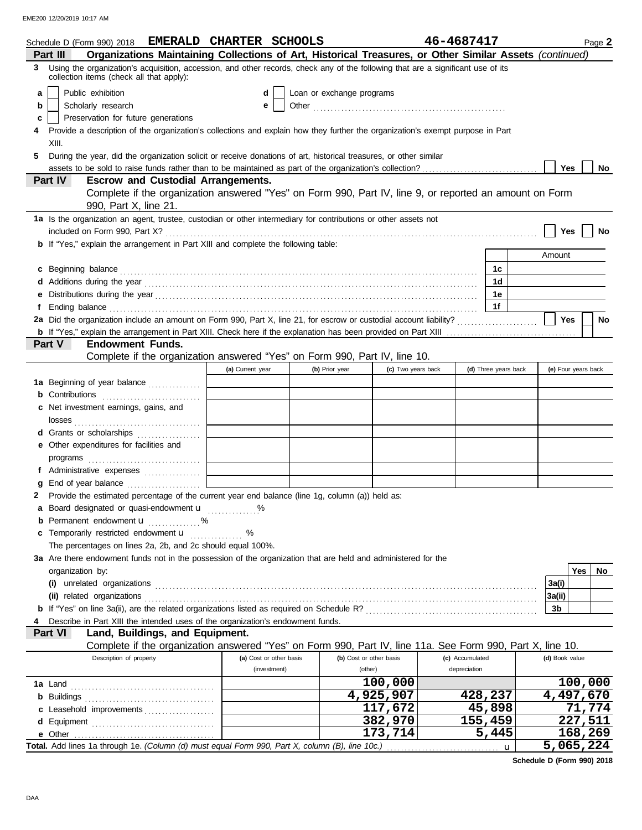|   | Schedule D (Form 990) 2018 EMERALD CHARTER SCHOOLS                                                                                                                                                                                   |                         |                           |                         | 46-4687417      |                      |                | Page 2              |
|---|--------------------------------------------------------------------------------------------------------------------------------------------------------------------------------------------------------------------------------------|-------------------------|---------------------------|-------------------------|-----------------|----------------------|----------------|---------------------|
|   | Organizations Maintaining Collections of Art, Historical Treasures, or Other Similar Assets (continued)<br>Part III                                                                                                                  |                         |                           |                         |                 |                      |                |                     |
| 3 | Using the organization's acquisition, accession, and other records, check any of the following that are a significant use of its<br>collection items (check all that apply):                                                         |                         |                           |                         |                 |                      |                |                     |
| a | Public exhibition                                                                                                                                                                                                                    | d                       | Loan or exchange programs |                         |                 |                      |                |                     |
| b | Scholarly research                                                                                                                                                                                                                   | е                       |                           |                         |                 |                      |                |                     |
| c | Preservation for future generations                                                                                                                                                                                                  |                         |                           |                         |                 |                      |                |                     |
|   | Provide a description of the organization's collections and explain how they further the organization's exempt purpose in Part                                                                                                       |                         |                           |                         |                 |                      |                |                     |
|   | XIII.                                                                                                                                                                                                                                |                         |                           |                         |                 |                      |                |                     |
| 5 | During the year, did the organization solicit or receive donations of art, historical treasures, or other similar                                                                                                                    |                         |                           |                         |                 |                      |                |                     |
|   |                                                                                                                                                                                                                                      |                         |                           |                         |                 |                      | <b>Yes</b>     | No                  |
|   | <b>Escrow and Custodial Arrangements.</b><br>Part IV                                                                                                                                                                                 |                         |                           |                         |                 |                      |                |                     |
|   | Complete if the organization answered "Yes" on Form 990, Part IV, line 9, or reported an amount on Form                                                                                                                              |                         |                           |                         |                 |                      |                |                     |
|   | 990, Part X, line 21.                                                                                                                                                                                                                |                         |                           |                         |                 |                      |                |                     |
|   | 1a Is the organization an agent, trustee, custodian or other intermediary for contributions or other assets not                                                                                                                      |                         |                           |                         |                 |                      |                |                     |
|   |                                                                                                                                                                                                                                      |                         |                           |                         |                 |                      | Yes            | No                  |
|   | b If "Yes," explain the arrangement in Part XIII and complete the following table:                                                                                                                                                   |                         |                           |                         |                 |                      |                |                     |
|   |                                                                                                                                                                                                                                      |                         |                           |                         |                 |                      | Amount         |                     |
|   | c Beginning balance <b>contract to the contract of the contract of the contract of the contract of the contract of the contract of the contract of the contract of the contract of the contract of the contract of the contract </b> |                         |                           |                         |                 | 1с                   |                |                     |
|   |                                                                                                                                                                                                                                      |                         |                           |                         |                 | 1d                   |                |                     |
| е |                                                                                                                                                                                                                                      |                         |                           |                         |                 | 1е                   |                |                     |
| f |                                                                                                                                                                                                                                      |                         |                           |                         |                 | 1f                   |                |                     |
|   |                                                                                                                                                                                                                                      |                         |                           |                         |                 |                      | Yes            | <b>No</b>           |
|   |                                                                                                                                                                                                                                      |                         |                           |                         |                 |                      |                |                     |
|   | <b>Endowment Funds.</b><br>Part V                                                                                                                                                                                                    |                         |                           |                         |                 |                      |                |                     |
|   | Complete if the organization answered "Yes" on Form 990, Part IV, line 10.                                                                                                                                                           |                         |                           |                         |                 |                      |                |                     |
|   |                                                                                                                                                                                                                                      | (a) Current year        | (b) Prior year            | (c) Two years back      |                 | (d) Three years back |                | (e) Four years back |
|   | 1a Beginning of year balance                                                                                                                                                                                                         |                         |                           |                         |                 |                      |                |                     |
|   | <b>b</b> Contributions <b>contributions</b>                                                                                                                                                                                          |                         |                           |                         |                 |                      |                |                     |
|   | c Net investment earnings, gains, and                                                                                                                                                                                                |                         |                           |                         |                 |                      |                |                     |
|   |                                                                                                                                                                                                                                      |                         |                           |                         |                 |                      |                |                     |
|   | d Grants or scholarships                                                                                                                                                                                                             |                         |                           |                         |                 |                      |                |                     |
|   | e Other expenditures for facilities and                                                                                                                                                                                              |                         |                           |                         |                 |                      |                |                     |
|   |                                                                                                                                                                                                                                      |                         |                           |                         |                 |                      |                |                     |
|   | f Administrative expenses                                                                                                                                                                                                            |                         |                           |                         |                 |                      |                |                     |
| g |                                                                                                                                                                                                                                      |                         |                           |                         |                 |                      |                |                     |
| 2 | Provide the estimated percentage of the current year end balance (line 1g, column (a)) held as:                                                                                                                                      |                         |                           |                         |                 |                      |                |                     |
|   | a Board designated or quasi-endowment u                                                                                                                                                                                              |                         |                           |                         |                 |                      |                |                     |
|   | <b>b</b> Permanent endowment <b>u</b> %                                                                                                                                                                                              |                         |                           |                         |                 |                      |                |                     |
|   | c Temporarily restricted endowment u                                                                                                                                                                                                 | %                       |                           |                         |                 |                      |                |                     |
|   | The percentages on lines 2a, 2b, and 2c should equal 100%.                                                                                                                                                                           |                         |                           |                         |                 |                      |                |                     |
|   | 3a Are there endowment funds not in the possession of the organization that are held and administered for the                                                                                                                        |                         |                           |                         |                 |                      |                |                     |
|   | organization by:                                                                                                                                                                                                                     |                         |                           |                         |                 |                      |                | Yes<br>No           |
|   |                                                                                                                                                                                                                                      |                         |                           |                         |                 |                      | 3a(i)          |                     |
|   |                                                                                                                                                                                                                                      |                         |                           |                         |                 |                      | 3a(ii)         |                     |
|   |                                                                                                                                                                                                                                      |                         |                           |                         |                 |                      | 3b             |                     |
| 4 | Describe in Part XIII the intended uses of the organization's endowment funds.                                                                                                                                                       |                         |                           |                         |                 |                      |                |                     |
|   | Land, Buildings, and Equipment.<br><b>Part VI</b>                                                                                                                                                                                    |                         |                           |                         |                 |                      |                |                     |
|   | Complete if the organization answered "Yes" on Form 990, Part IV, line 11a. See Form 990, Part X, line 10.                                                                                                                           |                         |                           |                         |                 |                      |                |                     |
|   | Description of property                                                                                                                                                                                                              | (a) Cost or other basis |                           | (b) Cost or other basis | (c) Accumulated |                      | (d) Book value |                     |
|   |                                                                                                                                                                                                                                      | (investment)            |                           | (other)                 | depreciation    |                      |                |                     |
|   |                                                                                                                                                                                                                                      |                         |                           | 100,000                 |                 |                      |                | 100,000             |
|   |                                                                                                                                                                                                                                      |                         |                           | 4,925,907               |                 | 428,237              |                | 4,497,670           |
|   | c Leasehold improvements                                                                                                                                                                                                             |                         |                           | 117,672                 |                 | 45,898               |                | 71,774              |
|   |                                                                                                                                                                                                                                      |                         |                           | 382,970                 |                 | 155,459              |                | 227,511             |
|   |                                                                                                                                                                                                                                      |                         |                           | 173,714                 |                 | 5,445                |                | 168,269             |
|   | Total. Add lines 1a through 1e. (Column (d) must equal Form 990, Part X, column (B), line 10c.)                                                                                                                                      |                         |                           |                         |                 | u                    |                | 5,065,224           |

**Schedule D (Form 990) 2018**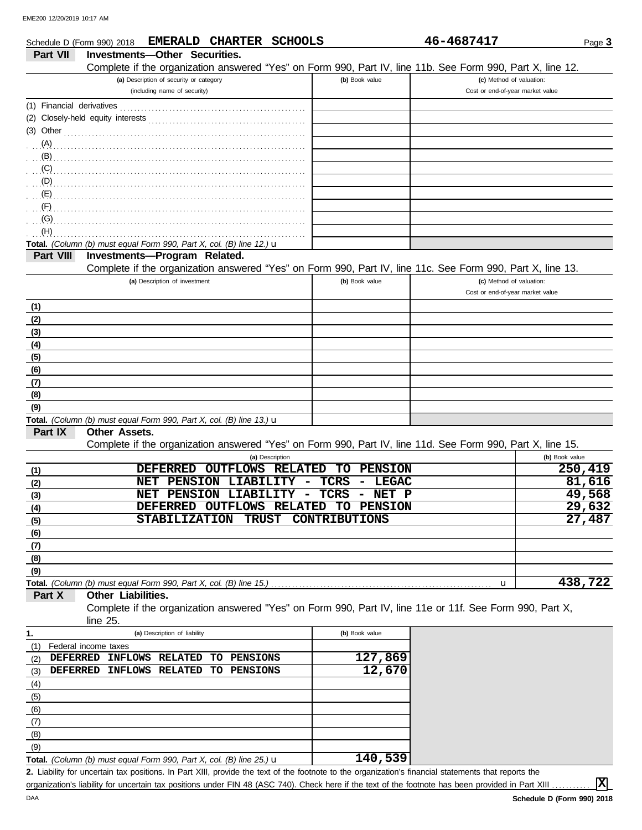|                        | CHARTER SCHOOLS<br><b>EMERALD</b><br>Schedule D (Form 990) 2018                                            |                                                  | 46-4687417                       | Page 3         |
|------------------------|------------------------------------------------------------------------------------------------------------|--------------------------------------------------|----------------------------------|----------------|
| <b>Part VII</b>        | Investments-Other Securities.                                                                              |                                                  |                                  |                |
|                        | Complete if the organization answered "Yes" on Form 990, Part IV, line 11b. See Form 990, Part X, line 12. |                                                  |                                  |                |
|                        | (a) Description of security or category                                                                    | (b) Book value                                   | (c) Method of valuation:         |                |
|                        | (including name of security)                                                                               |                                                  | Cost or end-of-year market value |                |
|                        |                                                                                                            |                                                  |                                  |                |
|                        | (2) Closely-held equity interests                                                                          |                                                  |                                  |                |
| $(3)$ Other            |                                                                                                            |                                                  |                                  |                |
|                        |                                                                                                            |                                                  |                                  |                |
| (A)                    |                                                                                                            |                                                  |                                  |                |
| (B)                    |                                                                                                            |                                                  |                                  |                |
| (C)                    |                                                                                                            |                                                  |                                  |                |
| (D)                    |                                                                                                            |                                                  |                                  |                |
| (E)                    |                                                                                                            |                                                  |                                  |                |
| (F)                    |                                                                                                            |                                                  |                                  |                |
| (G)                    |                                                                                                            |                                                  |                                  |                |
| (H)                    |                                                                                                            |                                                  |                                  |                |
|                        | Total. (Column (b) must equal Form 990, Part X, col. (B) line 12.) $\mathbf u$                             |                                                  |                                  |                |
| Part VIII              | Investments-Program Related.                                                                               |                                                  |                                  |                |
|                        | Complete if the organization answered "Yes" on Form 990, Part IV, line 11c. See Form 990, Part X, line 13. |                                                  |                                  |                |
|                        | (a) Description of investment                                                                              | (b) Book value                                   | (c) Method of valuation:         |                |
|                        |                                                                                                            |                                                  | Cost or end-of-year market value |                |
|                        |                                                                                                            |                                                  |                                  |                |
| (1)                    |                                                                                                            |                                                  |                                  |                |
| (2)                    |                                                                                                            |                                                  |                                  |                |
| (3)                    |                                                                                                            |                                                  |                                  |                |
| (4)                    |                                                                                                            |                                                  |                                  |                |
| (5)                    |                                                                                                            |                                                  |                                  |                |
| (6)                    |                                                                                                            |                                                  |                                  |                |
| (7)                    |                                                                                                            |                                                  |                                  |                |
| (8)                    |                                                                                                            |                                                  |                                  |                |
| (9)                    |                                                                                                            |                                                  |                                  |                |
|                        | Total. (Column (b) must equal Form 990, Part X, col. (B) line 13.) u                                       |                                                  |                                  |                |
| Part IX                | Other Assets.                                                                                              |                                                  |                                  |                |
|                        | Complete if the organization answered "Yes" on Form 990, Part IV, line 11d. See Form 990, Part X, line 15. |                                                  |                                  |                |
|                        | (a) Description                                                                                            |                                                  |                                  | (b) Book value |
| (1)                    | <b>OUTFLOWS</b><br><b>RELATED</b><br><b>DEFERRED</b>                                                       | TO<br><b>PENSION</b>                             |                                  | 250,419        |
|                        | <b>LIABILITY</b><br><b>PENSION</b><br>NET                                                                  | <b>TCRS</b><br><b>LEGAC</b>                      |                                  | 81,616         |
| (2)                    | PENSION LIABILITY<br><b>NET</b><br>-                                                                       | <b>TCRS</b><br>NET P<br>$\overline{\phantom{m}}$ |                                  | 49,568         |
| (3)                    | DEFERRED OUTFLOWS RELATED TO PENSION                                                                       |                                                  |                                  |                |
| (4)                    |                                                                                                            |                                                  |                                  | 29,632         |
| (5)                    | <b>STABILIZATION</b><br><b>TRUST</b>                                                                       | CONTRIBUTIONS                                    |                                  | 27,487         |
| (6)                    |                                                                                                            |                                                  |                                  |                |
| (7)                    |                                                                                                            |                                                  |                                  |                |
| (8)                    |                                                                                                            |                                                  |                                  |                |
| (9)                    |                                                                                                            |                                                  |                                  |                |
|                        | Total. (Column (b) must equal Form 990, Part X, col. (B) line 15.)                                         |                                                  | u                                | 438,722        |
| Part X                 | Other Liabilities.                                                                                         |                                                  |                                  |                |
|                        | Complete if the organization answered "Yes" on Form 990, Part IV, line 11e or 11f. See Form 990, Part X,   |                                                  |                                  |                |
|                        | line 25.                                                                                                   |                                                  |                                  |                |
| 1.                     | (a) Description of liability                                                                               | (b) Book value                                   |                                  |                |
| (1)                    | Federal income taxes                                                                                       |                                                  |                                  |                |
| <b>DEFERRED</b><br>(2) | <b>INFLOWS RELATED</b><br><b>PENSIONS</b><br>TO                                                            | 127,869                                          |                                  |                |
| DEFERRED               | <b>PENSIONS</b><br><b>INFLOWS RELATED</b><br>TO                                                            | 12,670                                           |                                  |                |
| (3)                    |                                                                                                            |                                                  |                                  |                |
| (4)                    |                                                                                                            |                                                  |                                  |                |
| (5)                    |                                                                                                            |                                                  |                                  |                |
| (6)                    |                                                                                                            |                                                  |                                  |                |
| (7)                    |                                                                                                            |                                                  |                                  |                |
| (8)                    |                                                                                                            |                                                  |                                  |                |
| (9)                    |                                                                                                            |                                                  |                                  |                |

| <b>Total.</b> (Column (b) must equal Form 990, Part X, col. (B) line 25.) $\mathbf{u}$ | 140,539 |
|----------------------------------------------------------------------------------------|---------|
|                                                                                        |         |

Liability for uncertain tax positions. In Part XIII, provide the text of the footnote to the organization's financial statements that reports the **2.** organization's liability for uncertain tax positions under FIN 48 (ASC 740). Check here if the text of the footnote has been provided in Part XIII

**X**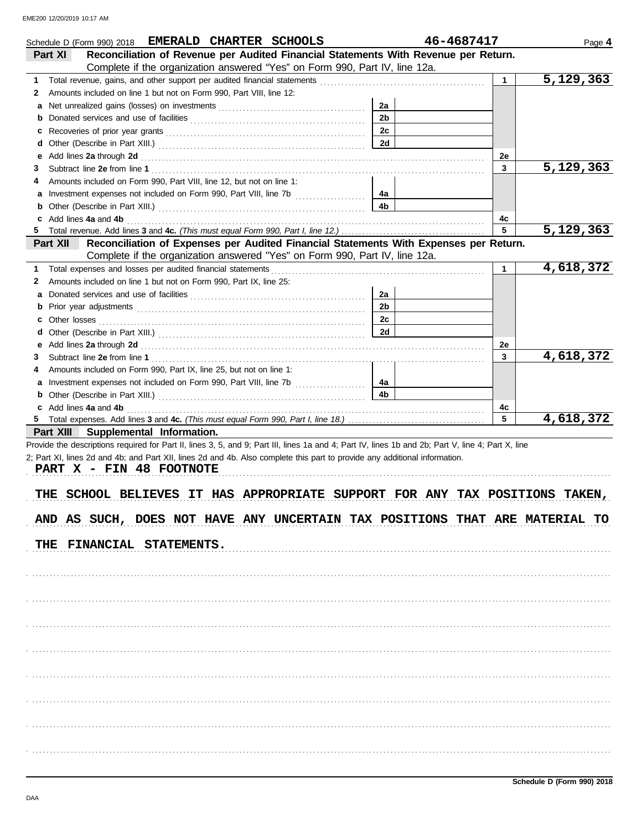| Schedule D (Form 990) 2018 EMERALD CHARTER SCHOOLS                                                                                                                                                                                                                                                                                                                                                           |                | 46-4687417   | Page 4    |
|--------------------------------------------------------------------------------------------------------------------------------------------------------------------------------------------------------------------------------------------------------------------------------------------------------------------------------------------------------------------------------------------------------------|----------------|--------------|-----------|
| Reconciliation of Revenue per Audited Financial Statements With Revenue per Return.<br>Part XI                                                                                                                                                                                                                                                                                                               |                |              |           |
| Complete if the organization answered "Yes" on Form 990, Part IV, line 12a.                                                                                                                                                                                                                                                                                                                                  |                |              |           |
| 1                                                                                                                                                                                                                                                                                                                                                                                                            |                | $\mathbf{1}$ | 5,129,363 |
| Amounts included on line 1 but not on Form 990, Part VIII, line 12:<br>2                                                                                                                                                                                                                                                                                                                                     |                |              |           |
|                                                                                                                                                                                                                                                                                                                                                                                                              | 2a             |              |           |
| b                                                                                                                                                                                                                                                                                                                                                                                                            | 2 <sub>b</sub> |              |           |
|                                                                                                                                                                                                                                                                                                                                                                                                              | 2c             |              |           |
| d                                                                                                                                                                                                                                                                                                                                                                                                            | 2d             |              |           |
| Add lines 2a through 2d [11] Additional Property and Property and Property and Property and Property and Property and Property and Property and Property and Property and Property and Property and Property and Property and<br>е                                                                                                                                                                           |                | 2e           |           |
| 3                                                                                                                                                                                                                                                                                                                                                                                                            |                | 3            | 5,129,363 |
| Amounts included on Form 990, Part VIII, line 12, but not on line 1:<br>4                                                                                                                                                                                                                                                                                                                                    |                |              |           |
|                                                                                                                                                                                                                                                                                                                                                                                                              | 4а             |              |           |
| b                                                                                                                                                                                                                                                                                                                                                                                                            | 4b             |              |           |
| Add lines 4a and 4b [ <i>[1]</i> [ <i>[1]</i> [ <i>[1]</i> [ <i>[1]</i> [ <i>[1]</i> [ <i>[1]</i> [ <i>[1]</i> [ <i>[1]</i> [ <i>[1]</i> [ <i>[1]</i> [ <i>[1]</i> [ <i>[1]</i> [ <i>[1]</i> [ <i>[1]</i> [ <i>[1]</i> [ <i>[1]</i> [ <i>[1]</i> [ <i>[1]</i> [ <i>[1]</i> [ <i>[1]</i> [ <i>[1]</i> [ <i>[1]</i> [ <i>[1]</i> [ <i>[1]</i> [ <i>[1]</i> [ <i>[1]</i> [ <i>[1]</i> [ <i>[1]</i> [ <i>[1]</i> |                | 4c           |           |
|                                                                                                                                                                                                                                                                                                                                                                                                              |                | 5            | 5,129,363 |
| Reconciliation of Expenses per Audited Financial Statements With Expenses per Return.<br>Part XII                                                                                                                                                                                                                                                                                                            |                |              |           |
| Complete if the organization answered "Yes" on Form 990, Part IV, line 12a.                                                                                                                                                                                                                                                                                                                                  |                |              |           |
| Total expenses and losses per audited financial statements<br>1                                                                                                                                                                                                                                                                                                                                              |                | $\mathbf{1}$ | 4,618,372 |
| Amounts included on line 1 but not on Form 990, Part IX, line 25:<br>2                                                                                                                                                                                                                                                                                                                                       |                |              |           |
|                                                                                                                                                                                                                                                                                                                                                                                                              | 2a             |              |           |
|                                                                                                                                                                                                                                                                                                                                                                                                              | 2 <sub>b</sub> |              |           |
|                                                                                                                                                                                                                                                                                                                                                                                                              | 2c             |              |           |
|                                                                                                                                                                                                                                                                                                                                                                                                              | 2d             |              |           |
| Add lines 2a through 2d [11, 12] Add [12] Add lines 2a through 2d [12] Add lines 2a through 2d [12] Add lines 2a through 2d [12] Add and Add and Add and Add and Add and Add and Add and Add and Add and Add and Add and Add a<br>е                                                                                                                                                                          |                | 2e           |           |
| 3                                                                                                                                                                                                                                                                                                                                                                                                            |                | 3            | 4,618,372 |
| Amounts included on Form 990, Part IX, line 25, but not on line 1:<br>4                                                                                                                                                                                                                                                                                                                                      |                |              |           |
| Investment expenses not included on Form 990, Part VIII, line 7b                                                                                                                                                                                                                                                                                                                                             | 4a             |              |           |
| b                                                                                                                                                                                                                                                                                                                                                                                                            | 4b             |              |           |
| Add lines 4a and 4b <b>contract and 4b</b> and 4b and 4b and 4b and 4b and 4b and 4b and 4b and 4b and 4b and 4b and 4b and 4b and 4b and 4b and 4b and 4b and 4b and 4b and 4b and 4b and 4b and 4b and 4b and 4b and 4b and 4b an                                                                                                                                                                          |                | 4c<br>5      |           |
|                                                                                                                                                                                                                                                                                                                                                                                                              |                |              | 4,618,372 |
| Part XIII Supplemental Information.                                                                                                                                                                                                                                                                                                                                                                          |                |              |           |
| Provide the descriptions required for Part II, lines 3, 5, and 9; Part III, lines 1a and 4; Part IV, lines 1b and 2b; Part V, line 4; Part X, line<br>2; Part XI, lines 2d and 4b; and Part XII, lines 2d and 4b. Also complete this part to provide any additional information.                                                                                                                             |                |              |           |
| PART X - FIN 48 FOOTNOTE                                                                                                                                                                                                                                                                                                                                                                                     |                |              |           |
|                                                                                                                                                                                                                                                                                                                                                                                                              |                |              |           |
| SCHOOL BELIEVES IT HAS APPROPRIATE SUPPORT FOR ANY TAX POSITIONS TAKEN,                                                                                                                                                                                                                                                                                                                                      |                |              |           |
| THE                                                                                                                                                                                                                                                                                                                                                                                                          |                |              |           |
| AND AS SUCH, DOES NOT HAVE ANY UNCERTAIN TAX POSITIONS THAT ARE MATERIAL TO                                                                                                                                                                                                                                                                                                                                  |                |              |           |
|                                                                                                                                                                                                                                                                                                                                                                                                              |                |              |           |
| FINANCIAL STATEMENTS.                                                                                                                                                                                                                                                                                                                                                                                        |                |              |           |
|                                                                                                                                                                                                                                                                                                                                                                                                              |                |              |           |
|                                                                                                                                                                                                                                                                                                                                                                                                              |                |              |           |
|                                                                                                                                                                                                                                                                                                                                                                                                              |                |              |           |
|                                                                                                                                                                                                                                                                                                                                                                                                              |                |              |           |
|                                                                                                                                                                                                                                                                                                                                                                                                              |                |              |           |
|                                                                                                                                                                                                                                                                                                                                                                                                              |                |              |           |
|                                                                                                                                                                                                                                                                                                                                                                                                              |                |              |           |
|                                                                                                                                                                                                                                                                                                                                                                                                              |                |              |           |
|                                                                                                                                                                                                                                                                                                                                                                                                              |                |              |           |
|                                                                                                                                                                                                                                                                                                                                                                                                              |                |              |           |
|                                                                                                                                                                                                                                                                                                                                                                                                              |                |              |           |
|                                                                                                                                                                                                                                                                                                                                                                                                              |                |              |           |
|                                                                                                                                                                                                                                                                                                                                                                                                              |                |              |           |
|                                                                                                                                                                                                                                                                                                                                                                                                              |                |              |           |
|                                                                                                                                                                                                                                                                                                                                                                                                              |                |              |           |
|                                                                                                                                                                                                                                                                                                                                                                                                              |                |              |           |
|                                                                                                                                                                                                                                                                                                                                                                                                              |                |              |           |
|                                                                                                                                                                                                                                                                                                                                                                                                              |                |              |           |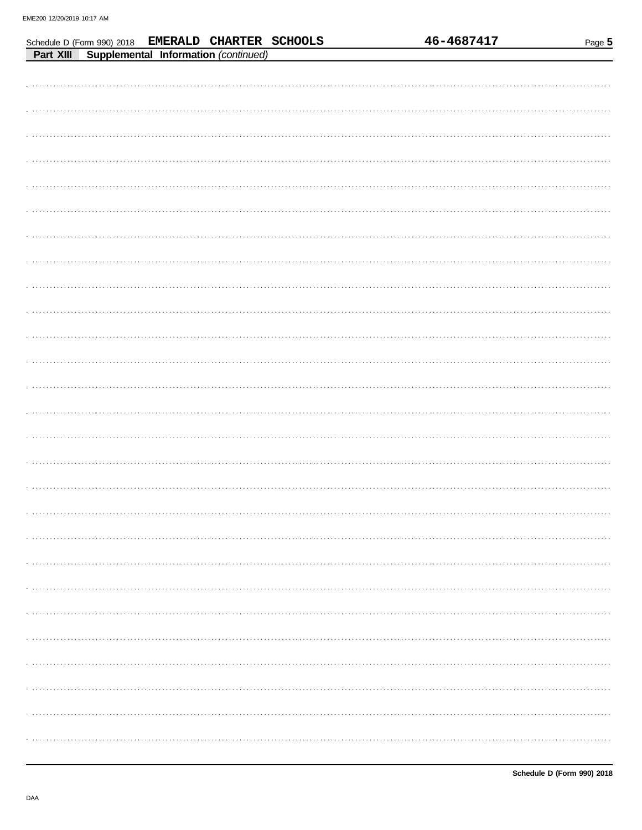Schedule D (Form 990) 2018 EMERALD CHARTER SCHOOLS

| <b>Part XIII Supplemental Information (continued)</b> |  |
|-------------------------------------------------------|--|
|                                                       |  |
|                                                       |  |
|                                                       |  |
|                                                       |  |
|                                                       |  |
|                                                       |  |
|                                                       |  |
|                                                       |  |
|                                                       |  |
|                                                       |  |
|                                                       |  |
|                                                       |  |
|                                                       |  |
|                                                       |  |
|                                                       |  |
|                                                       |  |
|                                                       |  |
|                                                       |  |
|                                                       |  |
|                                                       |  |
|                                                       |  |
|                                                       |  |
|                                                       |  |
|                                                       |  |
|                                                       |  |
|                                                       |  |
|                                                       |  |
|                                                       |  |
|                                                       |  |
|                                                       |  |
|                                                       |  |
|                                                       |  |
|                                                       |  |
|                                                       |  |
|                                                       |  |
|                                                       |  |
|                                                       |  |
|                                                       |  |

46-4687417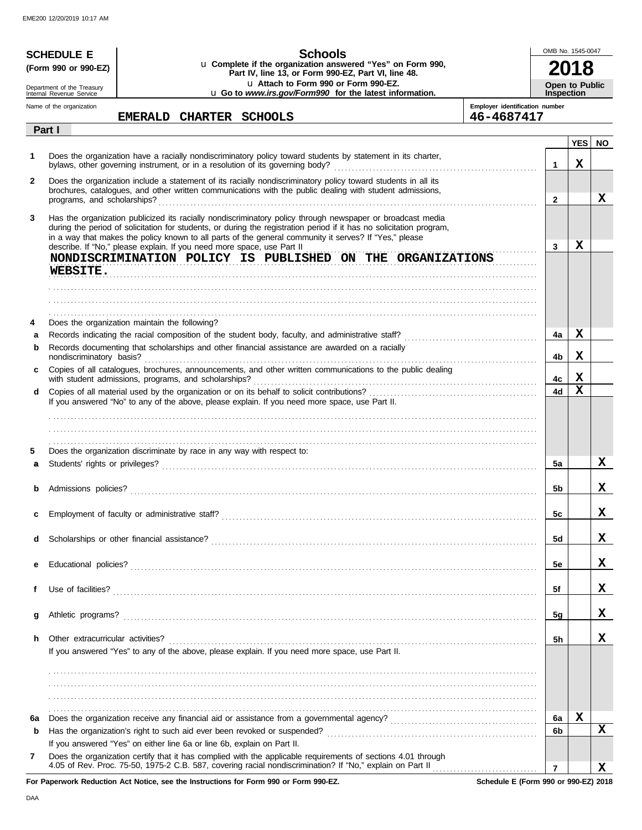|    | <b>SCHEDULE E</b>                                      | <b>Schools</b>                                                                                                                                                                                                                                                                                                                                                                                                         |                                              | OMB No. 1545-0047     |                  |           |
|----|--------------------------------------------------------|------------------------------------------------------------------------------------------------------------------------------------------------------------------------------------------------------------------------------------------------------------------------------------------------------------------------------------------------------------------------------------------------------------------------|----------------------------------------------|-----------------------|------------------|-----------|
|    | (Form 990 or 990-EZ)                                   | Lu Complete if the organization answered "Yes" on Form 990,<br>Part IV, line 13, or Form 990-EZ, Part VI, line 48.                                                                                                                                                                                                                                                                                                     |                                              |                       |                  |           |
|    |                                                        | U Attach to Form 990 or Form 990-EZ.                                                                                                                                                                                                                                                                                                                                                                                   |                                              | <b>Open to Public</b> |                  |           |
|    | Department of the Treasury<br>Internal Revenue Service | u Go to www.irs.gov/Form990 for the latest information.                                                                                                                                                                                                                                                                                                                                                                |                                              | <b>Inspection</b>     |                  |           |
|    | Name of the organization                               | EMERALD CHARTER SCHOOLS                                                                                                                                                                                                                                                                                                                                                                                                | Employer identification number<br>46-4687417 |                       |                  |           |
|    | Part I                                                 |                                                                                                                                                                                                                                                                                                                                                                                                                        |                                              |                       |                  |           |
|    |                                                        |                                                                                                                                                                                                                                                                                                                                                                                                                        |                                              |                       | YES <sup>I</sup> | <b>NO</b> |
| 1  |                                                        | Does the organization have a racially nondiscriminatory policy toward students by statement in its charter,                                                                                                                                                                                                                                                                                                            |                                              | $\mathbf{1}$          | х                |           |
| 2  | programs, and scholarships?                            | Does the organization include a statement of its racially nondiscriminatory policy toward students in all its<br>brochures, catalogues, and other written communications with the public dealing with student admissions,                                                                                                                                                                                              |                                              | $\mathbf{2}$          |                  | x         |
| 3  |                                                        | Has the organization publicized its racially nondiscriminatory policy through newspaper or broadcast media<br>during the period of solicitation for students, or during the registration period if it has no solicitation program,<br>in a way that makes the policy known to all parts of the general community it serves? If "Yes," please<br>describe. If "No," please explain. If you need more space, use Part II |                                              | 3                     | X                |           |
|    | WEBSITE.                                               | NONDISCRIMINATION POLICY IS PUBLISHED ON THE ORGANIZATIONS                                                                                                                                                                                                                                                                                                                                                             |                                              |                       |                  |           |
|    |                                                        |                                                                                                                                                                                                                                                                                                                                                                                                                        |                                              |                       |                  |           |
|    |                                                        |                                                                                                                                                                                                                                                                                                                                                                                                                        |                                              |                       |                  |           |
| 4  |                                                        | Does the organization maintain the following?                                                                                                                                                                                                                                                                                                                                                                          |                                              |                       |                  |           |
| a  |                                                        |                                                                                                                                                                                                                                                                                                                                                                                                                        |                                              | 4a                    | х                |           |
| b  |                                                        | Records documenting that scholarships and other financial assistance are awarded on a racially                                                                                                                                                                                                                                                                                                                         |                                              |                       |                  |           |
| c  | nondiscriminatory basis?                               | Copies of all catalogues, brochures, announcements, and other written communications to the public dealing                                                                                                                                                                                                                                                                                                             |                                              | 4b                    | х                |           |
| d  |                                                        |                                                                                                                                                                                                                                                                                                                                                                                                                        |                                              | 4c<br>4d              | х<br>X           |           |
|    |                                                        | If you answered "No" to any of the above, please explain. If you need more space, use Part II.                                                                                                                                                                                                                                                                                                                         |                                              |                       |                  |           |
|    |                                                        |                                                                                                                                                                                                                                                                                                                                                                                                                        |                                              |                       |                  |           |
|    |                                                        |                                                                                                                                                                                                                                                                                                                                                                                                                        |                                              |                       |                  |           |
| 5  |                                                        |                                                                                                                                                                                                                                                                                                                                                                                                                        |                                              |                       |                  |           |
| a  |                                                        | Does the organization discriminate by race in any way with respect to:                                                                                                                                                                                                                                                                                                                                                 |                                              | 5a                    |                  | x         |
|    |                                                        |                                                                                                                                                                                                                                                                                                                                                                                                                        |                                              |                       |                  |           |
| b  |                                                        |                                                                                                                                                                                                                                                                                                                                                                                                                        |                                              | 5b                    |                  | x         |
|    |                                                        |                                                                                                                                                                                                                                                                                                                                                                                                                        |                                              |                       |                  |           |
|    |                                                        |                                                                                                                                                                                                                                                                                                                                                                                                                        |                                              | 5C                    |                  | X         |
|    |                                                        |                                                                                                                                                                                                                                                                                                                                                                                                                        |                                              |                       |                  | x         |
| d  |                                                        |                                                                                                                                                                                                                                                                                                                                                                                                                        |                                              | <b>5d</b>             |                  |           |
| е  |                                                        |                                                                                                                                                                                                                                                                                                                                                                                                                        |                                              | 5е                    |                  | x         |
|    |                                                        |                                                                                                                                                                                                                                                                                                                                                                                                                        |                                              |                       |                  |           |
| f  |                                                        |                                                                                                                                                                                                                                                                                                                                                                                                                        |                                              | 5f                    |                  | x         |
|    |                                                        |                                                                                                                                                                                                                                                                                                                                                                                                                        |                                              |                       |                  |           |
| g  |                                                        |                                                                                                                                                                                                                                                                                                                                                                                                                        |                                              | 5g                    |                  | x         |
| h. |                                                        |                                                                                                                                                                                                                                                                                                                                                                                                                        |                                              | 5h                    |                  | x         |
|    |                                                        | If you answered "Yes" to any of the above, please explain. If you need more space, use Part II.                                                                                                                                                                                                                                                                                                                        |                                              |                       |                  |           |
|    |                                                        |                                                                                                                                                                                                                                                                                                                                                                                                                        |                                              |                       |                  |           |
|    |                                                        |                                                                                                                                                                                                                                                                                                                                                                                                                        |                                              |                       |                  |           |
|    |                                                        |                                                                                                                                                                                                                                                                                                                                                                                                                        |                                              |                       |                  |           |
|    |                                                        |                                                                                                                                                                                                                                                                                                                                                                                                                        |                                              |                       |                  |           |
| 6a |                                                        |                                                                                                                                                                                                                                                                                                                                                                                                                        |                                              | 6a                    | X                |           |
| b  |                                                        |                                                                                                                                                                                                                                                                                                                                                                                                                        |                                              | 6b                    |                  | x         |
|    |                                                        | If you answered "Yes" on either line 6a or line 6b, explain on Part II.                                                                                                                                                                                                                                                                                                                                                |                                              |                       |                  |           |
| 7  |                                                        | Does the organization certify that it has complied with the applicable requirements of sections 4.01 through<br>4.05 of Rev. Proc. 75-50, 1975-2 C.B. 587, covering racial nondiscrimination? If "No," explain on Part II                                                                                                                                                                                              |                                              |                       |                  | X         |
|    |                                                        |                                                                                                                                                                                                                                                                                                                                                                                                                        |                                              | $\overline{7}$        |                  |           |

**For Paperwork Reduction Act Notice, see the Instructions for Form 990 or Form 990-EZ.**

**Schedule E (Form 990 or 990-EZ) 2018**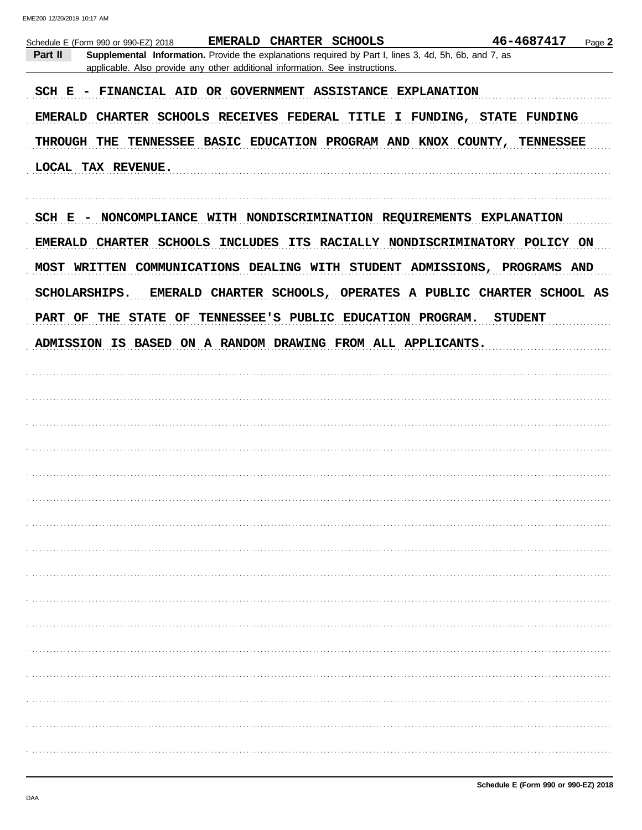| EMERALD CHARTER SCHOOLS<br>Schedule E (Form 990 or 990-EZ) 2018                                                                                                                                  | 46-4687417<br>Page 2 |
|--------------------------------------------------------------------------------------------------------------------------------------------------------------------------------------------------|----------------------|
| Part II<br>Supplemental Information. Provide the explanations required by Part I, lines 3, 4d, 5h, 6b, and 7, as<br>applicable. Also provide any other additional information. See instructions. |                      |
| SCH E - FINANCIAL AID OR GOVERNMENT ASSISTANCE EXPLANATION                                                                                                                                       |                      |
| EMERALD CHARTER SCHOOLS RECEIVES FEDERAL TITLE I FUNDING, STATE FUNDING                                                                                                                          |                      |
| THROUGH THE TENNESSEE BASIC EDUCATION PROGRAM AND KNOX COUNTY, TENNESSEE                                                                                                                         |                      |
| LOCAL TAX REVENUE.                                                                                                                                                                               |                      |
| NONCOMPLIANCE WITH NONDISCRIMINATION REQUIREMENTS EXPLANATION<br>SCH E -                                                                                                                         |                      |
| EMERALD CHARTER SCHOOLS INCLUDES ITS RACIALLY NONDISCRIMINATORY POLICY ON                                                                                                                        |                      |
| MOST WRITTEN COMMUNICATIONS DEALING WITH STUDENT ADMISSIONS, PROGRAMS AND                                                                                                                        |                      |
| EMERALD CHARTER SCHOOLS, OPERATES A PUBLIC CHARTER SCHOOL AS<br><b>SCHOLARSHIPS.</b>                                                                                                             |                      |
| TENNESSEE'S PUBLIC EDUCATION PROGRAM.<br>PART OF THE STATE OF                                                                                                                                    | <b>STUDENT</b>       |
| ADMISSION IS BASED ON A RANDOM DRAWING FROM ALL APPLICANTS.                                                                                                                                      |                      |
|                                                                                                                                                                                                  |                      |
|                                                                                                                                                                                                  |                      |
|                                                                                                                                                                                                  |                      |
|                                                                                                                                                                                                  |                      |
|                                                                                                                                                                                                  |                      |
|                                                                                                                                                                                                  |                      |
|                                                                                                                                                                                                  |                      |
|                                                                                                                                                                                                  |                      |
|                                                                                                                                                                                                  |                      |
|                                                                                                                                                                                                  |                      |
|                                                                                                                                                                                                  |                      |
|                                                                                                                                                                                                  |                      |
|                                                                                                                                                                                                  |                      |
|                                                                                                                                                                                                  |                      |
|                                                                                                                                                                                                  |                      |
|                                                                                                                                                                                                  |                      |
|                                                                                                                                                                                                  |                      |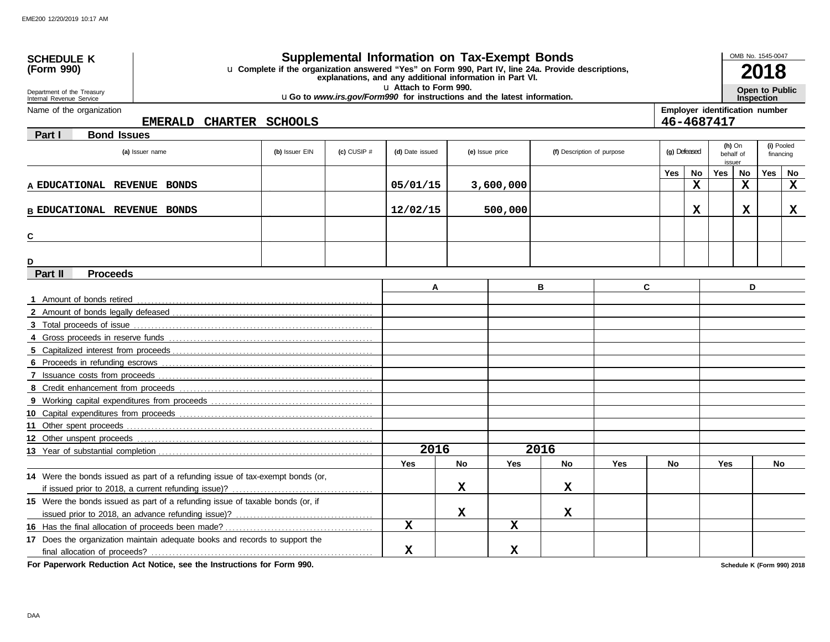# **SCHEDULE K Supplemental Information on Tax-Exempt Bonds**<br>(Form 990) **Supplemental Information on Tax-Exempt Bonds**<br>(Form 990, Part IV, line 24a. Provide

**(Form 990)** u Complete if the organization answered "Yes" on Form 990, Part IV, line 24a. Provide descriptions,<br>explanations, and any additional information in Part VI.

u **Attach to Form 990.** u**Go to** *www.irs.gov/Form990* **for instructions and the latest information.** **Open to Public Inspection 2018**

OMB No. 1545-0047

Department of the Treasury<br>Internal Revenue Service

Name of the organization **Employer identification number Employer identification number** 

**EMERALD CHARTER SCHOOLS 46-4687417**

| Part I<br><b>Bond Issues</b>                                                   |                |                 |                         |                 |             |                            |            |              |             |                       |             |                         |             |
|--------------------------------------------------------------------------------|----------------|-----------------|-------------------------|-----------------|-------------|----------------------------|------------|--------------|-------------|-----------------------|-------------|-------------------------|-------------|
| (a) Issuer name                                                                | (b) Issuer EIN | $(c)$ CUSIP $#$ | (d) Date issued         | (e) Issue price |             | (f) Description of purpose |            | (g) Defeased |             | $(h)$ On<br>behalf of | issuer      | (i) Pooled<br>financing |             |
|                                                                                |                |                 |                         |                 |             |                            |            | <b>Yes</b>   | <b>No</b>   | Yes                   | <b>No</b>   | Yes                     | No          |
| A EDUCATIONAL REVENUE BONDS                                                    |                |                 | 05/01/15                | 3,600,000       |             |                            |            |              | $\mathbf x$ |                       | $\mathbf x$ |                         | $\mathbf x$ |
|                                                                                |                |                 |                         |                 |             |                            |            |              |             |                       |             |                         |             |
| <b>B EDUCATIONAL REVENUE BONDS</b>                                             |                |                 | 12/02/15                |                 | 500,000     |                            |            |              | X           |                       | X           |                         | x           |
|                                                                                |                |                 |                         |                 |             |                            |            |              |             |                       |             |                         |             |
| С                                                                              |                |                 |                         |                 |             |                            |            |              |             |                       |             |                         |             |
|                                                                                |                |                 |                         |                 |             |                            |            |              |             |                       |             |                         |             |
| D                                                                              |                |                 |                         |                 |             |                            |            |              |             |                       |             |                         |             |
| <b>Proceeds</b><br>Part II                                                     |                |                 |                         |                 |             |                            |            |              |             |                       |             |                         |             |
| 1 Amount of bonds retired                                                      |                |                 | A                       |                 |             | в                          | C          |              |             |                       | D           |                         |             |
|                                                                                |                |                 |                         |                 |             |                            |            |              |             |                       |             |                         |             |
|                                                                                |                |                 |                         |                 |             |                            |            |              |             |                       |             |                         |             |
| 4                                                                              |                |                 |                         |                 |             |                            |            |              |             |                       |             |                         |             |
|                                                                                |                |                 |                         |                 |             |                            |            |              |             |                       |             |                         |             |
|                                                                                |                |                 |                         |                 |             |                            |            |              |             |                       |             |                         |             |
|                                                                                |                |                 |                         |                 |             |                            |            |              |             |                       |             |                         |             |
|                                                                                |                |                 |                         |                 |             |                            |            |              |             |                       |             |                         |             |
|                                                                                |                |                 |                         |                 |             |                            |            |              |             |                       |             |                         |             |
|                                                                                |                |                 |                         |                 |             |                            |            |              |             |                       |             |                         |             |
|                                                                                |                |                 |                         |                 |             |                            |            |              |             |                       |             |                         |             |
| 12 Other unspent proceeds                                                      |                |                 |                         |                 |             |                            |            |              |             |                       |             |                         |             |
|                                                                                |                |                 | 2016                    |                 |             | 2016                       |            |              |             |                       |             |                         |             |
|                                                                                |                |                 | Yes                     | <b>No</b>       | Yes         | No                         | <b>Yes</b> | No           |             | <b>Yes</b>            |             | No                      |             |
| 14 Were the bonds issued as part of a refunding issue of tax-exempt bonds (or, |                |                 |                         |                 |             |                            |            |              |             |                       |             |                         |             |
|                                                                                |                |                 |                         | $\mathbf x$     |             | $\mathbf x$                |            |              |             |                       |             |                         |             |
| 15 Were the bonds issued as part of a refunding issue of taxable bonds (or, if |                |                 |                         |                 |             |                            |            |              |             |                       |             |                         |             |
|                                                                                |                |                 |                         | $\mathbf x$     |             | $\mathbf x$                |            |              |             |                       |             |                         |             |
|                                                                                |                |                 | $\overline{\mathbf{x}}$ |                 | $\mathbf x$ |                            |            |              |             |                       |             |                         |             |
| 17 Does the organization maintain adequate books and records to support the    |                |                 |                         |                 |             |                            |            |              |             |                       |             |                         |             |
|                                                                                |                |                 | x                       |                 | x           |                            |            |              |             |                       |             |                         |             |

**For Paperwork Reduction Act Notice, see the Instructions for Form 990.**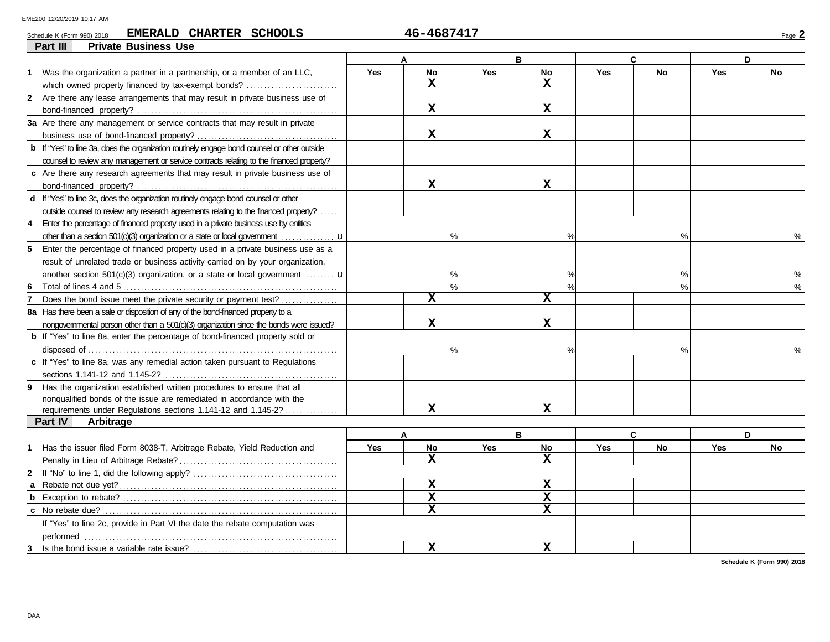|                | EMERALD CHARTER SCHOOLS<br>Schedule K (Form 990) 2018                                       |            | 46-4687417                      |            |                              |            |               |            | Page $2$  |
|----------------|---------------------------------------------------------------------------------------------|------------|---------------------------------|------------|------------------------------|------------|---------------|------------|-----------|
|                | <b>Private Business Use</b><br>Part III                                                     |            |                                 |            |                              |            |               |            |           |
|                |                                                                                             |            | A                               |            | B                            |            | C.            |            | D         |
|                | 1 Was the organization a partner in a partnership, or a member of an LLC,                   | <b>Yes</b> | <b>No</b>                       | <b>Yes</b> | No                           | Yes        | <b>No</b>     | <b>Yes</b> | No        |
|                | which owned property financed by tax-exempt bonds?                                          |            | $\mathbf x$                     |            | $\mathbf x$                  |            |               |            |           |
|                | 2 Are there any lease arrangements that may result in private business use of               |            |                                 |            |                              |            |               |            |           |
|                |                                                                                             |            | $\mathbf x$                     |            | X                            |            |               |            |           |
|                | 3a Are there any management or service contracts that may result in private                 |            |                                 |            |                              |            |               |            |           |
|                |                                                                                             |            | x                               |            | x                            |            |               |            |           |
|                | b If "Yes" to line 3a, does the organization routinely engage bond counsel or other outside |            |                                 |            |                              |            |               |            |           |
|                | counsel to review any management or service contracts relating to the financed property?    |            |                                 |            |                              |            |               |            |           |
|                | c Are there any research agreements that may result in private business use of              |            |                                 |            |                              |            |               |            |           |
|                |                                                                                             |            | $\mathbf x$                     |            | $\mathbf x$                  |            |               |            |           |
|                | d If "Yes" to line 3c, does the organization routinely engage bond counsel or other         |            |                                 |            |                              |            |               |            |           |
|                | outside counsel to review any research agreements relating to the financed property?        |            |                                 |            |                              |            |               |            |           |
| 4              | Enter the percentage of financed property used in a private business use by entities        |            |                                 |            |                              |            |               |            |           |
|                |                                                                                             |            | %                               |            | %                            |            | %             |            | %         |
| 5              | Enter the percentage of financed property used in a private business use as a               |            |                                 |            |                              |            |               |            |           |
|                | result of unrelated trade or business activity carried on by your organization,             |            |                                 |            |                              |            |               |            |           |
|                |                                                                                             |            |                                 |            |                              |            |               |            |           |
|                | another section 501(c)(3) organization, or a state or local government                      |            | %                               |            | %                            |            | %             |            | %         |
| 6              |                                                                                             |            | $\%$<br>$\overline{\mathbf{x}}$ |            | %<br>$\overline{\mathbf{x}}$ |            | $\frac{0}{0}$ |            | %         |
| $\overline{7}$ | Does the bond issue meet the private security or payment test?                              |            |                                 |            |                              |            |               |            |           |
|                | 8a Has there been a sale or disposition of any of the bond-financed property to a           |            |                                 |            |                              |            |               |            |           |
|                | nongovernmental person other than a 501(c)(3) organization since the bonds were issued?     |            | $\mathbf x$                     |            | $\mathbf x$                  |            |               |            |           |
|                | b If "Yes" to line 8a, enter the percentage of bond-financed property sold or               |            |                                 |            |                              |            |               |            |           |
|                |                                                                                             |            | %                               |            | %                            |            | $\frac{0}{0}$ |            | %         |
|                | c If "Yes" to line 8a, was any remedial action taken pursuant to Regulations                |            |                                 |            |                              |            |               |            |           |
|                |                                                                                             |            |                                 |            |                              |            |               |            |           |
|                | 9 Has the organization established written procedures to ensure that all                    |            |                                 |            |                              |            |               |            |           |
|                | nonqualified bonds of the issue are remediated in accordance with the                       |            |                                 |            |                              |            |               |            |           |
|                | requirements under Regulations sections 1.141-12 and 1.145-2?                               |            | X                               |            | $\mathbf x$                  |            |               |            |           |
|                | <b>Part IV</b><br>Arbitrage                                                                 |            |                                 |            |                              |            |               |            |           |
|                |                                                                                             |            | A                               |            | В                            |            | C             |            | D         |
|                | 1 Has the issuer filed Form 8038-T, Arbitrage Rebate, Yield Reduction and                   | Yes        | <b>No</b>                       | Yes        | <b>No</b>                    | <b>Yes</b> | <b>No</b>     | Yes        | <b>No</b> |
|                |                                                                                             |            | $\mathbf x$                     |            | x                            |            |               |            |           |
|                |                                                                                             |            |                                 |            |                              |            |               |            |           |
|                |                                                                                             |            | $\mathbf x$                     |            | $\mathbf x$                  |            |               |            |           |
|                |                                                                                             |            | $\mathbf x$                     |            | $\mathbf x$                  |            |               |            |           |
|                |                                                                                             |            | $\mathbf{x}$                    |            | $\mathbf{x}$                 |            |               |            |           |
|                | If "Yes" to line 2c, provide in Part VI the date the rebate computation was                 |            |                                 |            |                              |            |               |            |           |
|                |                                                                                             |            |                                 |            |                              |            |               |            |           |
| 3              | Is the bond issue a variable rate issue?                                                    |            | X                               |            | X                            |            |               |            |           |

**Schedule K (Form 990) 2018**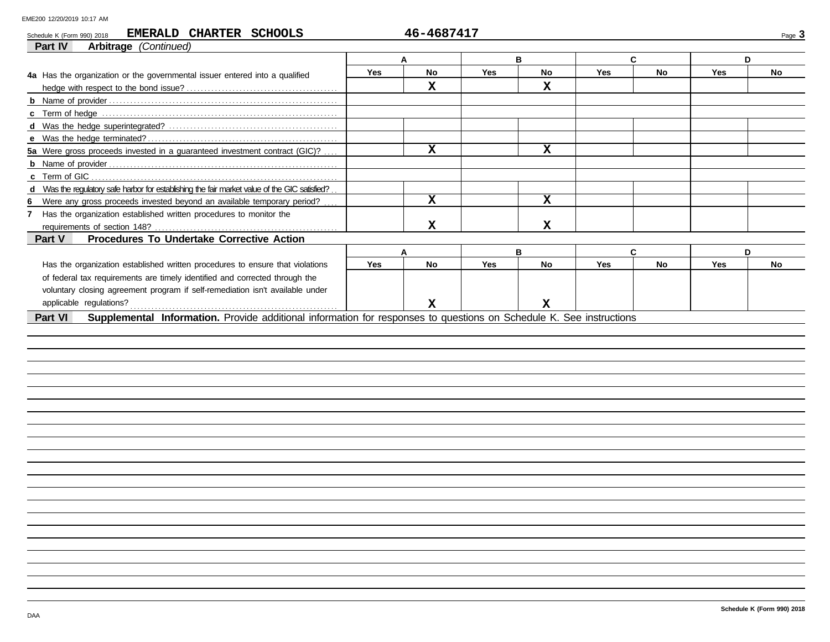| EMERALD CHARTER SCHOOLS<br>Schedule K (Form 990) 2018                                                                          |            | 46-4687417  |            |             |     |    |            | Page $3$  |
|--------------------------------------------------------------------------------------------------------------------------------|------------|-------------|------------|-------------|-----|----|------------|-----------|
| Arbitrage (Continued)<br>Part IV                                                                                               |            |             |            |             |     |    |            |           |
|                                                                                                                                |            | A           |            | B           |     | C  |            | D         |
| 4a Has the organization or the governmental issuer entered into a qualified                                                    | <b>Yes</b> | No          | <b>Yes</b> | No          | Yes | No | <b>Yes</b> | No        |
|                                                                                                                                |            | $\mathbf x$ |            | $\mathbf x$ |     |    |            |           |
|                                                                                                                                |            |             |            |             |     |    |            |           |
|                                                                                                                                |            |             |            |             |     |    |            |           |
|                                                                                                                                |            |             |            |             |     |    |            |           |
|                                                                                                                                |            |             |            |             |     |    |            |           |
| 5a Were gross proceeds invested in a guaranteed investment contract (GIC)?                                                     |            | $\mathbf x$ |            | X           |     |    |            |           |
|                                                                                                                                |            |             |            |             |     |    |            |           |
|                                                                                                                                |            |             |            |             |     |    |            |           |
| d Was the regulatory safe harbor for establishing the fair market value of the GIC satisfied?                                  |            |             |            |             |     |    |            |           |
| 6 Were any gross proceeds invested beyond an available temporary period?                                                       |            | $\mathbf x$ |            | $\mathbf x$ |     |    |            |           |
| 7 Has the organization established written procedures to monitor the                                                           |            |             |            |             |     |    |            |           |
|                                                                                                                                |            | $\mathbf x$ |            | X           |     |    |            |           |
| requirements of section 148?<br>Procedures To Undertake Corrective Action                                                      |            |             |            |             |     |    |            |           |
| Part V                                                                                                                         |            |             |            | B           |     | C. |            | D         |
|                                                                                                                                |            | A           |            |             |     |    |            |           |
| Has the organization established written procedures to ensure that violations                                                  | Yes        | <b>No</b>   | <b>Yes</b> | No          | Yes | No | Yes        | <b>No</b> |
| of federal tax requirements are timely identified and corrected through the                                                    |            |             |            |             |     |    |            |           |
| voluntary closing agreement program if self-remediation isn't available under                                                  |            |             |            |             |     |    |            |           |
| applicable regulations?                                                                                                        |            | X           |            | X           |     |    |            |           |
| Supplemental Information. Provide additional information for responses to questions on Schedule K. See instructions<br>Part VI |            |             |            |             |     |    |            |           |
|                                                                                                                                |            |             |            |             |     |    |            |           |
|                                                                                                                                |            |             |            |             |     |    |            |           |
|                                                                                                                                |            |             |            |             |     |    |            |           |
|                                                                                                                                |            |             |            |             |     |    |            |           |
|                                                                                                                                |            |             |            |             |     |    |            |           |
|                                                                                                                                |            |             |            |             |     |    |            |           |
|                                                                                                                                |            |             |            |             |     |    |            |           |
|                                                                                                                                |            |             |            |             |     |    |            |           |
|                                                                                                                                |            |             |            |             |     |    |            |           |
|                                                                                                                                |            |             |            |             |     |    |            |           |
|                                                                                                                                |            |             |            |             |     |    |            |           |
|                                                                                                                                |            |             |            |             |     |    |            |           |
|                                                                                                                                |            |             |            |             |     |    |            |           |
|                                                                                                                                |            |             |            |             |     |    |            |           |
|                                                                                                                                |            |             |            |             |     |    |            |           |
|                                                                                                                                |            |             |            |             |     |    |            |           |
|                                                                                                                                |            |             |            |             |     |    |            |           |
|                                                                                                                                |            |             |            |             |     |    |            |           |
|                                                                                                                                |            |             |            |             |     |    |            |           |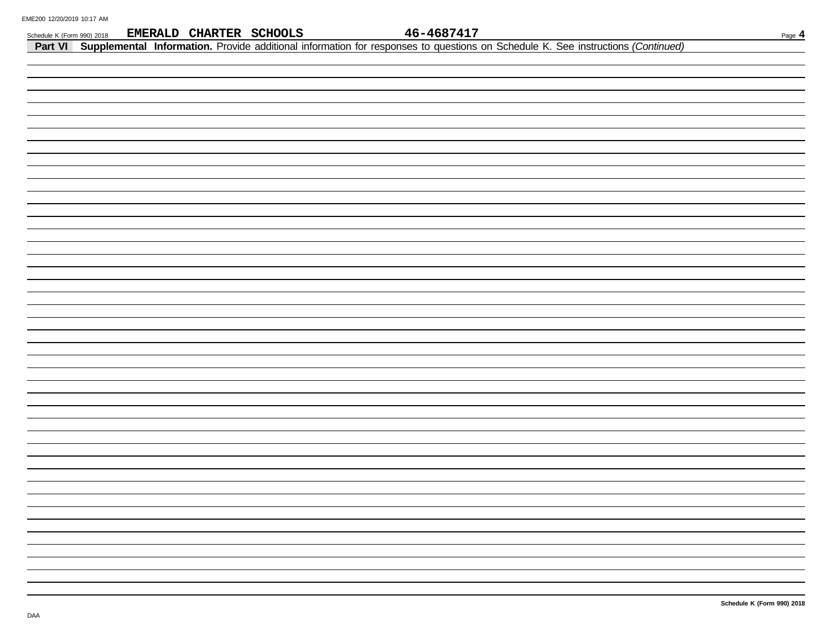|  | Schedule K (Form 990) 2018 EMERALD CHARTER SCHOOLS | 46-4687417 |                                                                                                                                         | Page 4 |
|--|----------------------------------------------------|------------|-----------------------------------------------------------------------------------------------------------------------------------------|--------|
|  |                                                    |            | Part VI Supplemental Information. Provide additional information for responses to questions on Schedule K. See instructions (Continued) |        |
|  |                                                    |            |                                                                                                                                         |        |
|  |                                                    |            |                                                                                                                                         |        |
|  |                                                    |            |                                                                                                                                         |        |
|  |                                                    |            |                                                                                                                                         |        |
|  |                                                    |            |                                                                                                                                         |        |
|  |                                                    |            |                                                                                                                                         |        |
|  |                                                    |            |                                                                                                                                         |        |
|  |                                                    |            |                                                                                                                                         |        |
|  |                                                    |            |                                                                                                                                         |        |
|  |                                                    |            |                                                                                                                                         |        |
|  |                                                    |            |                                                                                                                                         |        |
|  |                                                    |            |                                                                                                                                         |        |
|  |                                                    |            |                                                                                                                                         |        |
|  |                                                    |            |                                                                                                                                         |        |
|  |                                                    |            |                                                                                                                                         |        |
|  |                                                    |            |                                                                                                                                         |        |
|  |                                                    |            |                                                                                                                                         |        |
|  |                                                    |            |                                                                                                                                         |        |
|  |                                                    |            |                                                                                                                                         |        |
|  |                                                    |            |                                                                                                                                         |        |
|  |                                                    |            |                                                                                                                                         |        |
|  |                                                    |            |                                                                                                                                         |        |
|  |                                                    |            |                                                                                                                                         |        |
|  |                                                    |            |                                                                                                                                         |        |
|  |                                                    |            |                                                                                                                                         |        |
|  |                                                    |            |                                                                                                                                         |        |
|  |                                                    |            |                                                                                                                                         |        |
|  |                                                    |            |                                                                                                                                         |        |
|  |                                                    |            |                                                                                                                                         |        |
|  |                                                    |            |                                                                                                                                         |        |
|  |                                                    |            |                                                                                                                                         |        |
|  |                                                    |            |                                                                                                                                         |        |
|  |                                                    |            |                                                                                                                                         |        |
|  |                                                    |            |                                                                                                                                         |        |
|  |                                                    |            |                                                                                                                                         |        |
|  |                                                    |            |                                                                                                                                         |        |
|  |                                                    |            |                                                                                                                                         |        |
|  |                                                    |            |                                                                                                                                         |        |
|  |                                                    |            |                                                                                                                                         |        |
|  |                                                    |            |                                                                                                                                         |        |
|  |                                                    |            |                                                                                                                                         |        |
|  |                                                    |            |                                                                                                                                         |        |
|  |                                                    |            |                                                                                                                                         |        |
|  |                                                    |            |                                                                                                                                         |        |
|  |                                                    |            |                                                                                                                                         |        |
|  |                                                    |            |                                                                                                                                         |        |